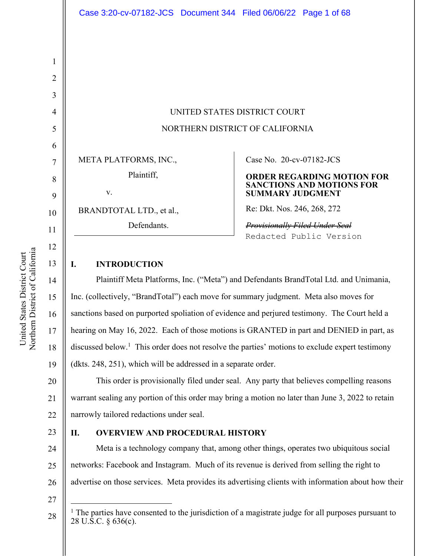UNITED STATES DISTRICT COURT NORTHERN DISTRICT OF CALIFORNIA

META PLATFORMS, INC.,

v.

BRANDTOTAL LTD., et al.,

Defendants.

Plaintiff,

# Case No. 20-cv-07182-JCS

#### **ORDER REGARDING MOTION FOR SANCTIONS AND MOTIONS FOR SUMMARY JUDGMENT**

Re: Dkt. Nos. 246, 268, 272

*Provisionally Filed Under Seal*  Redacted Public Version

# **I. INTRODUCTION**

Plaintiff Meta Platforms, Inc. ("Meta") and Defendants BrandTotal Ltd. and Unimania, Inc. (collectively, "BrandTotal") each move for summary judgment. Meta also moves for sanctions based on purported spoliation of evidence and perjured testimony. The Court held a hearing on May 16, 2022. Each of those motions is GRANTED in part and DENIED in part, as discussed below.<sup>1</sup> This order does not resolve the parties' motions to exclude expert testimony (dkts. 248, 251), which will be addressed in a separate order.

20 21 22 This order is provisionally filed under seal. Any party that believes compelling reasons warrant sealing any portion of this order may bring a motion no later than June 3, 2022 to retain narrowly tailored redactions under seal.

# 23

# **II. OVERVIEW AND PROCEDURAL HISTORY**

24 25 26 Meta is a technology company that, among other things, operates two ubiquitous social networks: Facebook and Instagram. Much of its revenue is derived from selling the right to advertise on those services. Meta provides its advertising clients with information about how their

27

28

1

2

3

4

5

6

7

8

9

10

11

12

13

14

15

16

17

18

 $<sup>1</sup>$  The parties have consented to the jurisdiction of a magistrate judge for all purposes pursuant to</sup> 28 U.S.C. § 636(c).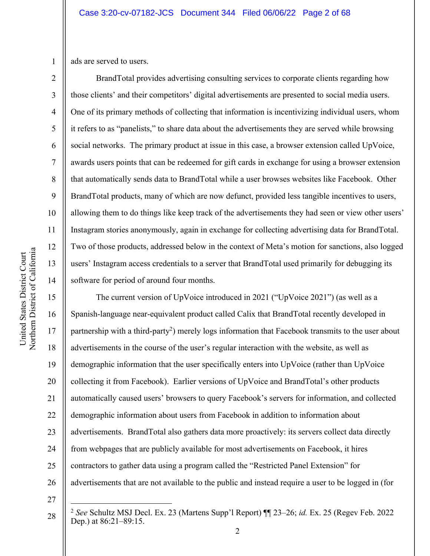1 ads are served to users.

2

3

4

5

6

7

8

9

10

11

12

13

14

BrandTotal provides advertising consulting services to corporate clients regarding how those clients' and their competitors' digital advertisements are presented to social media users. One of its primary methods of collecting that information is incentivizing individual users, whom it refers to as "panelists," to share data about the advertisements they are served while browsing social networks. The primary product at issue in this case, a browser extension called UpVoice, awards users points that can be redeemed for gift cards in exchange for using a browser extension that automatically sends data to BrandTotal while a user browses websites like Facebook. Other BrandTotal products, many of which are now defunct, provided less tangible incentives to users, allowing them to do things like keep track of the advertisements they had seen or view other users' Instagram stories anonymously, again in exchange for collecting advertising data for BrandTotal. Two of those products, addressed below in the context of Meta's motion for sanctions, also logged users' Instagram access credentials to a server that BrandTotal used primarily for debugging its software for period of around four months.

15 16 17 18 19 20 21 22 23 24 25 26 The current version of UpVoice introduced in 2021 ("UpVoice 2021") (as well as a Spanish-language near-equivalent product called Calix that BrandTotal recently developed in partnership with a third-party<sup>2</sup>) merely logs information that Facebook transmits to the user about advertisements in the course of the user's regular interaction with the website, as well as demographic information that the user specifically enters into UpVoice (rather than UpVoice collecting it from Facebook). Earlier versions of UpVoice and BrandTotal's other products automatically caused users' browsers to query Facebook's servers for information, and collected demographic information about users from Facebook in addition to information about advertisements. BrandTotal also gathers data more proactively: its servers collect data directly from webpages that are publicly available for most advertisements on Facebook, it hires contractors to gather data using a program called the "Restricted Panel Extension" for advertisements that are not available to the public and instead require a user to be logged in (for

27

<sup>2</sup> <sup>2</sup> *See* Schultz MSJ Decl. Ex. 23 (Martens Supp'l Report) ¶¶ 23–26; *id.* Ex. 25 (Regev Feb. 2022 Dep.) at 86:21–89:15.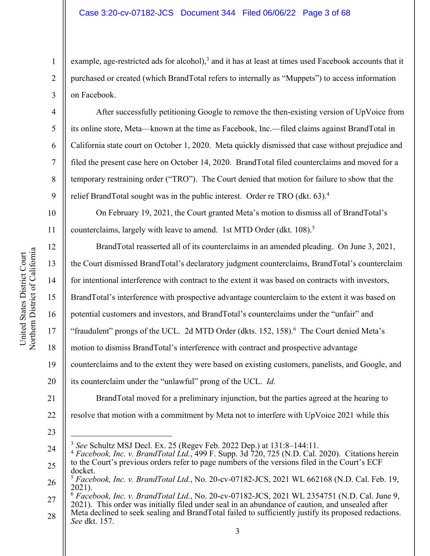example, age-restricted ads for alcohol),<sup>3</sup> and it has at least at times used Facebook accounts that it purchased or created (which BrandTotal refers to internally as "Muppets") to access information on Facebook.

After successfully petitioning Google to remove the then-existing version of UpVoice from its online store, Meta—known at the time as Facebook, Inc.—filed claims against BrandTotal in California state court on October 1, 2020. Meta quickly dismissed that case without prejudice and filed the present case here on October 14, 2020. BrandTotal filed counterclaims and moved for a temporary restraining order ("TRO"). The Court denied that motion for failure to show that the relief BrandTotal sought was in the public interest. Order re TRO (dkt. 63).<sup>4</sup>

On February 19, 2021, the Court granted Meta's motion to dismiss all of BrandTotal's counterclaims, largely with leave to amend. 1st MTD Order (dkt. 108).<sup>5</sup>

12 13 14 15 16 17 18 19 20 BrandTotal reasserted all of its counterclaims in an amended pleading. On June 3, 2021, the Court dismissed BrandTotal's declaratory judgment counterclaims, BrandTotal's counterclaim for intentional interference with contract to the extent it was based on contracts with investors, BrandTotal's interference with prospective advantage counterclaim to the extent it was based on potential customers and investors, and BrandTotal's counterclaims under the "unfair" and "fraudulent" prongs of the UCL. 2d MTD Order (dkts. 152, 158).<sup>6</sup> The Court denied Meta's motion to dismiss BrandTotal's interference with contract and prospective advantage counterclaims and to the extent they were based on existing customers, panelists, and Google, and its counterclaim under the "unlawful" prong of the UCL. *Id.*

21 22 BrandTotal moved for a preliminary injunction, but the parties agreed at the hearing to resolve that motion with a commitment by Meta not to interfere with UpVoice 2021 while this

23

1

2

3

4

5

6

7

8

9

10

<sup>3</sup> *See* Schultz MSJ Decl. Ex. 25 (Regev Feb. 2022 Dep.) at 131:8–144:11.

<sup>24</sup> 25 <sup>4</sup> *Facebook, Inc. v. BrandTotal Ltd.*, 499 F. Supp. 3d 720, 725 (N.D. Cal. 2020). Citations herein to the Court's previous orders refer to page numbers of the versions filed in the Court's ECF docket.

<sup>26</sup> <sup>5</sup> *Facebook, Inc. v. BrandTotal Ltd.*, No. 20-cv-07182-JCS, 2021 WL 662168 (N.D. Cal. Feb. 19, 2021).

<sup>27</sup> <sup>6</sup> *Facebook, Inc. v. BrandTotal Ltd.*, No. 20-cv-07182-JCS, 2021 WL 2354751 (N.D. Cal. June 9, 2021). This order was initially filed under seal in an abundance of caution, and unsealed after

<sup>28</sup> Meta declined to seek sealing and BrandTotal failed to sufficiently justify its proposed redactions. *See* dkt. 157.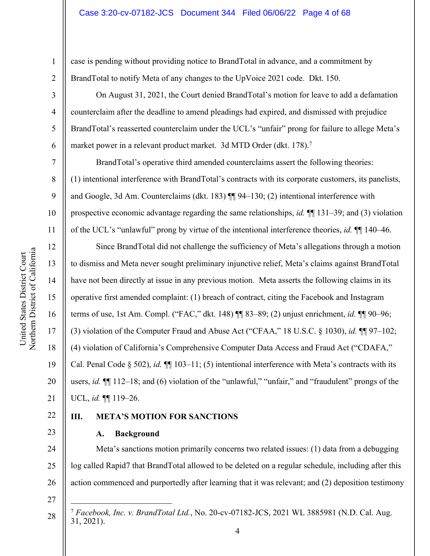case is pending without providing notice to BrandTotal in advance, and a commitment by BrandTotal to notify Meta of any changes to the UpVoice 2021 code. Dkt. 150.

On August 31, 2021, the Court denied BrandTotal's motion for leave to add a defamation counterclaim after the deadline to amend pleadings had expired, and dismissed with prejudice BrandTotal's reasserted counterclaim under the UCL's "unfair" prong for failure to allege Meta's market power in a relevant product market. 3d MTD Order (dkt. 178).<sup>7</sup>

BrandTotal's operative third amended counterclaims assert the following theories: (1) intentional interference with BrandTotal's contracts with its corporate customers, its panelists, and Google, 3d Am. Counterclaims (dkt. 183) ¶¶ 94–130; (2) intentional interference with prospective economic advantage regarding the same relationships, *id.* ¶¶ 131–39; and (3) violation of the UCL's "unlawful" prong by virtue of the intentional interference theories, *id.* ¶¶ 140–46.

12 16 20 Since BrandTotal did not challenge the sufficiency of Meta's allegations through a motion to dismiss and Meta never sought preliminary injunctive relief, Meta's claims against BrandTotal have not been directly at issue in any previous motion. Meta asserts the following claims in its operative first amended complaint: (1) breach of contract, citing the Facebook and Instagram terms of use, 1st Am. Compl. ("FAC," dkt. 148) ¶¶ 83–89; (2) unjust enrichment, *id.* ¶¶ 90–96; (3) violation of the Computer Fraud and Abuse Act ("CFAA," 18 U.S.C. § 1030), *id.* ¶¶ 97–102; (4) violation of California's Comprehensive Computer Data Access and Fraud Act ("CDAFA," Cal. Penal Code § 502), *id.* ¶¶ 103–11; (5) intentional interference with Meta's contracts with its users, *id.* ¶¶ 112–18; and (6) violation of the "unlawful," "unfair," and "fraudulent" prongs of the UCL, *id.* ¶¶ 119–26.

# 22

23

21

1

2

3

4

5

6

7

8

9

10

11

13

14

15

17

18

19

# **III. META'S MOTION FOR SANCTIONS**

**A. Background**

24 25 26 Meta's sanctions motion primarily concerns two related issues: (1) data from a debugging log called Rapid7 that BrandTotal allowed to be deleted on a regular schedule, including after this action commenced and purportedly after learning that it was relevant; and (2) deposition testimony

27

<sup>7</sup> *Facebook, Inc. v. BrandTotal Ltd.*, No. 20-cv-07182-JCS, 2021 WL 3885981 (N.D. Cal. Aug. 31, 2021).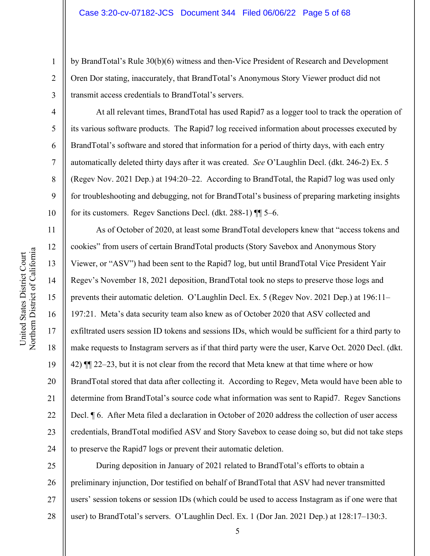by BrandTotal's Rule 30(b)(6) witness and then-Vice President of Research and Development Oren Dor stating, inaccurately, that BrandTotal's Anonymous Story Viewer product did not transmit access credentials to BrandTotal's servers.

At all relevant times, BrandTotal has used Rapid7 as a logger tool to track the operation of its various software products. The Rapid7 log received information about processes executed by BrandTotal's software and stored that information for a period of thirty days, with each entry automatically deleted thirty days after it was created. *See* O'Laughlin Decl. (dkt. 246-2) Ex. 5 (Regev Nov. 2021 Dep.) at 194:20–22. According to BrandTotal, the Rapid7 log was used only for troubleshooting and debugging, not for BrandTotal's business of preparing marketing insights for its customers. Regev Sanctions Decl. (dkt. 288-1) ¶¶ 5–6.

As of October of 2020, at least some BrandTotal developers knew that "access tokens and cookies" from users of certain BrandTotal products (Story Savebox and Anonymous Story Viewer, or "ASV") had been sent to the Rapid7 log, but until BrandTotal Vice President Yair Regev's November 18, 2021 deposition, BrandTotal took no steps to preserve those logs and prevents their automatic deletion. O'Laughlin Decl. Ex. 5 (Regev Nov. 2021 Dep.) at 196:11– 197:21. Meta's data security team also knew as of October 2020 that ASV collected and exfiltrated users session ID tokens and sessions IDs, which would be sufficient for a third party to make requests to Instagram servers as if that third party were the user, Karve Oct. 2020 Decl. (dkt. 42) ¶¶ 22–23, but it is not clear from the record that Meta knew at that time where or how BrandTotal stored that data after collecting it. According to Regev, Meta would have been able to determine from BrandTotal's source code what information was sent to Rapid7. Regev Sanctions Decl. ¶ 6. After Meta filed a declaration in October of 2020 address the collection of user access credentials, BrandTotal modified ASV and Story Savebox to cease doing so, but did not take steps to preserve the Rapid7 logs or prevent their automatic deletion.

25 26 27 28 During deposition in January of 2021 related to BrandTotal's efforts to obtain a preliminary injunction, Dor testified on behalf of BrandTotal that ASV had never transmitted users' session tokens or session IDs (which could be used to access Instagram as if one were that user) to BrandTotal's servers. O'Laughlin Decl. Ex. 1 (Dor Jan. 2021 Dep.) at 128:17–130:3.

1

2

3

4

5

6

7

8

9

10

11

12

13

14

15

16

17

18

19

20

21

22

23

24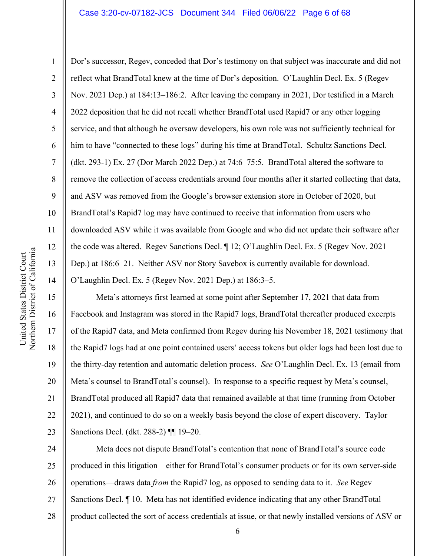#### Case 3:20-cv-07182-JCS Document 344 Filed 06/06/22 Page 6 of 68

Northern District of California Northern District of California United States District Court United States District Court

1

2

3

4

5

8

9

11

12

13

14

15

17

18

19

21

23

6 7 10 Dor's successor, Regev, conceded that Dor's testimony on that subject was inaccurate and did not reflect what BrandTotal knew at the time of Dor's deposition. O'Laughlin Decl. Ex. 5 (Regev Nov. 2021 Dep.) at 184:13–186:2. After leaving the company in 2021, Dor testified in a March 2022 deposition that he did not recall whether BrandTotal used Rapid7 or any other logging service, and that although he oversaw developers, his own role was not sufficiently technical for him to have "connected to these logs" during his time at BrandTotal. Schultz Sanctions Decl. (dkt. 293-1) Ex. 27 (Dor March 2022 Dep.) at 74:6–75:5. BrandTotal altered the software to remove the collection of access credentials around four months after it started collecting that data, and ASV was removed from the Google's browser extension store in October of 2020, but BrandTotal's Rapid7 log may have continued to receive that information from users who downloaded ASV while it was available from Google and who did not update their software after the code was altered. Regev Sanctions Decl. ¶ 12; O'Laughlin Decl. Ex. 5 (Regev Nov. 2021 Dep.) at 186:6–21. Neither ASV nor Story Savebox is currently available for download. O'Laughlin Decl. Ex. 5 (Regev Nov. 2021 Dep.) at 186:3–5.

16 20 22 Meta's attorneys first learned at some point after September 17, 2021 that data from Facebook and Instagram was stored in the Rapid7 logs, BrandTotal thereafter produced excerpts of the Rapid7 data, and Meta confirmed from Regev during his November 18, 2021 testimony that the Rapid7 logs had at one point contained users' access tokens but older logs had been lost due to the thirty-day retention and automatic deletion process. *See* O'Laughlin Decl. Ex. 13 (email from Meta's counsel to BrandTotal's counsel). In response to a specific request by Meta's counsel, BrandTotal produced all Rapid7 data that remained available at that time (running from October 2021), and continued to do so on a weekly basis beyond the close of expert discovery. Taylor Sanctions Decl. (dkt. 288-2) ¶¶ 19–20.

24 25 26 27 28 Meta does not dispute BrandTotal's contention that none of BrandTotal's source code produced in this litigation—either for BrandTotal's consumer products or for its own server-side operations—draws data *from* the Rapid7 log, as opposed to sending data to it. *See* Regev Sanctions Decl. ¶ 10. Meta has not identified evidence indicating that any other BrandTotal product collected the sort of access credentials at issue, or that newly installed versions of ASV or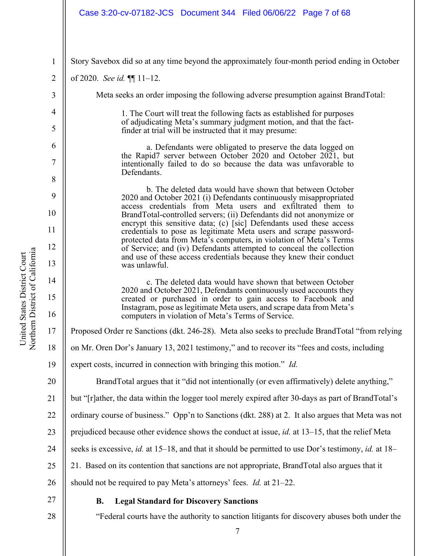# Case 3:20-cv-07182-JCS Document 344 Filed 06/06/22 Page 7 of 68

Northern District of California Northern District of California United States District Court United States District Court

4

5

6

7

8

9

10

11

12

13

14

15

16

20

1 2 3 Story Savebox did so at any time beyond the approximately four-month period ending in October of 2020. *See id.* ¶¶ 11–12. Meta seeks an order imposing the following adverse presumption against BrandTotal:

> 1. The Court will treat the following facts as established for purposes of adjudicating Meta's summary judgment motion, and that the fact- finder at trial will be instructed that it may presume:

a. Defendants were obligated to preserve the data logged on the Rapid7 server between October 2020 and October 2021, but intentionally failed to do so because the data was unfavorable to Defendants.

b. The deleted data would have shown that between October 2020 and October 2021 (i) Defendants continuously misappropriated access credentials from Meta users and exfiltrated them to BrandTotal-controlled servers; (ii) Defendants did not anonymize or encrypt this sensitive data; (c) [sic] Defendants used these access credentials to pose as legitimate Meta users and scrape password- protected data from Meta's computers, in violation of Meta's Terms of Service; and (iv) Defendants attempted to conceal the collection and use of these access credentials because they knew their conduct was unlawful.

c. The deleted data would have shown that between October 2020 and October 2021, Defendants continuously used accounts they created or purchased in order to gain access to Facebook and Instagram, pose as legitimate Meta users, and scrape data from Meta's computers in violation of Meta's Terms of Service.

17 Proposed Order re Sanctions (dkt. 246-28). Meta also seeks to preclude BrandTotal "from relying

18 on Mr. Oren Dor's January 13, 2021 testimony," and to recover its "fees and costs, including

19 expert costs, incurred in connection with bringing this motion." *Id.*

BrandTotal argues that it "did not intentionally (or even affirmatively) delete anything,"

21 but "[r]ather, the data within the logger tool merely expired after 30-days as part of BrandTotal's

22 ordinary course of business." Opp'n to Sanctions (dkt. 288) at 2. It also argues that Meta was not

- 23 prejudiced because other evidence shows the conduct at issue, *id.* at 13–15, that the relief Meta
- 24 seeks is excessive, *id.* at 15–18, and that it should be permitted to use Dor's testimony, *id.* at 18–

25 21. Based on its contention that sanctions are not appropriate, BrandTotal also argues that it

26 should not be required to pay Meta's attorneys' fees. *Id.* at 21–22.

27 28

# **B. Legal Standard for Discovery Sanctions**

"Federal courts have the authority to sanction litigants for discovery abuses both under the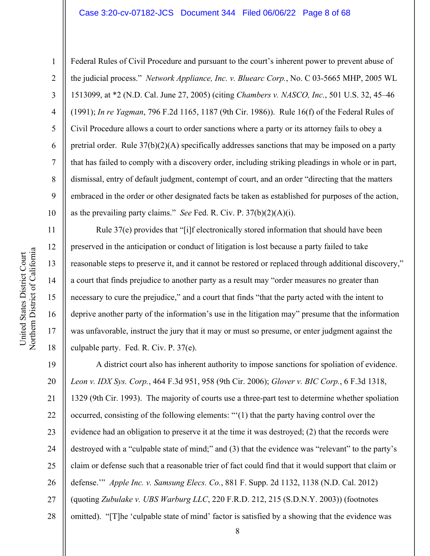#### Case 3:20-cv-07182-JCS Document 344 Filed 06/06/22 Page 8 of 68

Federal Rules of Civil Procedure and pursuant to the court's inherent power to prevent abuse of the judicial process." *Network Appliance, Inc. v. Bluearc Corp.*, No. C 03-5665 MHP, 2005 WL 1513099, at \*2 (N.D. Cal. June 27, 2005) (citing *Chambers v. NASCO, Inc.*, 501 U.S. 32, 45–46 (1991); *In re Yagman*, 796 F.2d 1165, 1187 (9th Cir. 1986)). Rule 16(f) of the Federal Rules of Civil Procedure allows a court to order sanctions where a party or its attorney fails to obey a pretrial order. Rule 37(b)(2)(A) specifically addresses sanctions that may be imposed on a party that has failed to comply with a discovery order, including striking pleadings in whole or in part, dismissal, entry of default judgment, contempt of court, and an order "directing that the matters embraced in the order or other designated facts be taken as established for purposes of the action, as the prevailing party claims." *See* Fed. R. Civ. P. 37(b)(2)(A)(i).

Rule 37(e) provides that "[i]f electronically stored information that should have been preserved in the anticipation or conduct of litigation is lost because a party failed to take reasonable steps to preserve it, and it cannot be restored or replaced through additional discovery," a court that finds prejudice to another party as a result may "order measures no greater than necessary to cure the prejudice," and a court that finds "that the party acted with the intent to deprive another party of the information's use in the litigation may" presume that the information was unfavorable, instruct the jury that it may or must so presume, or enter judgment against the culpable party. Fed. R. Civ. P. 37(e).

19 20 21 22 23 24 25 26 27 28 A district court also has inherent authority to impose sanctions for spoliation of evidence. *Leon v. IDX Sys. Corp.*, 464 F.3d 951, 958 (9th Cir. 2006); *Glover v. BIC Corp.*, 6 F.3d 1318, 1329 (9th Cir. 1993). The majority of courts use a three-part test to determine whether spoliation occurred, consisting of the following elements: "'(1) that the party having control over the evidence had an obligation to preserve it at the time it was destroyed; (2) that the records were destroyed with a "culpable state of mind;" and (3) that the evidence was "relevant" to the party's claim or defense such that a reasonable trier of fact could find that it would support that claim or defense.'" *Apple Inc. v. Samsung Elecs. Co.*, 881 F. Supp. 2d 1132, 1138 (N.D. Cal. 2012) (quoting *Zubulake v. UBS Warburg LLC*, 220 F.R.D. 212, 215 (S.D.N.Y. 2003)) (footnotes omitted). "[T]he 'culpable state of mind' factor is satisfied by a showing that the evidence was

1

2

3

4

5

6

7

8

9

10

11

12

13

14

15

16

17

18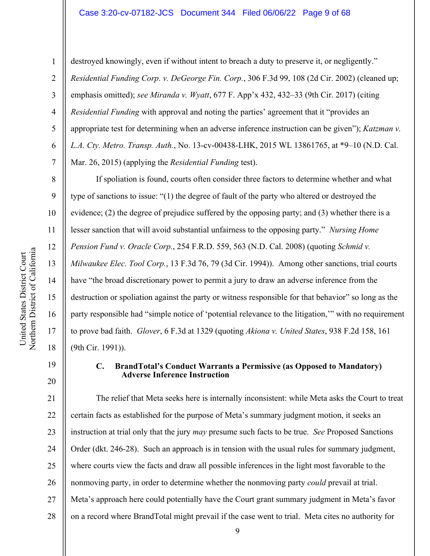destroyed knowingly, even if without intent to breach a duty to preserve it, or negligently." *Residential Funding Corp. v. DeGeorge Fin. Corp.*, 306 F.3d 99, 108 (2d Cir. 2002) (cleaned up; emphasis omitted); *see Miranda v. Wyatt*, 677 F. App'x 432, 432–33 (9th Cir. 2017) (citing *Residential Funding* with approval and noting the parties' agreement that it "provides an appropriate test for determining when an adverse inference instruction can be given"); *Katzman v. L.A. Cty. Metro. Transp. Auth.*, No. 13-cv-00438-LHK, 2015 WL 13861765, at \*9–10 (N.D. Cal. Mar. 26, 2015) (applying the *Residential Funding* test).

If spoliation is found, courts often consider three factors to determine whether and what type of sanctions to issue: "(1) the degree of fault of the party who altered or destroyed the evidence; (2) the degree of prejudice suffered by the opposing party; and (3) whether there is a lesser sanction that will avoid substantial unfairness to the opposing party." *Nursing Home Pension Fund v. Oracle Corp.*, 254 F.R.D. 559, 563 (N.D. Cal. 2008) (quoting *Schmid v. Milwaukee Elec. Tool Corp.*, 13 F.3d 76, 79 (3d Cir. 1994)). Among other sanctions, trial courts have "the broad discretionary power to permit a jury to draw an adverse inference from the destruction or spoliation against the party or witness responsible for that behavior" so long as the party responsible had "simple notice of 'potential relevance to the litigation,'" with no requirement to prove bad faith. *Glover*, 6 F.3d at 1329 (quoting *Akiona v. United States*, 938 F.2d 158, 161 (9th Cir. 1991)).

19

20

1

2

3

4

5

6

7

8

9

10

11

12

13

14

15

16

17

18

# **C. BrandTotal's Conduct Warrants a Permissive (as Opposed to Mandatory) Adverse Inference Instruction**

21 22 23 24 25 26 27 28 The relief that Meta seeks here is internally inconsistent: while Meta asks the Court to treat certain facts as established for the purpose of Meta's summary judgment motion, it seeks an instruction at trial only that the jury *may* presume such facts to be true. *See* Proposed Sanctions Order (dkt. 246-28). Such an approach is in tension with the usual rules for summary judgment, where courts view the facts and draw all possible inferences in the light most favorable to the nonmoving party, in order to determine whether the nonmoving party *could* prevail at trial. Meta's approach here could potentially have the Court grant summary judgment in Meta's favor on a record where BrandTotal might prevail if the case went to trial. Meta cites no authority for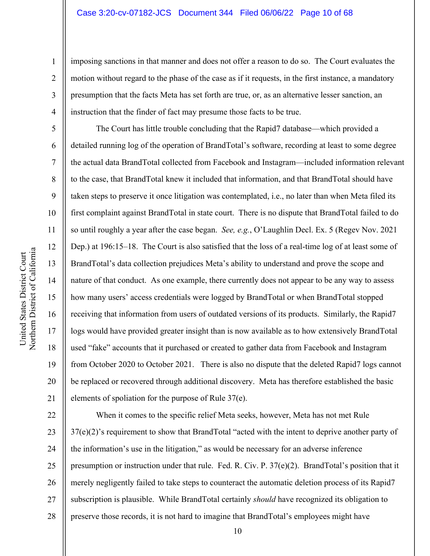## Case 3:20-cv-07182-JCS Document 344 Filed 06/06/22 Page 10 of 68

imposing sanctions in that manner and does not offer a reason to do so. The Court evaluates the motion without regard to the phase of the case as if it requests, in the first instance, a mandatory presumption that the facts Meta has set forth are true, or, as an alternative lesser sanction, an instruction that the finder of fact may presume those facts to be true.

The Court has little trouble concluding that the Rapid7 database—which provided a detailed running log of the operation of BrandTotal's software, recording at least to some degree the actual data BrandTotal collected from Facebook and Instagram—included information relevant to the case, that BrandTotal knew it included that information, and that BrandTotal should have taken steps to preserve it once litigation was contemplated, i.e., no later than when Meta filed its first complaint against BrandTotal in state court. There is no dispute that BrandTotal failed to do so until roughly a year after the case began. *See, e.g.*, O'Laughlin Decl. Ex. 5 (Regev Nov. 2021 Dep.) at 196:15–18. The Court is also satisfied that the loss of a real-time log of at least some of BrandTotal's data collection prejudices Meta's ability to understand and prove the scope and nature of that conduct. As one example, there currently does not appear to be any way to assess how many users' access credentials were logged by BrandTotal or when BrandTotal stopped receiving that information from users of outdated versions of its products. Similarly, the Rapid7 logs would have provided greater insight than is now available as to how extensively BrandTotal used "fake" accounts that it purchased or created to gather data from Facebook and Instagram from October 2020 to October 2021. There is also no dispute that the deleted Rapid7 logs cannot be replaced or recovered through additional discovery. Meta has therefore established the basic elements of spoliation for the purpose of Rule 37(e).

22 23 24 25 26 27 28 When it comes to the specific relief Meta seeks, however, Meta has not met Rule 37(e)(2)'s requirement to show that BrandTotal "acted with the intent to deprive another party of the information's use in the litigation," as would be necessary for an adverse inference presumption or instruction under that rule. Fed. R. Civ. P. 37(e)(2). BrandTotal's position that it merely negligently failed to take steps to counteract the automatic deletion process of its Rapid7 subscription is plausible. While BrandTotal certainly *should* have recognized its obligation to preserve those records, it is not hard to imagine that BrandTotal's employees might have

1

2

3

4

5

6

7

8

9

10

11

12

13

14

15

16

17

18

19

20

21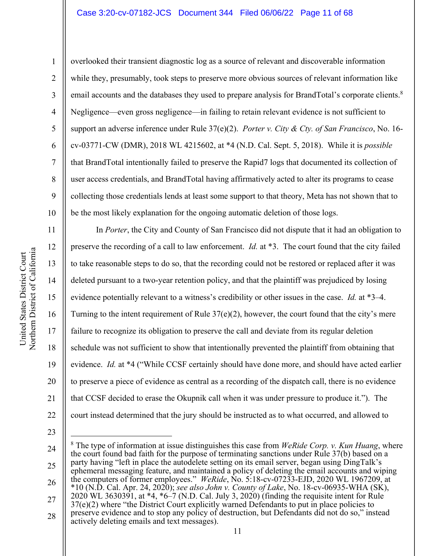#### Case 3:20-cv-07182-JCS Document 344 Filed 06/06/22 Page 11 of 68

11

12

13

14

15

16

17

18

19

20

21

22

1 2 3 4 5 6 7 8 9 10 overlooked their transient diagnostic log as a source of relevant and discoverable information while they, presumably, took steps to preserve more obvious sources of relevant information like email accounts and the databases they used to prepare analysis for BrandTotal's corporate clients.<sup>8</sup> Negligence—even gross negligence—in failing to retain relevant evidence is not sufficient to support an adverse inference under Rule 37(e)(2). *Porter v. City & Cty. of San Francisco*, No. 16 cv-03771-CW (DMR), 2018 WL 4215602, at \*4 (N.D. Cal. Sept. 5, 2018). While it is *possible* that BrandTotal intentionally failed to preserve the Rapid7 logs that documented its collection of user access credentials, and BrandTotal having affirmatively acted to alter its programs to cease collecting those credentials lends at least some support to that theory, Meta has not shown that to be the most likely explanation for the ongoing automatic deletion of those logs.

In *Porter*, the City and County of San Francisco did not dispute that it had an obligation to preserve the recording of a call to law enforcement. *Id.* at \*3. The court found that the city failed to take reasonable steps to do so, that the recording could not be restored or replaced after it was deleted pursuant to a two-year retention policy, and that the plaintiff was prejudiced by losing evidence potentially relevant to a witness's credibility or other issues in the case. *Id.* at \*3–4. Turning to the intent requirement of Rule  $37(e)(2)$ , however, the court found that the city's mere failure to recognize its obligation to preserve the call and deviate from its regular deletion schedule was not sufficient to show that intentionally prevented the plaintiff from obtaining that evidence. *Id.* at \*4 ("While CCSF certainly should have done more, and should have acted earlier to preserve a piece of evidence as central as a recording of the dispatch call, there is no evidence that CCSF decided to erase the Okupnik call when it was under pressure to produce it."). The court instead determined that the jury should be instructed as to what occurred, and allowed to

<sup>24</sup> 25 26 27 28 <sup>8</sup> The type of information at issue distinguishes this case from *WeRide Corp. v. Kun Huang*, where the court found bad faith for the purpose of terminating sanctions under Rule 37(b) based on a party having "left in place the autodelete setting on its email server, began using DingTalk's ephemeral messaging feature, and maintained a policy of deleting the email accounts and wiping the computers of former employees." WeRide, No. 5:18-cv-07233-EJD, 2020 WL 1967209, at \*10 (N.D. Cal. Apr. 24, 2020); *see also John v. County of Lake*, No. 18-cv-06935-WHA (SK),  $2020 \text{ WL } 3630391$ , at  $*4$ ,  $*6–7$  (N.D. Cal. July 3, 2020) (finding the requisite intent for Rule 37(e)(2) where "the District Court explicitly warned Defendants to put in place policies to preserve evidence and to stop any policy of destruction, but Defendants did not do so," instead actively deleting emails and text messages).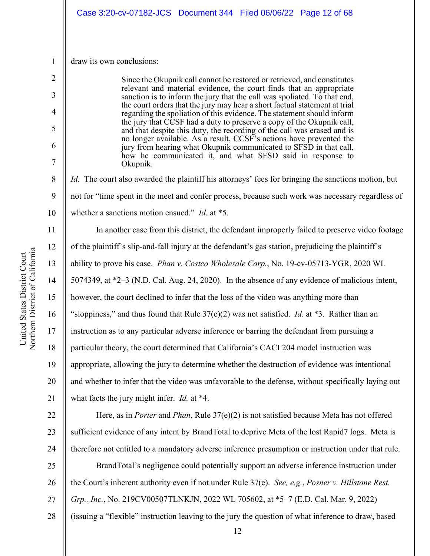1 draw its own conclusions:

2

3

4

5

6

7

8

9

10

11

12

13

14

15

16

17

18

19

20

21

Since the Okupnik call cannot be restored or retrieved, and constitutes relevant and material evidence, the court finds that an appropriate sanction is to inform the jury that the call was spoliated. To that end, the court orders that the jury may hear a short factual statement at trial regarding the spoliation of this evidence. The statement should inform the jury that CCSF had a duty to preserve a copy of the Okupnik call, and that despite this duty, the recording of the call was erased and is no longer available. As a result, CCSF's actions have prevented the jury from hearing what Okupnik communicated to SFSD in that call, how he communicated it, and what SFSD said in response to Okupnik.

*Id.* The court also awarded the plaintiff his attorneys' fees for bringing the sanctions motion, but not for "time spent in the meet and confer process, because such work was necessary regardless of whether a sanctions motion ensued." *Id.* at \*5.

In another case from this district, the defendant improperly failed to preserve video footage of the plaintiff's slip-and-fall injury at the defendant's gas station, prejudicing the plaintiff's ability to prove his case. *Phan v. Costco Wholesale Corp.*, No. 19-cv-05713-YGR, 2020 WL 5074349, at \*2–3 (N.D. Cal. Aug. 24, 2020). In the absence of any evidence of malicious intent, however, the court declined to infer that the loss of the video was anything more than "sloppiness," and thus found that Rule  $37(e)(2)$  was not satisfied. *Id.* at  $*3$ . Rather than an instruction as to any particular adverse inference or barring the defendant from pursuing a particular theory, the court determined that California's CACI 204 model instruction was appropriate, allowing the jury to determine whether the destruction of evidence was intentional and whether to infer that the video was unfavorable to the defense, without specifically laying out what facts the jury might infer. *Id.* at \*4.

22 23 24 Here, as in *Porter* and *Phan*, Rule 37(e)(2) is not satisfied because Meta has not offered sufficient evidence of any intent by BrandTotal to deprive Meta of the lost Rapid7 logs. Meta is therefore not entitled to a mandatory adverse inference presumption or instruction under that rule.

25 26 27 BrandTotal's negligence could potentially support an adverse inference instruction under the Court's inherent authority even if not under Rule 37(e). *See, e.g.*, *Posner v. Hillstone Rest. Grp., Inc.*, No. 219CV00507TLNKJN, 2022 WL 705602, at \*5–7 (E.D. Cal. Mar. 9, 2022)

28 (issuing a "flexible" instruction leaving to the jury the question of what inference to draw, based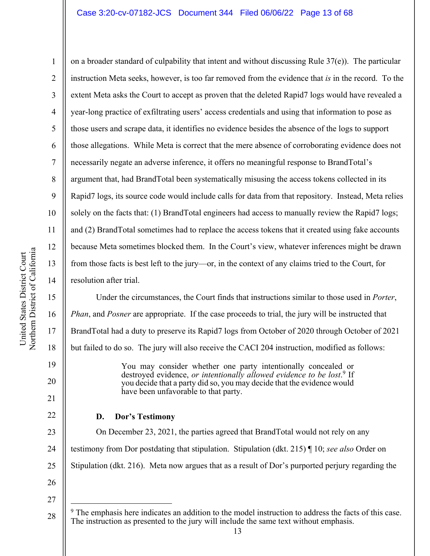#### Case 3:20-cv-07182-JCS Document 344 Filed 06/06/22 Page 13 of 68

Northern District of California Northern District of California United States District Court United States District Court

1

2

3

4

5

6

7

8

9

11

12

13

14

15

16

17

18

19

20

21

22

10 on a broader standard of culpability that intent and without discussing Rule  $37(e)$ ). The particular instruction Meta seeks, however, is too far removed from the evidence that *is* in the record. To the extent Meta asks the Court to accept as proven that the deleted Rapid7 logs would have revealed a year-long practice of exfiltrating users' access credentials and using that information to pose as those users and scrape data, it identifies no evidence besides the absence of the logs to support those allegations. While Meta is correct that the mere absence of corroborating evidence does not necessarily negate an adverse inference, it offers no meaningful response to BrandTotal's argument that, had BrandTotal been systematically misusing the access tokens collected in its Rapid7 logs, its source code would include calls for data from that repository. Instead, Meta relies solely on the facts that: (1) BrandTotal engineers had access to manually review the Rapid7 logs; and (2) BrandTotal sometimes had to replace the access tokens that it created using fake accounts because Meta sometimes blocked them. In the Court's view, whatever inferences might be drawn from those facts is best left to the jury—or, in the context of any claims tried to the Court, for resolution after trial.

Under the circumstances, the Court finds that instructions similar to those used in *Porter*, *Phan*, and *Posner* are appropriate. If the case proceeds to trial, the jury will be instructed that BrandTotal had a duty to preserve its Rapid7 logs from October of 2020 through October of 2021 but failed to do so. The jury will also receive the CACI 204 instruction, modified as follows:

> You may consider whether one party intentionally concealed or destroyed evidence, *or intentionally allowed evidence to be lost*. <sup>9</sup> If you decide that a party did so, you may decide that the evidence would have been unfavorable to that party.

## **D. Dor's Testimony**

23 24 25 On December 23, 2021, the parties agreed that BrandTotal would not rely on any testimony from Dor postdating that stipulation. Stipulation (dkt. 215) ¶ 10; *see also* Order on Stipulation (dkt. 216). Meta now argues that as a result of Dor's purported perjury regarding the

<sup>28</sup> <sup>9</sup> The emphasis here indicates an addition to the model instruction to address the facts of this case. The instruction as presented to the jury will include the same text without emphasis.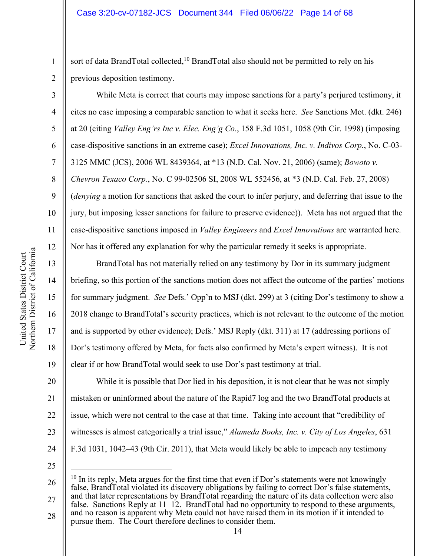sort of data BrandTotal collected,<sup>10</sup> BrandTotal also should not be permitted to rely on his previous deposition testimony.

While Meta is correct that courts may impose sanctions for a party's perjured testimony, it cites no case imposing a comparable sanction to what it seeks here. *See* Sanctions Mot. (dkt. 246) at 20 (citing *Valley Eng'rs Inc v. Elec. Eng'g Co.*, 158 F.3d 1051, 1058 (9th Cir. 1998) (imposing case-dispositive sanctions in an extreme case); *Excel Innovations, Inc. v. Indivos Corp.*, No. C-03- 3125 MMC (JCS), 2006 WL 8439364, at \*13 (N.D. Cal. Nov. 21, 2006) (same); *Bowoto v. Chevron Texaco Corp.*, No. C 99-02506 SI, 2008 WL 552456, at \*3 (N.D. Cal. Feb. 27, 2008) (*denying* a motion for sanctions that asked the court to infer perjury, and deferring that issue to the jury, but imposing lesser sanctions for failure to preserve evidence)). Meta has not argued that the case-dispositive sanctions imposed in *Valley Engineers* and *Excel Innovations* are warranted here. Nor has it offered any explanation for why the particular remedy it seeks is appropriate.

BrandTotal has not materially relied on any testimony by Dor in its summary judgment briefing, so this portion of the sanctions motion does not affect the outcome of the parties' motions for summary judgment. *See* Defs.' Opp'n to MSJ (dkt. 299) at 3 (citing Dor's testimony to show a 2018 change to BrandTotal's security practices, which is not relevant to the outcome of the motion and is supported by other evidence); Defs.' MSJ Reply (dkt. 311) at 17 (addressing portions of Dor's testimony offered by Meta, for facts also confirmed by Meta's expert witness). It is not clear if or how BrandTotal would seek to use Dor's past testimony at trial.

20 21 22 23 24 While it is possible that Dor lied in his deposition, it is not clear that he was not simply mistaken or uninformed about the nature of the Rapid7 log and the two BrandTotal products at issue, which were not central to the case at that time. Taking into account that "credibility of witnesses is almost categorically a trial issue," *Alameda Books, Inc. v. City of Los Angeles*, 631 F.3d 1031, 1042–43 (9th Cir. 2011), that Meta would likely be able to impeach any testimony

25

26 27 <sup>10</sup> In its reply, Meta argues for the first time that even if Dor's statements were not knowingly false, BrandTotal violated its discovery obligations by failing to correct Dor's false statements, and that later representations by BrandTotal regarding the nature of its data collection were also

28 false. Sanctions Reply at  $11-\overline{12}$ . BrandTotal had no opportunity to respond to these arguments, and no reason is apparent why Meta could not have raised them in its motion if it intended to pursue them. The Court therefore declines to consider them.

1

2

3

4

5

6

7

8

9

10

11

12

13

14

15

16

17

18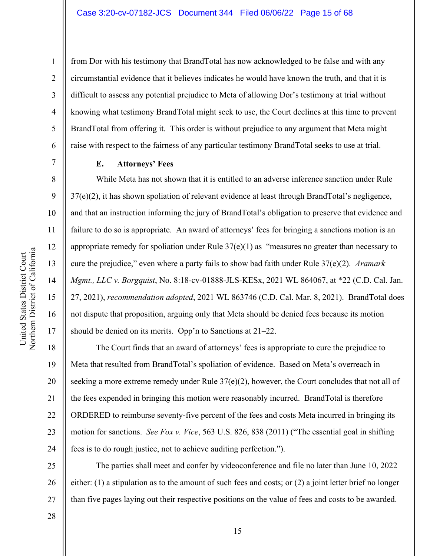from Dor with his testimony that BrandTotal has now acknowledged to be false and with any circumstantial evidence that it believes indicates he would have known the truth, and that it is difficult to assess any potential prejudice to Meta of allowing Dor's testimony at trial without knowing what testimony BrandTotal might seek to use, the Court declines at this time to prevent BrandTotal from offering it. This order is without prejudice to any argument that Meta might raise with respect to the fairness of any particular testimony BrandTotal seeks to use at trial.

#### **E. Attorneys' Fees**

While Meta has not shown that it is entitled to an adverse inference sanction under Rule 37(e)(2), it has shown spoliation of relevant evidence at least through BrandTotal's negligence, and that an instruction informing the jury of BrandTotal's obligation to preserve that evidence and failure to do so is appropriate. An award of attorneys' fees for bringing a sanctions motion is an appropriate remedy for spoliation under Rule  $37(e)(1)$  as "measures no greater than necessary to cure the prejudice," even where a party fails to show bad faith under Rule 37(e)(2). *Aramark Mgmt., LLC v. Borgquist*, No. 8:18-cv-01888-JLS-KESx, 2021 WL 864067, at \*22 (C.D. Cal. Jan. 27, 2021), *recommendation adopted*, 2021 WL 863746 (C.D. Cal. Mar. 8, 2021). BrandTotal does not dispute that proposition, arguing only that Meta should be denied fees because its motion should be denied on its merits. Opp'n to Sanctions at 21–22.

18 19 20 21 22 23 24 The Court finds that an award of attorneys' fees is appropriate to cure the prejudice to Meta that resulted from BrandTotal's spoliation of evidence. Based on Meta's overreach in seeking a more extreme remedy under Rule  $37(e)(2)$ , however, the Court concludes that not all of the fees expended in bringing this motion were reasonably incurred. BrandTotal is therefore ORDERED to reimburse seventy-five percent of the fees and costs Meta incurred in bringing its motion for sanctions. *See Fox v. Vice*, 563 U.S. 826, 838 (2011) ("The essential goal in shifting fees is to do rough justice, not to achieve auditing perfection.").

25 26 27 The parties shall meet and confer by videoconference and file no later than June 10, 2022 either: (1) a stipulation as to the amount of such fees and costs; or (2) a joint letter brief no longer than five pages laying out their respective positions on the value of fees and costs to be awarded.

Northern District of California Northern District of California United States District Court United States District Court

1

2

3

4

5

6

7

8

9

10

11

12

13

14

15

16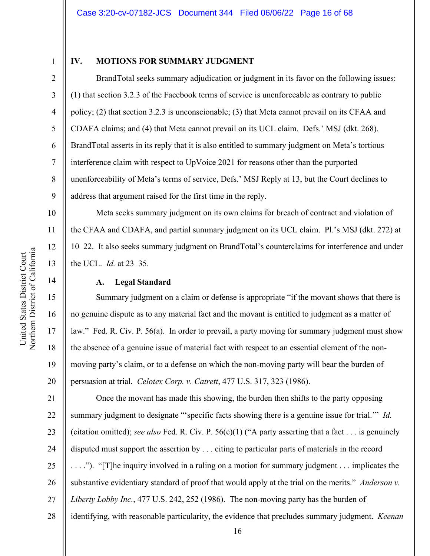3

4

5

6

7

8

9

10

11

12

13

14

15

16

17

18

19

20

#### **IV. MOTIONS FOR SUMMARY JUDGMENT**

BrandTotal seeks summary adjudication or judgment in its favor on the following issues: (1) that section 3.2.3 of the Facebook terms of service is unenforceable as contrary to public policy; (2) that section 3.2.3 is unconscionable; (3) that Meta cannot prevail on its CFAA and CDAFA claims; and (4) that Meta cannot prevail on its UCL claim. Defs.' MSJ (dkt. 268). BrandTotal asserts in its reply that it is also entitled to summary judgment on Meta's tortious interference claim with respect to UpVoice 2021 for reasons other than the purported unenforceability of Meta's terms of service, Defs.' MSJ Reply at 13, but the Court declines to address that argument raised for the first time in the reply.

Meta seeks summary judgment on its own claims for breach of contract and violation of the CFAA and CDAFA, and partial summary judgment on its UCL claim. Pl.'s MSJ (dkt. 272) at 10–22. It also seeks summary judgment on BrandTotal's counterclaims for interference and under the UCL. *Id.* at 23–35.

## **A. Legal Standard**

Summary judgment on a claim or defense is appropriate "if the movant shows that there is no genuine dispute as to any material fact and the movant is entitled to judgment as a matter of law." Fed. R. Civ. P. 56(a). In order to prevail, a party moving for summary judgment must show the absence of a genuine issue of material fact with respect to an essential element of the nonmoving party's claim, or to a defense on which the non-moving party will bear the burden of persuasion at trial. *Celotex Corp. v. Catrett*, 477 U.S. 317, 323 (1986).

21 22 23 24 25 26 27 28 Once the movant has made this showing, the burden then shifts to the party opposing summary judgment to designate "'specific facts showing there is a genuine issue for trial.'" *Id.* (citation omitted); *see also* Fed. R. Civ. P. 56(c)(1) ("A party asserting that a fact . . . is genuinely disputed must support the assertion by . . . citing to particular parts of materials in the record . . . ."). "[T]he inquiry involved in a ruling on a motion for summary judgment . . . implicates the substantive evidentiary standard of proof that would apply at the trial on the merits." *Anderson v. Liberty Lobby Inc.*, 477 U.S. 242, 252 (1986). The non-moving party has the burden of identifying, with reasonable particularity, the evidence that precludes summary judgment. *Keenan*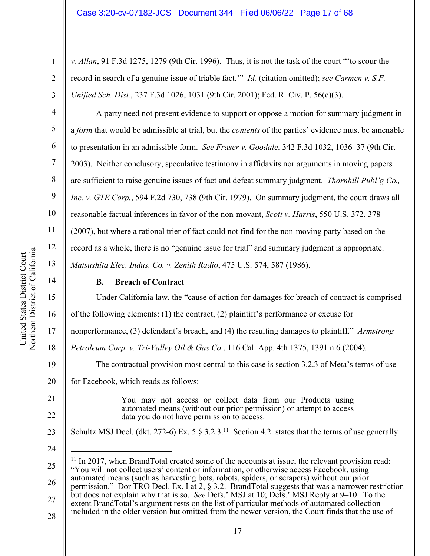*v. Allan*, 91 F.3d 1275, 1279 (9th Cir. 1996). Thus, it is not the task of the court "'to scour the record in search of a genuine issue of triable fact.'" *Id.* (citation omitted); *see Carmen v. S.F. Unified Sch. Dist.*, 237 F.3d 1026, 1031 (9th Cir. 2001); Fed. R. Civ. P. 56(c)(3).

A party need not present evidence to support or oppose a motion for summary judgment in a *form* that would be admissible at trial, but the *contents* of the parties' evidence must be amenable to presentation in an admissible form. *See Fraser v. Goodale*, 342 F.3d 1032, 1036–37 (9th Cir. 2003). Neither conclusory, speculative testimony in affidavits nor arguments in moving papers are sufficient to raise genuine issues of fact and defeat summary judgment. *Thornhill Publ'g Co., Inc. v. GTE Corp.*, 594 F.2d 730, 738 (9th Cir. 1979). On summary judgment, the court draws all reasonable factual inferences in favor of the non-movant, *Scott v. Harris*, 550 U.S. 372, 378 (2007), but where a rational trier of fact could not find for the non-moving party based on the record as a whole, there is no "genuine issue for trial" and summary judgment is appropriate. *Matsushita Elec. Indus. Co. v. Zenith Radio*, 475 U.S. 574, 587 (1986).

# **B. Breach of Contract**

Under California law, the "cause of action for damages for breach of contract is comprised of the following elements: (1) the contract, (2) plaintiff's performance or excuse for nonperformance, (3) defendant's breach, and (4) the resulting damages to plaintiff." *Armstrong Petroleum Corp. v. Tri-Valley Oil & Gas Co.*, 116 Cal. App. 4th 1375, 1391 n.6 (2004). The contractual provision most central to this case is section 3.2.3 of Meta's terms of use for Facebook, which reads as follows: You may not access or collect data from our Products using automated means (without our prior permission) or attempt to access data you do not have permission to access. Schultz MSJ Decl. (dkt. 272-6) Ex. 5  $\S$  3.2.3.<sup>11</sup> Section 4.2. states that the terms of use generally

24

25

26

 $11$  In 2017, when BrandTotal created some of the accounts at issue, the relevant provision read: "You will not collect users' content or information, or otherwise access Facebook, using automated means (such as harvesting bots, robots, spiders, or scrapers) without our prior permission." Dor TRO Decl. Ex. I at 2, § 3.2. BrandTotal suggests that was a narrower restriction

27 but does not explain why that is so. *See* Defs.' MSJ at 10; Defs.' MSJ Reply at 9–10. To the extent BrandTotal's argument rests on the list of particular methods of automated collection included in the older version but omitted from the newer version, the Court finds that the use of

1

2

3

4

5

6

7

8

9

10

11

12

13

14

15

16

17

18

19

20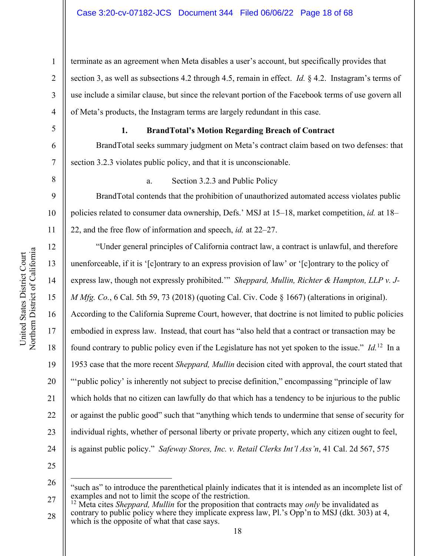10 11 12 Northern District of California Northern District of California 13 14 15 16 17

United States District Court

United States District Court

1 2 3 4 terminate as an agreement when Meta disables a user's account, but specifically provides that section 3, as well as subsections 4.2 through 4.5, remain in effect. *Id.* § 4.2. Instagram's terms of use include a similar clause, but since the relevant portion of the Facebook terms of use govern all of Meta's products, the Instagram terms are largely redundant in this case.

5

6

7

9

## **1. BrandTotal's Motion Regarding Breach of Contract**

BrandTotal seeks summary judgment on Meta's contract claim based on two defenses: that section 3.2.3 violates public policy, and that it is unconscionable.

8

# a. Section 3.2.3 and Public Policy

BrandTotal contends that the prohibition of unauthorized automated access violates public policies related to consumer data ownership, Defs.' MSJ at 15–18, market competition, *id.* at 18– 22, and the free flow of information and speech, *id.* at 22–27.

"Under general principles of California contract law, a contract is unlawful, and therefore unenforceable, if it is '[c]ontrary to an express provision of law' or '[c]ontrary to the policy of express law, though not expressly prohibited.'" *Sheppard, Mullin, Richter & Hampton, LLP v. J-M Mfg. Co.*, 6 Cal. 5th 59, 73 (2018) (quoting Cal. Civ. Code § 1667) (alterations in original). According to the California Supreme Court, however, that doctrine is not limited to public policies embodied in express law. Instead, that court has "also held that a contract or transaction may be found contrary to public policy even if the Legislature has not yet spoken to the issue." *Id.*12 In a 1953 case that the more recent *Sheppard, Mullin* decision cited with approval, the court stated that "'public policy' is inherently not subject to precise definition," encompassing "principle of law which holds that no citizen can lawfully do that which has a tendency to be injurious to the public or against the public good" such that "anything which tends to undermine that sense of security for individual rights, whether of personal liberty or private property, which any citizen ought to feel, is against public policy." *Safeway Stores, Inc. v. Retail Clerks Int'l Ass'n*, 41 Cal. 2d 567, 575

25 26

18

19

20

21

22

23

24

27 28 <sup>12</sup> Meta cites *Sheppard, Mullin* for the proposition that contracts may *only* be invalidated as contrary to public policy where they implicate express law, Pl.'s Opp'n to MSJ (dkt. 303) at 4, which is the opposite of what that case says.

<sup>&</sup>quot;such as" to introduce the parenthetical plainly indicates that it is intended as an incomplete list of examples and not to limit the scope of the restriction.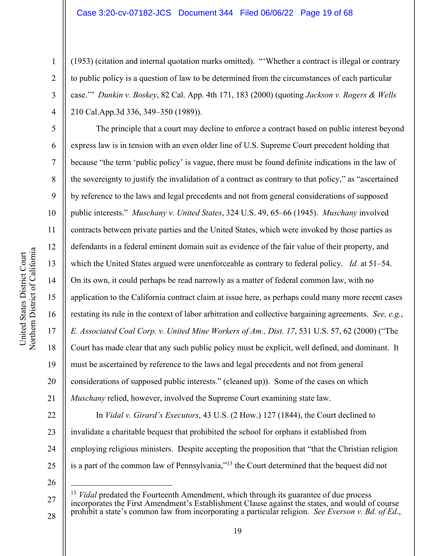(1953) (citation and internal quotation marks omitted). "'Whether a contract is illegal or contrary to public policy is a question of law to be determined from the circumstances of each particular case.'" *Dunkin v. Boskey*, 82 Cal. App. 4th 171, 183 (2000) (quoting *Jackson v. Rogers & Wells* 210 Cal.App.3d 336, 349–350 (1989)).

The principle that a court may decline to enforce a contract based on public interest beyond express law is in tension with an even older line of U.S. Supreme Court precedent holding that because "the term 'public policy' is vague, there must be found definite indications in the law of the sovereignty to justify the invalidation of a contract as contrary to that policy," as "ascertained by reference to the laws and legal precedents and not from general considerations of supposed public interests." *Muschany v. United States*, 324 U.S. 49, 65–66 (1945). *Muschany* involved contracts between private parties and the United States, which were invoked by those parties as defendants in a federal eminent domain suit as evidence of the fair value of their property, and which the United States argued were unenforceable as contrary to federal policy. *Id.* at 51–54. On its own, it could perhaps be read narrowly as a matter of federal common law, with no application to the California contract claim at issue here, as perhaps could many more recent cases restating its rule in the context of labor arbitration and collective bargaining agreements. *See, e.g.*, *E. Associated Coal Corp. v. United Mine Workers of Am., Dist. 17*, 531 U.S. 57, 62 (2000) ("The Court has made clear that any such public policy must be explicit, well defined, and dominant. It must be ascertained by reference to the laws and legal precedents and not from general considerations of supposed public interests." (cleaned up)). Some of the cases on which *Muschany* relied, however, involved the Supreme Court examining state law.

22 23 24 25 In *Vidal v. Girard's Executors*, 43 U.S. (2 How.) 127 (1844), the Court declined to invalidate a charitable bequest that prohibited the school for orphans it established from employing religious ministers. Despite accepting the proposition that "that the Christian religion is a part of the common law of Pennsylvania,"<sup>13</sup> the Court determined that the bequest did not

26

1

2

3

4

5

6

7

8

9

10

11

12

13

14

15

16

17

18

19

20

<sup>27</sup> 28 <sup>13</sup> *Vidal* predated the Fourteenth Amendment, which through its guarantee of due process incorporates the First Amendment's Establishment Clause against the states, and would of course prohibit a state's common law from incorporating a particular religion. *See Everson v. Bd. of Ed.*,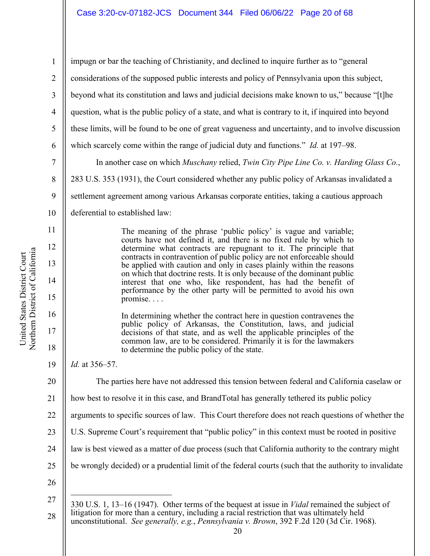1 2 3 4 5 6 7 8 impugn or bar the teaching of Christianity, and declined to inquire further as to "general considerations of the supposed public interests and policy of Pennsylvania upon this subject, beyond what its constitution and laws and judicial decisions make known to us," because "[t]he question, what is the public policy of a state, and what is contrary to it, if inquired into beyond these limits, will be found to be one of great vagueness and uncertainty, and to involve discussion which scarcely come within the range of judicial duty and functions." *Id.* at 197–98. In another case on which *Muschany* relied, *Twin City Pipe Line Co. v. Harding Glass Co.*, 283 U.S. 353 (1931), the Court considered whether any public policy of Arkansas invalidated a

- settlement agreement among various Arkansas corporate entities, taking a cautious approach
- 10 deferential to established law:

The meaning of the phrase 'public policy' is vague and variable; courts have not defined it, and there is no fixed rule by which to determine what contracts are repugnant to it. The principle that contracts in contravention of public policy are not enforceable should be applied with caution and only in cases plainly within the reasons on which that doctrine rests. It is only because of the dominant public interest that one who, like respondent, has had the benefit of performance by the other party will be permitted to avoid his own promise. . . .

In determining whether the contract here in question contravenes the public policy of Arkansas, the Constitution, laws, and judicial decisions of that state, and as well the applicable principles of the common law, are to be considered. Primarily it is for the lawmakers to determine the public policy of the state.

19 *Id.* at 356–57.

The parties here have not addressed this tension between federal and California caselaw or

- 21 how best to resolve it in this case, and BrandTotal has generally tethered its public policy
- 22 arguments to specific sources of law. This Court therefore does not reach questions of whether the
- 23 U.S. Supreme Court's requirement that "public policy" in this context must be rooted in positive
- 24 law is best viewed as a matter of due process (such that California authority to the contrary might
- 25 be wrongly decided) or a prudential limit of the federal courts (such that the authority to invalidate
- 26

9

11

12

13

14

15

16

17

18

<sup>27</sup> 28 330 U.S. 1, 13–16 (1947). Other terms of the bequest at issue in *Vidal* remained the subject of litigation for more than a century, including a racial restriction that was ultimately held unconstitutional. *See generally, e.g.*, *Pennsylvania v. Brown*, 392 F.2d 120 (3d Cir. 1968).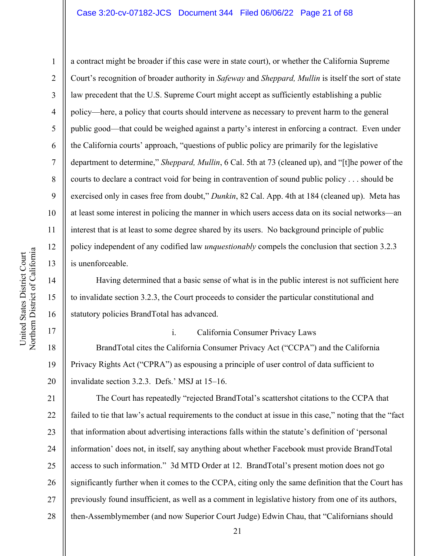## Case 3:20-cv-07182-JCS Document 344 Filed 06/06/22 Page 21 of 68

United States District Court United States District Court

1

2

3

4

5

8

9

11

12

13

14

15

16

17

18

19

20

6 7 10 a contract might be broader if this case were in state court), or whether the California Supreme Court's recognition of broader authority in *Safeway* and *Sheppard, Mullin* is itself the sort of state law precedent that the U.S. Supreme Court might accept as sufficiently establishing a public policy—here, a policy that courts should intervene as necessary to prevent harm to the general public good—that could be weighed against a party's interest in enforcing a contract. Even under the California courts' approach, "questions of public policy are primarily for the legislative department to determine," *Sheppard, Mullin*, 6 Cal. 5th at 73 (cleaned up), and "[t]he power of the courts to declare a contract void for being in contravention of sound public policy . . . should be exercised only in cases free from doubt," *Dunkin*, 82 Cal. App. 4th at 184 (cleaned up). Meta has at least some interest in policing the manner in which users access data on its social networks—an interest that is at least to some degree shared by its users. No background principle of public policy independent of any codified law *unquestionably* compels the conclusion that section 3.2.3 is unenforceable.

Having determined that a basic sense of what is in the public interest is not sufficient here to invalidate section 3.2.3, the Court proceeds to consider the particular constitutional and statutory policies BrandTotal has advanced.

i. California Consumer Privacy Laws

BrandTotal cites the California Consumer Privacy Act ("CCPA") and the California Privacy Rights Act ("CPRA") as espousing a principle of user control of data sufficient to invalidate section 3.2.3. Defs.' MSJ at 15–16.

21 22 23 24 25 26 27 28 The Court has repeatedly "rejected BrandTotal's scattershot citations to the CCPA that failed to tie that law's actual requirements to the conduct at issue in this case," noting that the "fact that information about advertising interactions falls within the statute's definition of 'personal information' does not, in itself, say anything about whether Facebook must provide BrandTotal access to such information." 3d MTD Order at 12. BrandTotal's present motion does not go significantly further when it comes to the CCPA, citing only the same definition that the Court has previously found insufficient, as well as a comment in legislative history from one of its authors, then-Assemblymember (and now Superior Court Judge) Edwin Chau, that "Californians should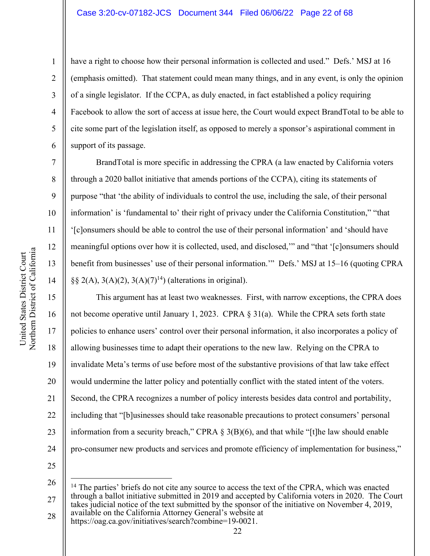#### Case 3:20-cv-07182-JCS Document 344 Filed 06/06/22 Page 22 of 68

6

7

8

9

10

11

12

13

14

15

16

17

18

19

21

23

1

have a right to choose how their personal information is collected and used." Defs.' MSJ at 16 (emphasis omitted). That statement could mean many things, and in any event, is only the opinion of a single legislator. If the CCPA, as duly enacted, in fact established a policy requiring Facebook to allow the sort of access at issue here, the Court would expect BrandTotal to be able to cite some part of the legislation itself, as opposed to merely a sponsor's aspirational comment in support of its passage.

BrandTotal is more specific in addressing the CPRA (a law enacted by California voters through a 2020 ballot initiative that amends portions of the CCPA), citing its statements of purpose "that 'the ability of individuals to control the use, including the sale, of their personal information' is 'fundamental to' their right of privacy under the California Constitution," "that '[c]onsumers should be able to control the use of their personal information' and 'should have meaningful options over how it is collected, used, and disclosed,'" and "that '[c]onsumers should benefit from businesses' use of their personal information.'" Defs.' MSJ at 15–16 (quoting CPRA  $\S\S 2(A), 3(A)(2), 3(A)(7)^{14}$  (alterations in original).

20 22 24 This argument has at least two weaknesses. First, with narrow exceptions, the CPRA does not become operative until January 1, 2023. CPRA § 31(a). While the CPRA sets forth state policies to enhance users' control over their personal information, it also incorporates a policy of allowing businesses time to adapt their operations to the new law. Relying on the CPRA to invalidate Meta's terms of use before most of the substantive provisions of that law take effect would undermine the latter policy and potentially conflict with the stated intent of the voters. Second, the CPRA recognizes a number of policy interests besides data control and portability, including that "[b]usinesses should take reasonable precautions to protect consumers' personal information from a security breach," CPRA  $\S 3(B)(6)$ , and that while "[t]he law should enable pro-consumer new products and services and promote efficiency of implementation for business,"

25 26

27 28 <sup>14</sup> The parties' briefs do not cite any source to access the text of the CPRA, which was enacted through a ballot initiative submitted in 2019 and accepted by California voters in 2020. The Court takes judicial notice of the text submitted by the sponsor of the initiative on November 4, 2019, available on the California Attorney General's website at

https://oag.ca.gov/initiatives/search?combine=19-0021.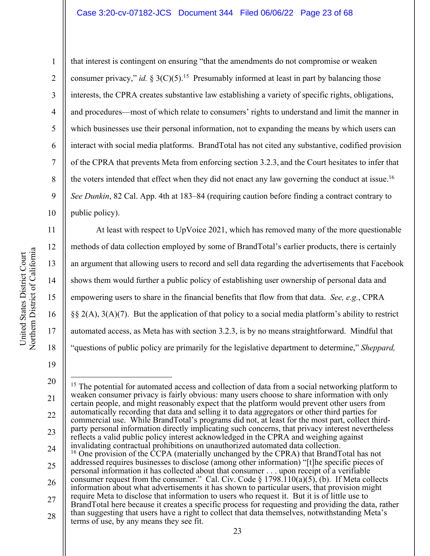#### Case 3:20-cv-07182-JCS Document 344 Filed 06/06/22 Page 23 of 68

Northern District of California Northern District of California United States District Court United States District Court

11

12

13

14

15

16

17

18

1

2 3 4 5 6 7 8 9 10 that interest is contingent on ensuring "that the amendments do not compromise or weaken consumer privacy," *id.*  $\S 3(C)(5)$ .<sup>15</sup> Presumably informed at least in part by balancing those interests, the CPRA creates substantive law establishing a variety of specific rights, obligations, and procedures—most of which relate to consumers' rights to understand and limit the manner in which businesses use their personal information, not to expanding the means by which users can interact with social media platforms. BrandTotal has not cited any substantive, codified provision of the CPRA that prevents Meta from enforcing section 3.2.3, and the Court hesitates to infer that the voters intended that effect when they did not enact any law governing the conduct at issue.16 *See Dunkin*, 82 Cal. App. 4th at 183–84 (requiring caution before finding a contract contrary to public policy).

At least with respect to UpVoice 2021, which has removed many of the more questionable methods of data collection employed by some of BrandTotal's earlier products, there is certainly an argument that allowing users to record and sell data regarding the advertisements that Facebook shows them would further a public policy of establishing user ownership of personal data and empowering users to share in the financial benefits that flow from that data. *See, e.g.*, CPRA §§ 2(A), 3(A)(7). But the application of that policy to a social media platform's ability to restrict automated access, as Meta has with section 3.2.3, is by no means straightforward. Mindful that "questions of public policy are primarily for the legislative department to determine," *Sheppard,* 

23

24

<sup>19</sup> 20 21 22

<sup>&</sup>lt;sup>15</sup> The potential for automated access and collection of data from a social networking platform to weaken consumer privacy is fairly obvious: many users choose to share information with only certain people, and might reasonably expect that the platform would prevent other users from automatically recording that data and selling it to data aggregators or other third parties for commercial use. While BrandTotal's programs did not, at least for the most part, collect thirdparty personal information directly implicating such concerns, that privacy interest nevertheless reflects a valid public policy interest acknowledged in the CPRA and weighing against invalidating contractual prohibitions on unauthorized automated data collection. <sup>16</sup> One provision of the CCPA (materially unchanged by the CPRA) that BrandTotal has not addressed requires businesses to disclose (among other information) "[t]he specific pieces of personal information it has collected about that consumer . . . upon receipt of a verifiable

<sup>26</sup> 27 consumer request from the consumer." Cal. Civ. Code  $\S$  1798.110(a)(5), (b). If Meta collects information about what advertisements it has shown to particular users, that provision might require Meta to disclose that information to users who request it. But it is of little use to BrandTotal here because it creates a specific process for requesting and providing the data, rather

<sup>28</sup> than suggesting that users have a right to collect that data themselves, notwithstanding Meta's terms of use, by any means they see fit.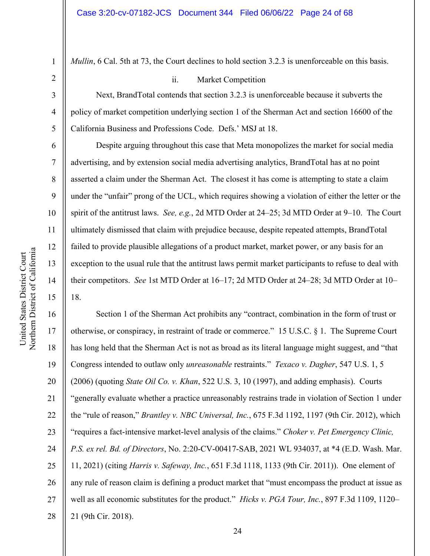*Mullin*, 6 Cal. 5th at 73, the Court declines to hold section 3.2.3 is unenforceable on this basis.

#### ii. Market Competition

Next, BrandTotal contends that section 3.2.3 is unenforceable because it subverts the policy of market competition underlying section 1 of the Sherman Act and section 16600 of the California Business and Professions Code. Defs.' MSJ at 18.

Despite arguing throughout this case that Meta monopolizes the market for social media advertising, and by extension social media advertising analytics, BrandTotal has at no point asserted a claim under the Sherman Act. The closest it has come is attempting to state a claim under the "unfair" prong of the UCL, which requires showing a violation of either the letter or the spirit of the antitrust laws. *See, e.g.*, 2d MTD Order at 24–25; 3d MTD Order at 9–10. The Court ultimately dismissed that claim with prejudice because, despite repeated attempts, BrandTotal failed to provide plausible allegations of a product market, market power, or any basis for an exception to the usual rule that the antitrust laws permit market participants to refuse to deal with their competitors. *See* 1st MTD Order at 16–17; 2d MTD Order at 24–28; 3d MTD Order at 10– 18.

16 17 18 19 20 21 22 23 24 25 26 27 28 Section 1 of the Sherman Act prohibits any "contract, combination in the form of trust or otherwise, or conspiracy, in restraint of trade or commerce." 15 U.S.C. § 1. The Supreme Court has long held that the Sherman Act is not as broad as its literal language might suggest, and "that Congress intended to outlaw only *unreasonable* restraints." *Texaco v. Dagher*, 547 U.S. 1, 5 (2006) (quoting *State Oil Co. v. Khan*, 522 U.S. 3, 10 (1997), and adding emphasis). Courts "generally evaluate whether a practice unreasonably restrains trade in violation of Section 1 under the "rule of reason," *Brantley v. NBC Universal, Inc.*, 675 F.3d 1192, 1197 (9th Cir. 2012), which "requires a fact-intensive market-level analysis of the claims." *Choker v. Pet Emergency Clinic, P.S. ex rel. Bd. of Directors*, No. 2:20-CV-00417-SAB, 2021 WL 934037, at \*4 (E.D. Wash. Mar. 11, 2021) (citing *Harris v. Safeway, Inc.*, 651 F.3d 1118, 1133 (9th Cir. 2011)). One element of any rule of reason claim is defining a product market that "must encompass the product at issue as well as all economic substitutes for the product." *Hicks v. PGA Tour, Inc.*, 897 F.3d 1109, 1120– 21 (9th Cir. 2018).

1

2

3

4

5

6

7

8

9

10

11

12

13

14

15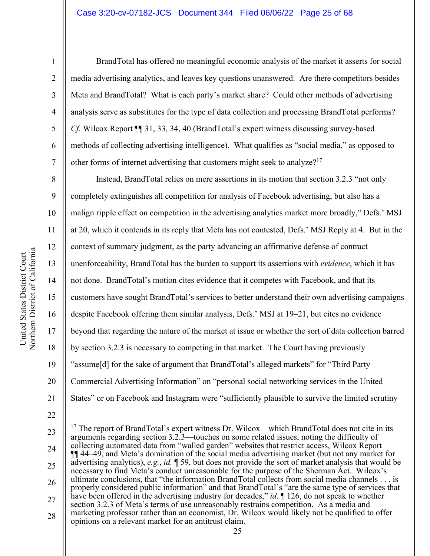#### Case 3:20-cv-07182-JCS Document 344 Filed 06/06/22 Page 25 of 68

1

2

3

4

5

6

7

8

9

10

11

12

13

14

15

16

17

18

19

20

21

BrandTotal has offered no meaningful economic analysis of the market it asserts for social media advertising analytics, and leaves key questions unanswered. Are there competitors besides Meta and BrandTotal? What is each party's market share? Could other methods of advertising analysis serve as substitutes for the type of data collection and processing BrandTotal performs? *Cf.* Wilcox Report ¶¶ 31, 33, 34, 40 (BrandTotal's expert witness discussing survey-based methods of collecting advertising intelligence). What qualifies as "social media," as opposed to other forms of internet advertising that customers might seek to analyze?<sup>17</sup>

Instead, BrandTotal relies on mere assertions in its motion that section 3.2.3 "not only completely extinguishes all competition for analysis of Facebook advertising, but also has a malign ripple effect on competition in the advertising analytics market more broadly," Defs.' MSJ at 20, which it contends in its reply that Meta has not contested, Defs.' MSJ Reply at 4. But in the context of summary judgment, as the party advancing an affirmative defense of contract unenforceability, BrandTotal has the burden to support its assertions with *evidence*, which it has not done. BrandTotal's motion cites evidence that it competes with Facebook, and that its customers have sought BrandTotal's services to better understand their own advertising campaigns despite Facebook offering them similar analysis, Defs.' MSJ at 19–21, but cites no evidence beyond that regarding the nature of the market at issue or whether the sort of data collection barred by section 3.2.3 is necessary to competing in that market. The Court having previously "assume[d] for the sake of argument that BrandTotal's alleged markets" for "Third Party Commercial Advertising Information" on "personal social networking services in the United States" or on Facebook and Instagram were "sufficiently plausible to survive the limited scrutiny

<sup>22</sup> 23

<sup>24</sup> 25 26 27 28 <sup>17</sup> The report of BrandTotal's expert witness Dr. Wilcox—which BrandTotal does not cite in its arguments regarding section 3.2.3—touches on some related issues, noting the difficulty of collecting automated data from "walled garden" websites that restrict access, Wilcox Report ¶¶ 44–49, and Meta's domination of the social media advertising market (but not any market for advertising analytics), *e.g.*, *id.* ¶ 59, but does not provide the sort of market analysis that would be necessary to find Meta's conduct unreasonable for the purpose of the Sherman Act. Wilcox's ultimate conclusions, that "the information BrandTotal collects from social media channels . . . is properly considered public information" and that BrandTotal's "are the same type of services that have been offered in the advertising industry for decades," *id.*  $\parallel$  126, do not speak to whether section 3.2.3 of Meta's terms of use unreasonably restrains competition. As a media and marketing professor rather than an economist, Dr. Wilcox would likely not be qualified to offer opinions on a relevant market for an antitrust claim.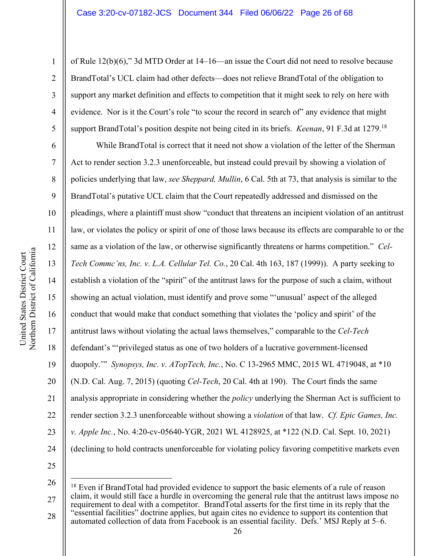of Rule 12(b)(6)," 3d MTD Order at 14–16—an issue the Court did not need to resolve because BrandTotal's UCL claim had other defects—does not relieve BrandTotal of the obligation to support any market definition and effects to competition that it might seek to rely on here with evidence. Nor is it the Court's role "to scour the record in search of" any evidence that might support BrandTotal's position despite not being cited in its briefs. *Keenan*, 91 F.3d at 1279.18

While BrandTotal is correct that it need not show a violation of the letter of the Sherman Act to render section 3.2.3 unenforceable, but instead could prevail by showing a violation of policies underlying that law, *see Sheppard, Mullin*, 6 Cal. 5th at 73, that analysis is similar to the BrandTotal's putative UCL claim that the Court repeatedly addressed and dismissed on the pleadings, where a plaintiff must show "conduct that threatens an incipient violation of an antitrust law, or violates the policy or spirit of one of those laws because its effects are comparable to or the same as a violation of the law, or otherwise significantly threatens or harms competition." *Cel-Tech Commc'ns, Inc. v. L.A. Cellular Tel. Co.*, 20 Cal. 4th 163, 187 (1999)). A party seeking to establish a violation of the "spirit" of the antitrust laws for the purpose of such a claim, without showing an actual violation, must identify and prove some "'unusual' aspect of the alleged conduct that would make that conduct something that violates the 'policy and spirit' of the antitrust laws without violating the actual laws themselves," comparable to the *Cel-Tech* defendant's "'privileged status as one of two holders of a lucrative government-licensed duopoly.'" *Synopsys, Inc. v. ATopTech, Inc.*, No. C 13-2965 MMC, 2015 WL 4719048, at \*10 (N.D. Cal. Aug. 7, 2015) (quoting *Cel-Tech*, 20 Cal. 4th at 190). The Court finds the same analysis appropriate in considering whether the *policy* underlying the Sherman Act is sufficient to render section 3.2.3 unenforceable without showing a *violation* of that law. *Cf. Epic Games, Inc. v. Apple Inc.*, No. 4:20-cv-05640-YGR, 2021 WL 4128925, at \*122 (N.D. Cal. Sept. 10, 2021) (declining to hold contracts unenforceable for violating policy favoring competitive markets even

25 26

27 28 <sup>18</sup> Even if BrandTotal had provided evidence to support the basic elements of a rule of reason claim, it would still face a hurdle in overcoming the general rule that the antitrust laws impose no requirement to deal with a competitor. BrandTotal asserts for the first time in its reply that the "essential facilities" doctrine applies, but again cites no evidence to support its contention that automated collection of data from Facebook is an essential facility. Defs.' MSJ Reply at 5–6.

1

2

3

4

5

6

7

8

9

10

11

12

13

14

15

16

17

18

19

20

21

22

23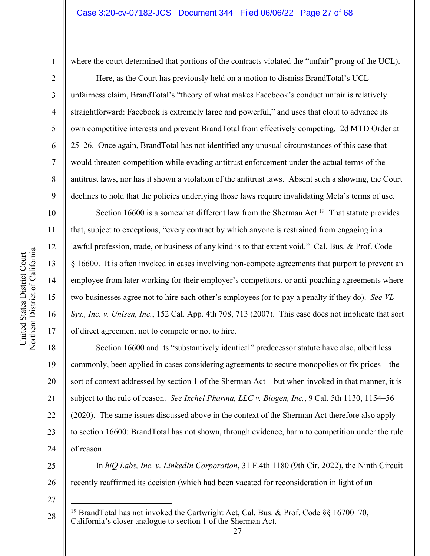1

2

3

4

5

6

7

8

9

10

11

12

13

14

15

16

17

27

where the court determined that portions of the contracts violated the "unfair" prong of the UCL).

Here, as the Court has previously held on a motion to dismiss BrandTotal's UCL unfairness claim, BrandTotal's "theory of what makes Facebook's conduct unfair is relatively straightforward: Facebook is extremely large and powerful," and uses that clout to advance its own competitive interests and prevent BrandTotal from effectively competing. 2d MTD Order at 25–26. Once again, BrandTotal has not identified any unusual circumstances of this case that would threaten competition while evading antitrust enforcement under the actual terms of the antitrust laws, nor has it shown a violation of the antitrust laws. Absent such a showing, the Court declines to hold that the policies underlying those laws require invalidating Meta's terms of use.

Section 16600 is a somewhat different law from the Sherman Act.<sup>19</sup> That statute provides that, subject to exceptions, "every contract by which anyone is restrained from engaging in a lawful profession, trade, or business of any kind is to that extent void." Cal. Bus. & Prof. Code § 16600. It is often invoked in cases involving non-compete agreements that purport to prevent an employee from later working for their employer's competitors, or anti-poaching agreements where two businesses agree not to hire each other's employees (or to pay a penalty if they do). *See VL Sys., Inc. v. Unisen, Inc.*, 152 Cal. App. 4th 708, 713 (2007). This case does not implicate that sort of direct agreement not to compete or not to hire.

18 19 20 21 22 23 24 Section 16600 and its "substantively identical" predecessor statute have also, albeit less commonly, been applied in cases considering agreements to secure monopolies or fix prices—the sort of context addressed by section 1 of the Sherman Act—but when invoked in that manner, it is subject to the rule of reason. *See Ixchel Pharma, LLC v. Biogen, Inc.*, 9 Cal. 5th 1130, 1154–56 (2020). The same issues discussed above in the context of the Sherman Act therefore also apply to section 16600: BrandTotal has not shown, through evidence, harm to competition under the rule of reason.

25 26 In *hiQ Labs, Inc. v. LinkedIn Corporation*, 31 F.4th 1180 (9th Cir. 2022), the Ninth Circuit recently reaffirmed its decision (which had been vacated for reconsideration in light of an

<sup>28</sup> <sup>19</sup> BrandTotal has not invoked the Cartwright Act, Cal. Bus. & Prof. Code §§ 16700–70, California's closer analogue to section 1 of the Sherman Act.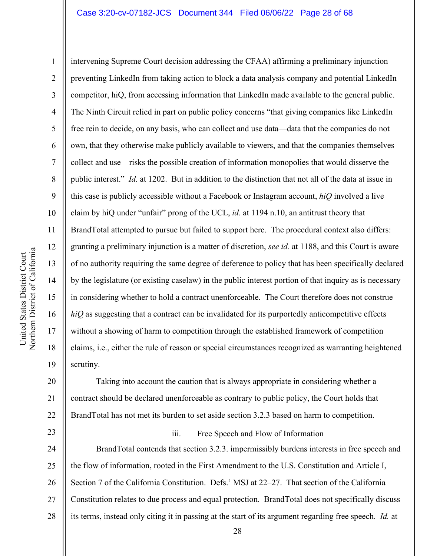#### Case 3:20-cv-07182-JCS Document 344 Filed 06/06/22 Page 28 of 68

Northern District of California Northern District of California United States District Court United States District Court

1

2

3

4

5

6

7

8

9

10

11

12

13

14

15

16

17

18

19

23

intervening Supreme Court decision addressing the CFAA) affirming a preliminary injunction preventing LinkedIn from taking action to block a data analysis company and potential LinkedIn competitor, hiQ, from accessing information that LinkedIn made available to the general public. The Ninth Circuit relied in part on public policy concerns "that giving companies like LinkedIn free rein to decide, on any basis, who can collect and use data—data that the companies do not own, that they otherwise make publicly available to viewers, and that the companies themselves collect and use—risks the possible creation of information monopolies that would disserve the public interest." *Id.* at 1202. But in addition to the distinction that not all of the data at issue in this case is publicly accessible without a Facebook or Instagram account, *hiQ* involved a live claim by hiQ under "unfair" prong of the UCL, *id.* at 1194 n.10, an antitrust theory that BrandTotal attempted to pursue but failed to support here. The procedural context also differs: granting a preliminary injunction is a matter of discretion, *see id.* at 1188, and this Court is aware of no authority requiring the same degree of deference to policy that has been specifically declared by the legislature (or existing caselaw) in the public interest portion of that inquiry as is necessary in considering whether to hold a contract unenforceable. The Court therefore does not construe *hiQ* as suggesting that a contract can be invalidated for its purportedly anticompetitive effects without a showing of harm to competition through the established framework of competition claims, i.e., either the rule of reason or special circumstances recognized as warranting heightened scrutiny.

20 21 22 Taking into account the caution that is always appropriate in considering whether a contract should be declared unenforceable as contrary to public policy, the Court holds that BrandTotal has not met its burden to set aside section 3.2.3 based on harm to competition.

#### iii. Free Speech and Flow of Information

24 25 26 27 28 BrandTotal contends that section 3.2.3. impermissibly burdens interests in free speech and the flow of information, rooted in the First Amendment to the U.S. Constitution and Article I, Section 7 of the California Constitution. Defs.' MSJ at 22–27. That section of the California Constitution relates to due process and equal protection. BrandTotal does not specifically discuss its terms, instead only citing it in passing at the start of its argument regarding free speech. *Id.* at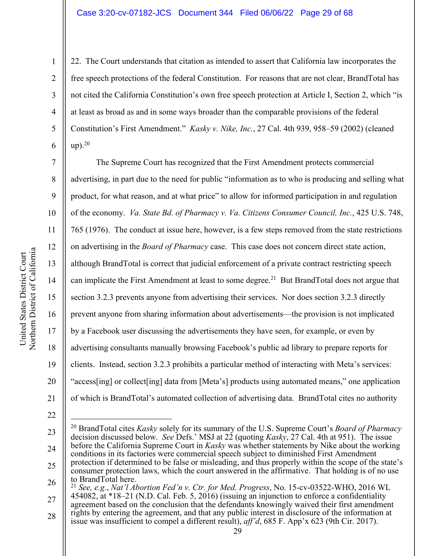22. The Court understands that citation as intended to assert that California law incorporates the free speech protections of the federal Constitution. For reasons that are not clear, BrandTotal has not cited the California Constitution's own free speech protection at Article I, Section 2, which "is at least as broad as and in some ways broader than the comparable provisions of the federal Constitution's First Amendment." *Kasky v. Nike, Inc.*, 27 Cal. 4th 939, 958–59 (2002) (cleaned  $up)$ .<sup>20</sup>

The Supreme Court has recognized that the First Amendment protects commercial advertising, in part due to the need for public "information as to who is producing and selling what product, for what reason, and at what price" to allow for informed participation in and regulation of the economy. *Va. State Bd. of Pharmacy v. Va. Citizens Consumer Council, Inc.*, 425 U.S. 748, 765 (1976). The conduct at issue here, however, is a few steps removed from the state restrictions on advertising in the *Board of Pharmacy* case. This case does not concern direct state action, although BrandTotal is correct that judicial enforcement of a private contract restricting speech can implicate the First Amendment at least to some degree.<sup>21</sup> But BrandTotal does not argue that section 3.2.3 prevents anyone from advertising their services. Nor does section 3.2.3 directly prevent anyone from sharing information about advertisements—the provision is not implicated by a Facebook user discussing the advertisements they have seen, for example, or even by advertising consultants manually browsing Facebook's public ad library to prepare reports for clients. Instead, section 3.2.3 prohibits a particular method of interacting with Meta's services: "access[ing] or collect[ing] data from [Meta's] products using automated means," one application of which is BrandTotal's automated collection of advertising data. BrandTotal cites no authority

21

1

2

3

4

5

6

7

8

9

10

11

12

13

14

15

16

17

18

19

<sup>22</sup>

<sup>23</sup> 24 25 <sup>20</sup> BrandTotal cites *Kasky* solely for its summary of the U.S. Supreme Court's *Board of Pharmacy* decision discussed below. *See* Defs.' MSJ at 22 (quoting *Kasky*, 27 Cal. 4th at 951). The issue before the California Supreme Court in *Kasky* was whether statements by Nike about the working conditions in its factories were commercial speech subject to diminished First Amendment protection if determined to be false or misleading, and thus properly within the scope of the state's consumer protection laws, which the court answered in the affirmative. That holding is of no use to BrandTotal here.

<sup>26</sup> 27 <sup>21</sup> *See, e.g.*, *Nat'l Abortion Fed'n v. Ctr. for Med. Progress*, No. 15-cv-03522-WHO, 2016 WL 454082, at \*18–21 (N.D. Cal. Feb. 5, 2016) (issuing an injunction to enforce a confidentiality

agreement based on the conclusion that the defendants knowingly waived their first amendment rights by entering the agreement, and that any public interest in disclosure of the information at

<sup>28</sup> issue was insufficient to compel a different result), *aff'd*, 685 F. App'x 623 (9th Cir. 2017).

<sup>29</sup>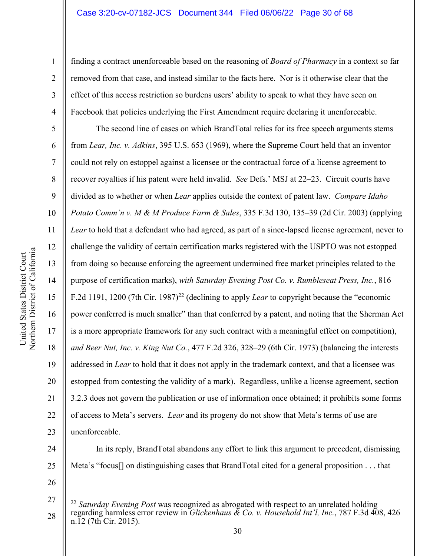#### Case 3:20-cv-07182-JCS Document 344 Filed 06/06/22 Page 30 of 68

finding a contract unenforceable based on the reasoning of *Board of Pharmacy* in a context so far removed from that case, and instead similar to the facts here. Nor is it otherwise clear that the effect of this access restriction so burdens users' ability to speak to what they have seen on Facebook that policies underlying the First Amendment require declaring it unenforceable.

The second line of cases on which BrandTotal relies for its free speech arguments stems from *Lear, Inc. v. Adkins*, 395 U.S. 653 (1969), where the Supreme Court held that an inventor could not rely on estoppel against a licensee or the contractual force of a license agreement to recover royalties if his patent were held invalid. *See* Defs.' MSJ at 22–23. Circuit courts have divided as to whether or when *Lear* applies outside the context of patent law. *Compare Idaho Potato Comm'n v. M & M Produce Farm & Sales*, 335 F.3d 130, 135–39 (2d Cir. 2003) (applying *Lear* to hold that a defendant who had agreed, as part of a since-lapsed license agreement, never to challenge the validity of certain certification marks registered with the USPTO was not estopped from doing so because enforcing the agreement undermined free market principles related to the purpose of certification marks), *with Saturday Evening Post Co. v. Rumbleseat Press, Inc.*, 816 F.2d 1191, 1200 (7th Cir. 1987)22 (declining to apply *Lear* to copyright because the "economic power conferred is much smaller" than that conferred by a patent, and noting that the Sherman Act is a more appropriate framework for any such contract with a meaningful effect on competition), *and Beer Nut, Inc. v. King Nut Co.*, 477 F.2d 326, 328–29 (6th Cir. 1973) (balancing the interests addressed in *Lear* to hold that it does not apply in the trademark context, and that a licensee was estopped from contesting the validity of a mark). Regardless, unlike a license agreement, section 3.2.3 does not govern the publication or use of information once obtained; it prohibits some forms of access to Meta's servers. *Lear* and its progeny do not show that Meta's terms of use are unenforceable.

24 25 In its reply, BrandTotal abandons any effort to link this argument to precedent, dismissing Meta's "focus[] on distinguishing cases that BrandTotal cited for a general proposition . . . that

Northern District of California Northern District of California United States District Court United States District Court

1

2

3

4

5

6

7

8

9

10

11

12

13

14

15

16

17

18

19

20

21

22

23

<sup>27</sup> 28 <sup>22</sup> *Saturday Evening Post* was recognized as abrogated with respect to an unrelated holding regarding harmless error review in *Glickenhaus & Co. v. Household Int'l, Inc.*, 787 F.3d 408, 426 n.12 (7th Cir. 2015).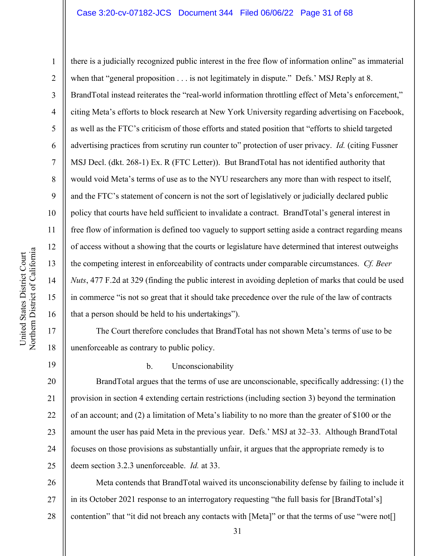### Case 3:20-cv-07182-JCS Document 344 Filed 06/06/22 Page 31 of 68

Northern District of California Northern District of California United States District Court United States District Court

1

2

3

4

5

6

7

8

9

10

11

12

13

14

15

16

17

18

there is a judicially recognized public interest in the free flow of information online" as immaterial when that "general proposition . . . is not legitimately in dispute." Defs.' MSJ Reply at 8. BrandTotal instead reiterates the "real-world information throttling effect of Meta's enforcement," citing Meta's efforts to block research at New York University regarding advertising on Facebook, as well as the FTC's criticism of those efforts and stated position that "efforts to shield targeted advertising practices from scrutiny run counter to" protection of user privacy. *Id.* (citing Fussner MSJ Decl. (dkt. 268-1) Ex. R (FTC Letter)). But BrandTotal has not identified authority that would void Meta's terms of use as to the NYU researchers any more than with respect to itself, and the FTC's statement of concern is not the sort of legislatively or judicially declared public policy that courts have held sufficient to invalidate a contract. BrandTotal's general interest in free flow of information is defined too vaguely to support setting aside a contract regarding means of access without a showing that the courts or legislature have determined that interest outweighs the competing interest in enforceability of contracts under comparable circumstances. *Cf. Beer Nuts*, 477 F.2d at 329 (finding the public interest in avoiding depletion of marks that could be used in commerce "is not so great that it should take precedence over the rule of the law of contracts that a person should be held to his undertakings").

The Court therefore concludes that BrandTotal has not shown Meta's terms of use to be unenforceable as contrary to public policy.

19

#### b. Unconscionability

20 21 22 23 24 25 BrandTotal argues that the terms of use are unconscionable, specifically addressing: (1) the provision in section 4 extending certain restrictions (including section 3) beyond the termination of an account; and (2) a limitation of Meta's liability to no more than the greater of \$100 or the amount the user has paid Meta in the previous year. Defs.' MSJ at 32–33. Although BrandTotal focuses on those provisions as substantially unfair, it argues that the appropriate remedy is to deem section 3.2.3 unenforceable. *Id.* at 33.

26 27 28 Meta contends that BrandTotal waived its unconscionability defense by failing to include it in its October 2021 response to an interrogatory requesting "the full basis for [BrandTotal's] contention" that "it did not breach any contacts with [Meta]" or that the terms of use "were not[]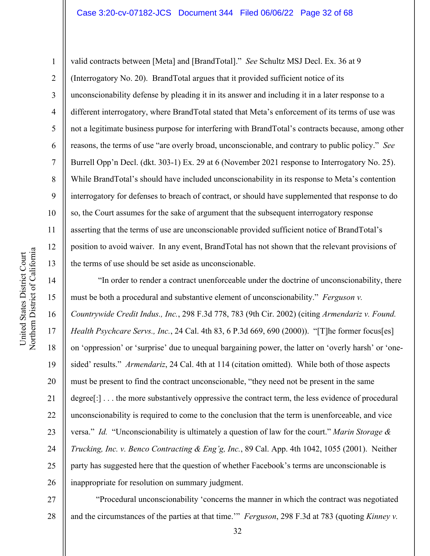### Case 3:20-cv-07182-JCS Document 344 Filed 06/06/22 Page 32 of 68

18

United States District Court Northern District of California

Northern District of California United States District Court

19

20

21

22

23

24

25

26

1

valid contracts between [Meta] and [BrandTotal]." *See* Schultz MSJ Decl. Ex. 36 at 9 (Interrogatory No. 20). BrandTotal argues that it provided sufficient notice of its unconscionability defense by pleading it in its answer and including it in a later response to a different interrogatory, where BrandTotal stated that Meta's enforcement of its terms of use was not a legitimate business purpose for interfering with BrandTotal's contracts because, among other reasons, the terms of use "are overly broad, unconscionable, and contrary to public policy." *See* Burrell Opp'n Decl. (dkt. 303-1) Ex. 29 at 6 (November 2021 response to Interrogatory No. 25). While BrandTotal's should have included unconscionability in its response to Meta's contention interrogatory for defenses to breach of contract, or should have supplemented that response to do so, the Court assumes for the sake of argument that the subsequent interrogatory response asserting that the terms of use are unconscionable provided sufficient notice of BrandTotal's position to avoid waiver. In any event, BrandTotal has not shown that the relevant provisions of the terms of use should be set aside as unconscionable.

"In order to render a contract unenforceable under the doctrine of unconscionability, there must be both a procedural and substantive element of unconscionability." *Ferguson v. Countrywide Credit Indus., Inc.*, 298 F.3d 778, 783 (9th Cir. 2002) (citing *Armendariz v. Found. Health Psychcare Servs., Inc.*, 24 Cal. 4th 83, 6 P.3d 669, 690 (2000)). "[T]he former focus[es] on 'oppression' or 'surprise' due to unequal bargaining power, the latter on 'overly harsh' or 'onesided' results." *Armendariz*, 24 Cal. 4th at 114 (citation omitted). While both of those aspects must be present to find the contract unconscionable, "they need not be present in the same degree[:] . . . the more substantively oppressive the contract term, the less evidence of procedural unconscionability is required to come to the conclusion that the term is unenforceable, and vice versa." *Id.* "Unconscionability is ultimately a question of law for the court." *Marin Storage & Trucking, Inc. v. Benco Contracting & Eng'g, Inc.*, 89 Cal. App. 4th 1042, 1055 (2001). Neither party has suggested here that the question of whether Facebook's terms are unconscionable is inappropriate for resolution on summary judgment.

27 28 "Procedural unconscionability 'concerns the manner in which the contract was negotiated and the circumstances of the parties at that time.'" *Ferguson*, 298 F.3d at 783 (quoting *Kinney v.*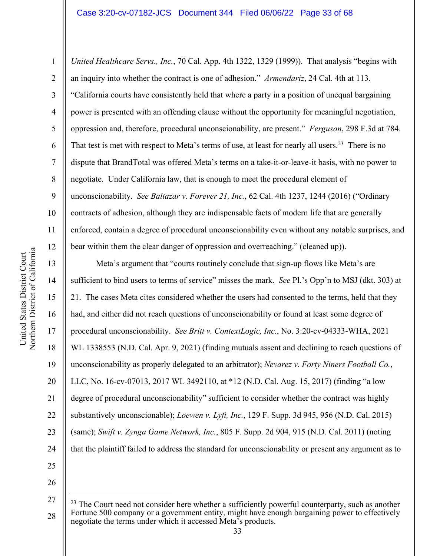#### Case 3:20-cv-07182-JCS Document 344 Filed 06/06/22 Page 33 of 68

*United Healthcare Servs., Inc.*, 70 Cal. App. 4th 1322, 1329 (1999)). That analysis "begins with an inquiry into whether the contract is one of adhesion." *Armendariz*, 24 Cal. 4th at 113. "California courts have consistently held that where a party in a position of unequal bargaining power is presented with an offending clause without the opportunity for meaningful negotiation, oppression and, therefore, procedural unconscionability, are present." *Ferguson*, 298 F.3d at 784. That test is met with respect to Meta's terms of use, at least for nearly all users.<sup>23</sup> There is no dispute that BrandTotal was offered Meta's terms on a take-it-or-leave-it basis, with no power to negotiate. Under California law, that is enough to meet the procedural element of unconscionability. *See Baltazar v. Forever 21, Inc.*, 62 Cal. 4th 1237, 1244 (2016) ("Ordinary contracts of adhesion, although they are indispensable facts of modern life that are generally enforced, contain a degree of procedural unconscionability even without any notable surprises, and bear within them the clear danger of oppression and overreaching." (cleaned up)).

Meta's argument that "courts routinely conclude that sign-up flows like Meta's are sufficient to bind users to terms of service" misses the mark. *See* Pl.'s Opp'n to MSJ (dkt. 303) at 21. The cases Meta cites considered whether the users had consented to the terms, held that they had, and either did not reach questions of unconscionability or found at least some degree of procedural unconscionability. *See Britt v. ContextLogic, Inc.*, No. 3:20-cv-04333-WHA, 2021 WL 1338553 (N.D. Cal. Apr. 9, 2021) (finding mutuals assent and declining to reach questions of unconscionability as properly delegated to an arbitrator); *Nevarez v. Forty Niners Football Co.*, LLC, No. 16-cv-07013, 2017 WL 3492110, at \*12 (N.D. Cal. Aug. 15, 2017) (finding "a low degree of procedural unconscionability" sufficient to consider whether the contract was highly substantively unconscionable); *Loewen v. Lyft, Inc.*, 129 F. Supp. 3d 945, 956 (N.D. Cal. 2015) (same); *Swift v. Zynga Game Network, Inc.*, 805 F. Supp. 2d 904, 915 (N.D. Cal. 2011) (noting that the plaintiff failed to address the standard for unconscionability or present any argument as to

26

25

1

2

3

4

5

6

7

8

9

10

11

12

13

14

15

16

17

18

19

20

21

22

23

<sup>27</sup> 28 <sup>23</sup> The Court need not consider here whether a sufficiently powerful counterparty, such as another Fortune 500 company or a government entity, might have enough bargaining power to effectively negotiate the terms under which it accessed Meta's products.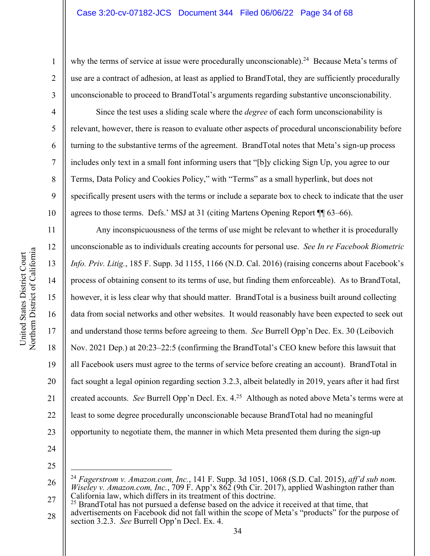why the terms of service at issue were procedurally unconscionable).<sup>24</sup> Because Meta's terms of use are a contract of adhesion, at least as applied to BrandTotal, they are sufficiently procedurally unconscionable to proceed to BrandTotal's arguments regarding substantive unconscionability.

Since the test uses a sliding scale where the *degree* of each form unconscionability is relevant, however, there is reason to evaluate other aspects of procedural unconscionability before turning to the substantive terms of the agreement. BrandTotal notes that Meta's sign-up process includes only text in a small font informing users that "[b]y clicking Sign Up, you agree to our Terms, Data Policy and Cookies Policy," with "Terms" as a small hyperlink, but does not specifically present users with the terms or include a separate box to check to indicate that the user agrees to those terms. Defs.' MSJ at 31 (citing Martens Opening Report ¶¶ 63–66).

Any inconspicuousness of the terms of use might be relevant to whether it is procedurally unconscionable as to individuals creating accounts for personal use. *See In re Facebook Biometric Info. Priv. Litig.*, 185 F. Supp. 3d 1155, 1166 (N.D. Cal. 2016) (raising concerns about Facebook's process of obtaining consent to its terms of use, but finding them enforceable). As to BrandTotal, however, it is less clear why that should matter. BrandTotal is a business built around collecting data from social networks and other websites. It would reasonably have been expected to seek out and understand those terms before agreeing to them. *See* Burrell Opp'n Dec. Ex. 30 (Leibovich Nov. 2021 Dep.) at 20:23–22:5 (confirming the BrandTotal's CEO knew before this lawsuit that all Facebook users must agree to the terms of service before creating an account). BrandTotal in fact sought a legal opinion regarding section 3.2.3, albeit belatedly in 2019, years after it had first created accounts. *See* Burrell Opp'n Decl. Ex. 4.25 Although as noted above Meta's terms were at least to some degree procedurally unconscionable because BrandTotal had no meaningful opportunity to negotiate them, the manner in which Meta presented them during the sign-up

24

25

28 <sup>25</sup> BrandTotal has not pursued a defense based on the advice it received at that time, that advertisements on Facebook did not fall within the scope of Meta's "products" for the purpose of section 3.2.3. *See* Burrell Opp'n Decl. Ex. 4.

1

2

3

4

5

6

7

8

9

10

11

12

13

14

15

16

17

18

19

20

21

22

<sup>26</sup> 27 <sup>24</sup> *Fagerstrom v. Amazon.com, Inc.*, 141 F. Supp. 3d 1051, 1068 (S.D. Cal. 2015), *aff'd sub nom. Wiseley v. Amazon.com, Inc., 709 F. App'x 862 (9th Cir. 2017), applied Washington rather than* California law, which differs in its treatment of this doctrine.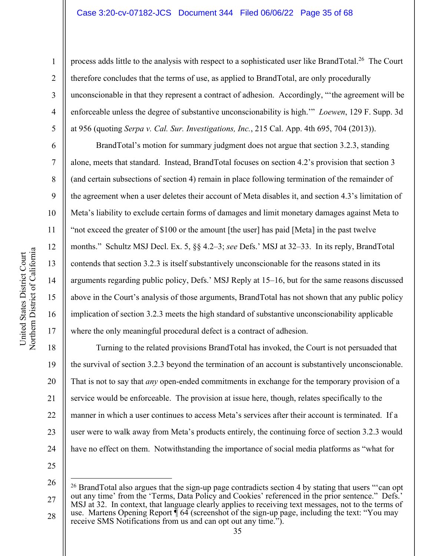#### Case 3:20-cv-07182-JCS Document 344 Filed 06/06/22 Page 35 of 68

1

2

3

4

5

6

7

8

9

10

11

12

13

14

15

16

17

process adds little to the analysis with respect to a sophisticated user like BrandTotal.<sup>26</sup> The Court therefore concludes that the terms of use, as applied to BrandTotal, are only procedurally unconscionable in that they represent a contract of adhesion. Accordingly, "'the agreement will be enforceable unless the degree of substantive unconscionability is high.'" *Loewen*, 129 F. Supp. 3d at 956 (quoting *Serpa v. Cal. Sur. Investigations, Inc.*, 215 Cal. App. 4th 695, 704 (2013)).

BrandTotal's motion for summary judgment does not argue that section 3.2.3, standing alone, meets that standard. Instead, BrandTotal focuses on section 4.2's provision that section 3 (and certain subsections of section 4) remain in place following termination of the remainder of the agreement when a user deletes their account of Meta disables it, and section 4.3's limitation of Meta's liability to exclude certain forms of damages and limit monetary damages against Meta to "not exceed the greater of \$100 or the amount [the user] has paid [Meta] in the past twelve months." Schultz MSJ Decl. Ex. 5, §§ 4.2–3; *see* Defs.' MSJ at 32–33. In its reply, BrandTotal contends that section 3.2.3 is itself substantively unconscionable for the reasons stated in its arguments regarding public policy, Defs.' MSJ Reply at 15–16, but for the same reasons discussed above in the Court's analysis of those arguments, BrandTotal has not shown that any public policy implication of section 3.2.3 meets the high standard of substantive unconscionability applicable where the only meaningful procedural defect is a contract of adhesion.

18 19 20 21 22 23 24 Turning to the related provisions BrandTotal has invoked, the Court is not persuaded that the survival of section 3.2.3 beyond the termination of an account is substantively unconscionable. That is not to say that *any* open-ended commitments in exchange for the temporary provision of a service would be enforceable. The provision at issue here, though, relates specifically to the manner in which a user continues to access Meta's services after their account is terminated. If a user were to walk away from Meta's products entirely, the continuing force of section 3.2.3 would have no effect on them. Notwithstanding the importance of social media platforms as "what for

<sup>27</sup> <sup>26</sup> BrandTotal also argues that the sign-up page contradicts section 4 by stating that users "'can opt out any time' from the 'Terms, Data Policy and Cookies' referenced in the prior sentence." Defs.' MSJ at 32. In context, that language clearly applies to receiving text messages, not to the terms of use. Martens Opening Report  $\overline{\P}$  64 (screenshot of the sign-up page, including the text: "You may

<sup>28</sup> receive SMS Notifications from us and can opt out any time.").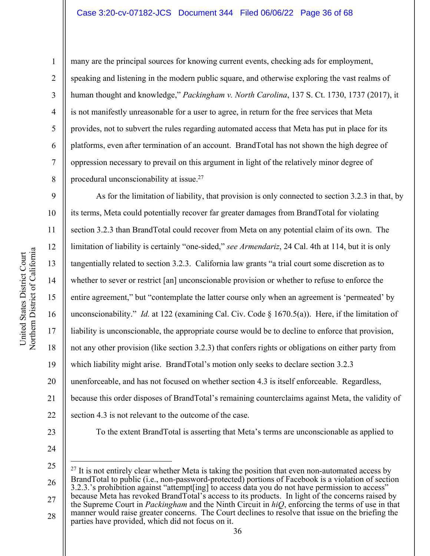7

8

1

many are the principal sources for knowing current events, checking ads for employment, speaking and listening in the modern public square, and otherwise exploring the vast realms of human thought and knowledge," *Packingham v. North Carolina*, 137 S. Ct. 1730, 1737 (2017), it is not manifestly unreasonable for a user to agree, in return for the free services that Meta provides, not to subvert the rules regarding automated access that Meta has put in place for its platforms, even after termination of an account. BrandTotal has not shown the high degree of oppression necessary to prevail on this argument in light of the relatively minor degree of procedural unconscionability at issue.<sup>27</sup>

9 10 11 12 13 14 15 16 17 18 19 20 21 22 23 As for the limitation of liability, that provision is only connected to section 3.2.3 in that, by its terms, Meta could potentially recover far greater damages from BrandTotal for violating section 3.2.3 than BrandTotal could recover from Meta on any potential claim of its own. The limitation of liability is certainly "one-sided," *see Armendariz*, 24 Cal. 4th at 114, but it is only tangentially related to section 3.2.3. California law grants "a trial court some discretion as to whether to sever or restrict [an] unconscionable provision or whether to refuse to enforce the entire agreement," but "contemplate the latter course only when an agreement is 'permeated' by unconscionability." *Id.* at 122 (examining Cal. Civ. Code § 1670.5(a)). Here, if the limitation of liability is unconscionable, the appropriate course would be to decline to enforce that provision, not any other provision (like section 3.2.3) that confers rights or obligations on either party from which liability might arise. BrandTotal's motion only seeks to declare section 3.2.3 unenforceable, and has not focused on whether section 4.3 is itself enforceable. Regardless, because this order disposes of BrandTotal's remaining counterclaims against Meta, the validity of section 4.3 is not relevant to the outcome of the case. To the extent BrandTotal is asserting that Meta's terms are unconscionable as applied to

24

25 26 27  $27$  It is not entirely clear whether Meta is taking the position that even non-automated access by BrandTotal to public (i.e., non-password-protected) portions of Facebook is a violation of section 3.2.3.'s prohibition against "attempt[ing] to access data you do not have permission to access" because Meta has revoked BrandTotal's access to its products. In light of the concerns raised by

28 the Supreme Court in *Packingham* and the Ninth Circuit in *hiQ*, enforcing the terms of use in that manner would raise greater concerns. The Court declines to resolve that issue on the briefing the parties have provided, which did not focus on it.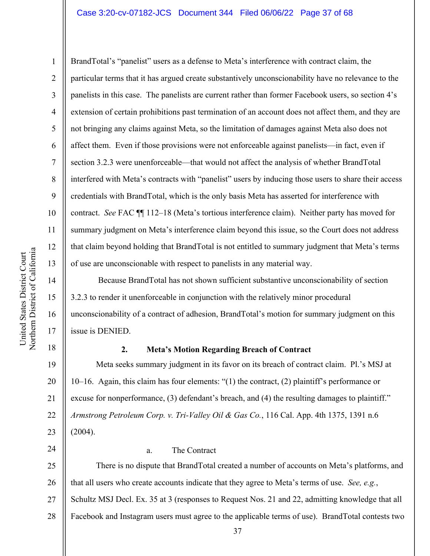## Case 3:20-cv-07182-JCS Document 344 Filed 06/06/22 Page 37 of 68

Northern District of California Northern District of California United States District Court United States District Court

1

2

3

4

5

6

7

8

9

10

11

12

13

14

15

16

17

18

24

BrandTotal's "panelist" users as a defense to Meta's interference with contract claim, the particular terms that it has argued create substantively unconscionability have no relevance to the panelists in this case. The panelists are current rather than former Facebook users, so section 4's extension of certain prohibitions past termination of an account does not affect them, and they are not bringing any claims against Meta, so the limitation of damages against Meta also does not affect them. Even if those provisions were not enforceable against panelists—in fact, even if section 3.2.3 were unenforceable—that would not affect the analysis of whether BrandTotal interfered with Meta's contracts with "panelist" users by inducing those users to share their access credentials with BrandTotal, which is the only basis Meta has asserted for interference with contract. *See* FAC ¶¶ 112–18 (Meta's tortious interference claim). Neither party has moved for summary judgment on Meta's interference claim beyond this issue, so the Court does not address that claim beyond holding that BrandTotal is not entitled to summary judgment that Meta's terms of use are unconscionable with respect to panelists in any material way.

Because BrandTotal has not shown sufficient substantive unconscionability of section 3.2.3 to render it unenforceable in conjunction with the relatively minor procedural unconscionability of a contract of adhesion, BrandTotal's motion for summary judgment on this issue is DENIED.

## **2. Meta's Motion Regarding Breach of Contract**

19 20 21 22 23 Meta seeks summary judgment in its favor on its breach of contract claim. Pl.'s MSJ at 10–16. Again, this claim has four elements: "(1) the contract, (2) plaintiff's performance or excuse for nonperformance, (3) defendant's breach, and (4) the resulting damages to plaintiff." *Armstrong Petroleum Corp. v. Tri-Valley Oil & Gas Co.*, 116 Cal. App. 4th 1375, 1391 n.6 (2004).

#### a. The Contract

25 26 27 28 There is no dispute that BrandTotal created a number of accounts on Meta's platforms, and that all users who create accounts indicate that they agree to Meta's terms of use. *See, e.g.*, Schultz MSJ Decl. Ex. 35 at 3 (responses to Request Nos. 21 and 22, admitting knowledge that all Facebook and Instagram users must agree to the applicable terms of use). BrandTotal contests two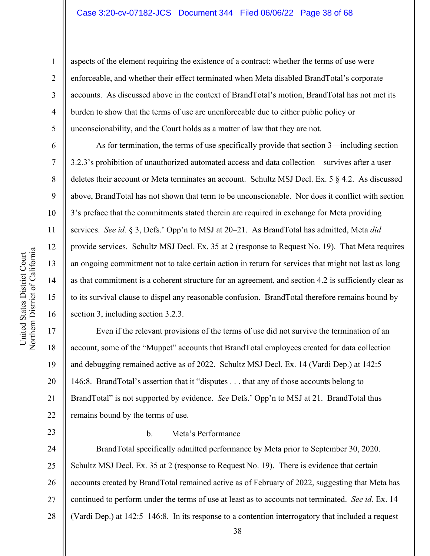## Case 3:20-cv-07182-JCS Document 344 Filed 06/06/22 Page 38 of 68

aspects of the element requiring the existence of a contract: whether the terms of use were enforceable, and whether their effect terminated when Meta disabled BrandTotal's corporate accounts. As discussed above in the context of BrandTotal's motion, BrandTotal has not met its burden to show that the terms of use are unenforceable due to either public policy or unconscionability, and the Court holds as a matter of law that they are not.

As for termination, the terms of use specifically provide that section 3—including section 3.2.3's prohibition of unauthorized automated access and data collection—survives after a user deletes their account or Meta terminates an account. Schultz MSJ Decl. Ex. 5 § 4.2. As discussed above, BrandTotal has not shown that term to be unconscionable. Nor does it conflict with section 3's preface that the commitments stated therein are required in exchange for Meta providing services. *See id.* § 3, Defs.' Opp'n to MSJ at 20–21. As BrandTotal has admitted, Meta *did*  provide services. Schultz MSJ Decl. Ex. 35 at 2 (response to Request No. 19). That Meta requires an ongoing commitment not to take certain action in return for services that might not last as long as that commitment is a coherent structure for an agreement, and section 4.2 is sufficiently clear as to its survival clause to dispel any reasonable confusion. BrandTotal therefore remains bound by section 3, including section 3.2.3.

Even if the relevant provisions of the terms of use did not survive the termination of an account, some of the "Muppet" accounts that BrandTotal employees created for data collection and debugging remained active as of 2022. Schultz MSJ Decl. Ex. 14 (Vardi Dep.) at 142:5– 146:8. BrandTotal's assertion that it "disputes . . . that any of those accounts belong to BrandTotal" is not supported by evidence. *See* Defs.' Opp'n to MSJ at 21. BrandTotal thus remains bound by the terms of use.

23

# b. Meta's Performance

24 25 26 27 28 BrandTotal specifically admitted performance by Meta prior to September 30, 2020. Schultz MSJ Decl. Ex. 35 at 2 (response to Request No. 19). There is evidence that certain accounts created by BrandTotal remained active as of February of 2022, suggesting that Meta has continued to perform under the terms of use at least as to accounts not terminated. *See id.* Ex. 14 (Vardi Dep.) at 142:5–146:8. In its response to a contention interrogatory that included a request

1

2

3

4

5

6

7

8

9

10

11

12

13

14

15

16

17

18

19

20

21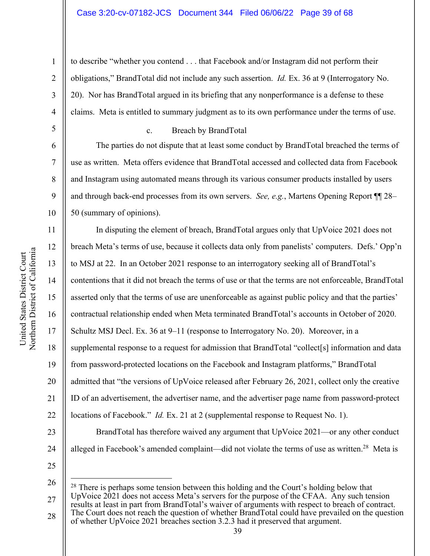#### Case 3:20-cv-07182-JCS Document 344 Filed 06/06/22 Page 39 of 68

to describe "whether you contend . . . that Facebook and/or Instagram did not perform their obligations," BrandTotal did not include any such assertion. *Id.* Ex. 36 at 9 (Interrogatory No. 20). Nor has BrandTotal argued in its briefing that any nonperformance is a defense to these claims. Meta is entitled to summary judgment as to its own performance under the terms of use.

# c. Breach by BrandTotal

The parties do not dispute that at least some conduct by BrandTotal breached the terms of use as written. Meta offers evidence that BrandTotal accessed and collected data from Facebook and Instagram using automated means through its various consumer products installed by users and through back-end processes from its own servers. *See, e.g.*, Martens Opening Report ¶¶ 28– 50 (summary of opinions).

16 20 In disputing the element of breach, BrandTotal argues only that UpVoice 2021 does not breach Meta's terms of use, because it collects data only from panelists' computers. Defs.' Opp'n to MSJ at 22. In an October 2021 response to an interrogatory seeking all of BrandTotal's contentions that it did not breach the terms of use or that the terms are not enforceable, BrandTotal asserted only that the terms of use are unenforceable as against public policy and that the parties' contractual relationship ended when Meta terminated BrandTotal's accounts in October of 2020. Schultz MSJ Decl. Ex. 36 at 9–11 (response to Interrogatory No. 20). Moreover, in a supplemental response to a request for admission that BrandTotal "collect[s] information and data from password-protected locations on the Facebook and Instagram platforms," BrandTotal admitted that "the versions of UpVoice released after February 26, 2021, collect only the creative ID of an advertisement, the advertiser name, and the advertiser page name from password-protect locations of Facebook." *Id.* Ex. 21 at 2 (supplemental response to Request No. 1). BrandTotal has therefore waived any argument that UpVoice 2021—or any other conduct alleged in Facebook's amended complaint—did not violate the terms of use as written.<sup>28</sup> Meta is

25 26

1

2

3

4

5

6

7

8

9

10

11

12

13

14

15

17

18

19

21

22

23

<sup>27</sup> 28 <sup>28</sup> There is perhaps some tension between this holding and the Court's holding below that UpVoice 2021 does not access Meta's servers for the purpose of the CFAA. Any such tension results at least in part from BrandTotal's waiver of arguments with respect to breach of contract. The Court does not reach the question of whether BrandTotal could have prevailed on the question of whether UpVoice 2021 breaches section 3.2.3 had it preserved that argument.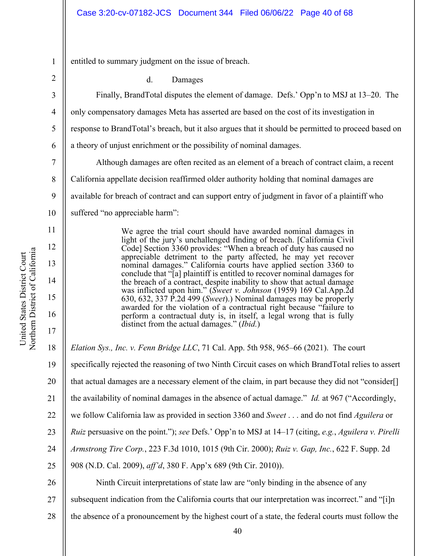entitled to summary judgment on the issue of breach.

2

3

4

5

6

7

8

9

10

11

12

13

14

15

16

17

1

d. Damages

Finally, BrandTotal disputes the element of damage. Defs.' Opp'n to MSJ at 13–20. The only compensatory damages Meta has asserted are based on the cost of its investigation in response to BrandTotal's breach, but it also argues that it should be permitted to proceed based on a theory of unjust enrichment or the possibility of nominal damages.

Although damages are often recited as an element of a breach of contract claim, a recent California appellate decision reaffirmed older authority holding that nominal damages are available for breach of contract and can support entry of judgment in favor of a plaintiff who suffered "no appreciable harm":

> We agree the trial court should have awarded nominal damages in light of the jury's unchallenged finding of breach. [California Civil Code] Section 3360 provides: "When a breach of duty has caused no appreciable detriment to the party affected, he may yet recover nominal damages." California courts have applied section 3360 to conclude that "[a] plaintiff is entitled to recover nominal damages for the breach of a contract, despite inability to show that actual damage was inflicted upon him." (*Sweet v. Johnson* (1959) 169 Cal.App.2d 630, 632, 337 P.2d 499 (*Sweet*).) Nominal damages may be properly awarded for the violation of a contractual right because "failure to perform a contractual duty is, in itself, a legal wrong that is fully distinct from the actual damages." (*Ibid.*)

18 *Elation Sys., Inc. v. Fenn Bridge LLC*, 71 Cal. App. 5th 958, 965–66 (2021). The court

19 specifically rejected the reasoning of two Ninth Circuit cases on which BrandTotal relies to assert

20 that actual damages are a necessary element of the claim, in part because they did not "consider[]

21 the availability of nominal damages in the absence of actual damage." *Id.* at 967 ("Accordingly,

22 we follow California law as provided in section 3360 and *Sweet* . . . and do not find *Aguilera* or

23 *Ruiz* persuasive on the point."); *see* Defs.' Opp'n to MSJ at 14–17 (citing, *e.g.*, *Aguilera v. Pirelli* 

24 *Armstrong Tire Corp.*, 223 F.3d 1010, 1015 (9th Cir. 2000); *Ruiz v. Gap, Inc.*, 622 F. Supp. 2d

25 908 (N.D. Cal. 2009), *aff'd*, 380 F. App'x 689 (9th Cir. 2010)).

26 27 28 Ninth Circuit interpretations of state law are "only binding in the absence of any subsequent indication from the California courts that our interpretation was incorrect." and "[i]n the absence of a pronouncement by the highest court of a state, the federal courts must follow the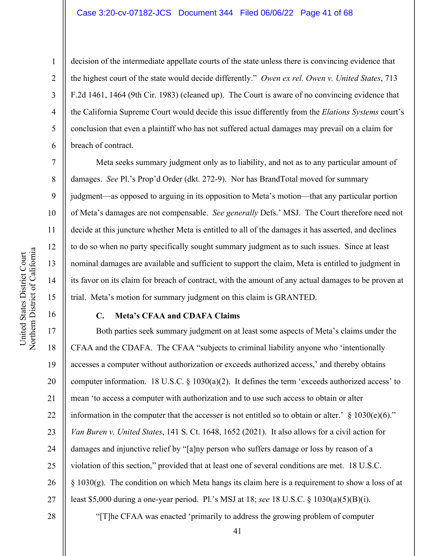7

8

9

10

11

12

13

14

15

16

1

decision of the intermediate appellate courts of the state unless there is convincing evidence that the highest court of the state would decide differently." *Owen ex rel. Owen v. United States*, 713 F.2d 1461, 1464 (9th Cir. 1983) (cleaned up). The Court is aware of no convincing evidence that the California Supreme Court would decide this issue differently from the *Elations Systems* court's conclusion that even a plaintiff who has not suffered actual damages may prevail on a claim for breach of contract.

Meta seeks summary judgment only as to liability, and not as to any particular amount of damages. *See* Pl.'s Prop'd Order (dkt. 272-9). Nor has BrandTotal moved for summary judgment—as opposed to arguing in its opposition to Meta's motion—that any particular portion of Meta's damages are not compensable. *See generally* Defs.' MSJ. The Court therefore need not decide at this juncture whether Meta is entitled to all of the damages it has asserted, and declines to do so when no party specifically sought summary judgment as to such issues. Since at least nominal damages are available and sufficient to support the claim, Meta is entitled to judgment in its favor on its claim for breach of contract, with the amount of any actual damages to be proven at trial. Meta's motion for summary judgment on this claim is GRANTED.

## **C. Meta's CFAA and CDAFA Claims**

17 18 19 20 21 22 23 24 25 26 27 Both parties seek summary judgment on at least some aspects of Meta's claims under the CFAA and the CDAFA. The CFAA "subjects to criminal liability anyone who 'intentionally accesses a computer without authorization or exceeds authorized access,' and thereby obtains computer information. 18 U.S.C. § 1030(a)(2). It defines the term 'exceeds authorized access' to mean 'to access a computer with authorization and to use such access to obtain or alter information in the computer that the accesser is not entitled so to obtain or alter.'  $\S$  1030(e)(6)." *Van Buren v. United States*, 141 S. Ct. 1648, 1652 (2021). It also allows for a civil action for damages and injunctive relief by "[a]ny person who suffers damage or loss by reason of a violation of this section," provided that at least one of several conditions are met. 18 U.S.C.  $\S$  1030(g). The condition on which Meta hangs its claim here is a requirement to show a loss of at least \$5,000 during a one-year period. Pl.'s MSJ at 18; *see* 18 U.S.C. § 1030(a)(5)(B)(i).

28

"[T]he CFAA was enacted 'primarily to address the growing problem of computer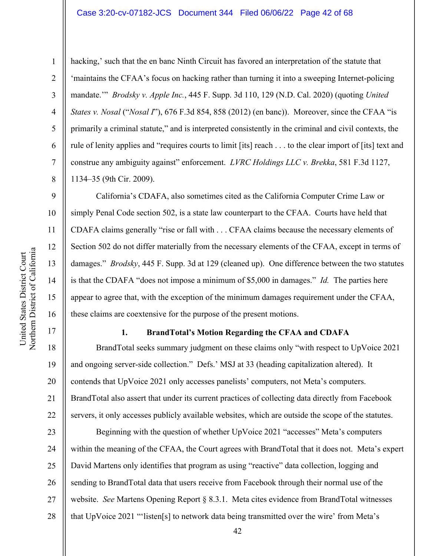## Case 3:20-cv-07182-JCS Document 344 Filed 06/06/22 Page 42 of 68

hacking,' such that the en banc Ninth Circuit has favored an interpretation of the statute that 'maintains the CFAA's focus on hacking rather than turning it into a sweeping Internet-policing mandate.'" *Brodsky v. Apple Inc.*, 445 F. Supp. 3d 110, 129 (N.D. Cal. 2020) (quoting *United States v. Nosal* ("*Nosal I*"), 676 F.3d 854, 858 (2012) (en banc)). Moreover, since the CFAA "is primarily a criminal statute," and is interpreted consistently in the criminal and civil contexts, the rule of lenity applies and "requires courts to limit [its] reach . . . to the clear import of [its] text and construe any ambiguity against" enforcement. *LVRC Holdings LLC v. Brekka*, 581 F.3d 1127, 1134–35 (9th Cir. 2009).

California's CDAFA, also sometimes cited as the California Computer Crime Law or simply Penal Code section 502, is a state law counterpart to the CFAA. Courts have held that CDAFA claims generally "rise or fall with . . . CFAA claims because the necessary elements of Section 502 do not differ materially from the necessary elements of the CFAA, except in terms of damages." *Brodsky*, 445 F. Supp. 3d at 129 (cleaned up). One difference between the two statutes is that the CDAFA "does not impose a minimum of \$5,000 in damages." *Id.* The parties here appear to agree that, with the exception of the minimum damages requirement under the CFAA, these claims are coextensive for the purpose of the present motions.

# **1. BrandTotal's Motion Regarding the CFAA and CDAFA**

18 19 20 21 22 BrandTotal seeks summary judgment on these claims only "with respect to UpVoice 2021 and ongoing server-side collection." Defs.' MSJ at 33 (heading capitalization altered). It contends that UpVoice 2021 only accesses panelists' computers, not Meta's computers. BrandTotal also assert that under its current practices of collecting data directly from Facebook servers, it only accesses publicly available websites, which are outside the scope of the statutes.

23 24 25 26 27 28 Beginning with the question of whether UpVoice 2021 "accesses" Meta's computers within the meaning of the CFAA, the Court agrees with BrandTotal that it does not. Meta's expert David Martens only identifies that program as using "reactive" data collection, logging and sending to BrandTotal data that users receive from Facebook through their normal use of the website. *See* Martens Opening Report § 8.3.1. Meta cites evidence from BrandTotal witnesses that UpVoice 2021 "'listen[s] to network data being transmitted over the wire' from Meta's

1

2

3

4

5

6

7

8

9

10

11

12

13

14

15

16

17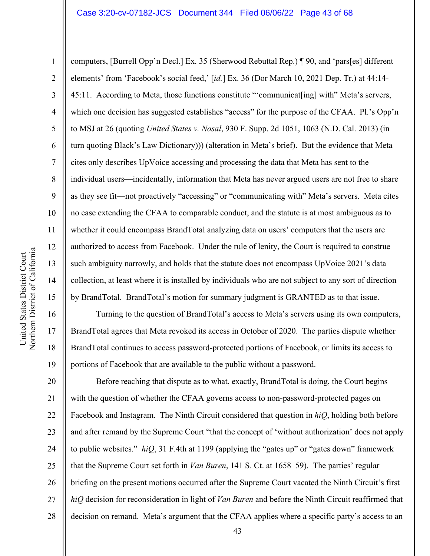#### Case 3:20-cv-07182-JCS Document 344 Filed 06/06/22 Page 43 of 68

computers, [Burrell Opp'n Decl.] Ex. 35 (Sherwood Rebuttal Rep.) ¶ 90, and 'pars[es] different elements' from 'Facebook's social feed,' [*id.*] Ex. 36 (Dor March 10, 2021 Dep. Tr.) at 44:14- 45:11. According to Meta, those functions constitute "'communicat[ing] with" Meta's servers, which one decision has suggested establishes "access" for the purpose of the CFAA. Pl.'s Opp'n to MSJ at 26 (quoting *United States v. Nosal*, 930 F. Supp. 2d 1051, 1063 (N.D. Cal. 2013) (in turn quoting Black's Law Dictionary))) (alteration in Meta's brief). But the evidence that Meta cites only describes UpVoice accessing and processing the data that Meta has sent to the individual users—incidentally, information that Meta has never argued users are not free to share as they see fit—not proactively "accessing" or "communicating with" Meta's servers. Meta cites no case extending the CFAA to comparable conduct, and the statute is at most ambiguous as to whether it could encompass BrandTotal analyzing data on users' computers that the users are authorized to access from Facebook. Under the rule of lenity, the Court is required to construe such ambiguity narrowly, and holds that the statute does not encompass UpVoice 2021's data collection, at least where it is installed by individuals who are not subject to any sort of direction by BrandTotal. BrandTotal's motion for summary judgment is GRANTED as to that issue.

Turning to the question of BrandTotal's access to Meta's servers using its own computers, BrandTotal agrees that Meta revoked its access in October of 2020. The parties dispute whether BrandTotal continues to access password-protected portions of Facebook, or limits its access to portions of Facebook that are available to the public without a password.

20 21 22 23 24 25 26 27 28 Before reaching that dispute as to what, exactly, BrandTotal is doing, the Court begins with the question of whether the CFAA governs access to non-password-protected pages on Facebook and Instagram. The Ninth Circuit considered that question in *hiQ*, holding both before and after remand by the Supreme Court "that the concept of 'without authorization' does not apply to public websites." *hiQ*, 31 F.4th at 1199 (applying the "gates up" or "gates down" framework that the Supreme Court set forth in *Van Buren*, 141 S. Ct. at 1658–59). The parties' regular briefing on the present motions occurred after the Supreme Court vacated the Ninth Circuit's first *hiQ* decision for reconsideration in light of *Van Buren* and before the Ninth Circuit reaffirmed that decision on remand. Meta's argument that the CFAA applies where a specific party's access to an

1

2

3

4

5

6

7

8

9

10

11

12

13

14

15

16

17

18

19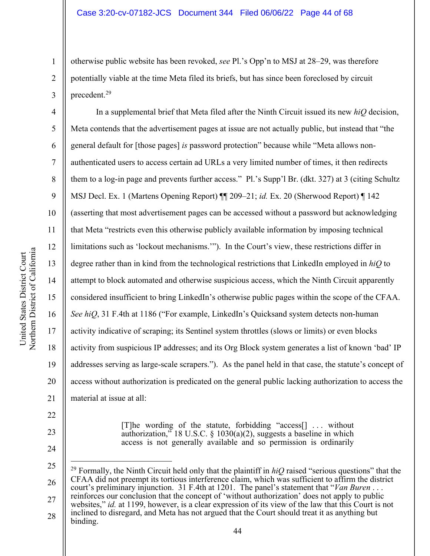otherwise public website has been revoked, *see* Pl.'s Opp'n to MSJ at 28–29, was therefore potentially viable at the time Meta filed its briefs, but has since been foreclosed by circuit precedent.29

In a supplemental brief that Meta filed after the Ninth Circuit issued its new *hiQ* decision, Meta contends that the advertisement pages at issue are not actually public, but instead that "the general default for [those pages] *is* password protection" because while "Meta allows nonauthenticated users to access certain ad URLs a very limited number of times, it then redirects them to a log-in page and prevents further access." Pl.'s Supp'l Br. (dkt. 327) at 3 (citing Schultz MSJ Decl. Ex. 1 (Martens Opening Report) ¶¶ 209–21; *id.* Ex. 20 (Sherwood Report) ¶ 142 (asserting that most advertisement pages can be accessed without a password but acknowledging that Meta "restricts even this otherwise publicly available information by imposing technical limitations such as 'lockout mechanisms.'"). In the Court's view, these restrictions differ in degree rather than in kind from the technological restrictions that LinkedIn employed in *hiQ* to attempt to block automated and otherwise suspicious access, which the Ninth Circuit apparently considered insufficient to bring LinkedIn's otherwise public pages within the scope of the CFAA. *See hiQ*, 31 F.4th at 1186 ("For example, LinkedIn's Quicksand system detects non-human activity indicative of scraping; its Sentinel system throttles (slows or limits) or even blocks activity from suspicious IP addresses; and its Org Block system generates a list of known 'bad' IP addresses serving as large-scale scrapers."). As the panel held in that case, the statute's concept of access without authorization is predicated on the general public lacking authorization to access the material at issue at all:

> [T]he wording of the statute, forbidding "access[] . . . without authorization," 18 U.S.C.  $\S$  1030(a)(2), suggests a baseline in which access is not generally available and so permission is ordinarily

1

2

3

4

5

6

7

8

9

10

11

12

13

14

15

16

17

18

19

20

21

22

23

<sup>25</sup> 26 27 <sup>29</sup> Formally, the Ninth Circuit held only that the plaintiff in *hiQ* raised "serious questions" that the CFAA did not preempt its tortious interference claim, which was sufficient to affirm the district court's preliminary injunction. 31 F.4th at 1201. The panel's statement that "*Van Buren* . . . reinforces our conclusion that the concept of 'without authorization' does not apply to public websites," *id.* at 1199, however, is a clear expression of its view of the law that this Court is not

<sup>28</sup> inclined to disregard, and Meta has not argued that the Court should treat it as anything but binding.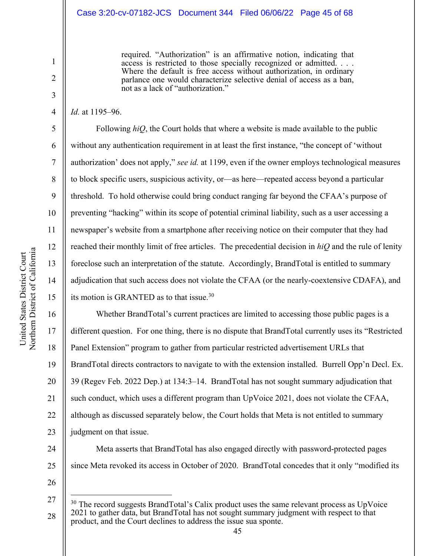#### Case 3:20-cv-07182-JCS Document 344 Filed 06/06/22 Page 45 of 68

required. "Authorization" is an affirmative notion, indicating that access is restricted to those specially recognized or admitted. . . . Where the default is free access without authorization, in ordinary parlance one would characterize selective denial of access as a ban, not as a lack of "authorization."

*Id.* at 1195–96.

1

2

3

4

5

6

7

8

9

10

11

Following *hiQ*, the Court holds that where a website is made available to the public without any authentication requirement in at least the first instance, "the concept of 'without authorization' does not apply," *see id.* at 1199, even if the owner employs technological measures to block specific users, suspicious activity, or—as here—repeated access beyond a particular threshold. To hold otherwise could bring conduct ranging far beyond the CFAA's purpose of preventing "hacking" within its scope of potential criminal liability, such as a user accessing a newspaper's website from a smartphone after receiving notice on their computer that they had reached their monthly limit of free articles. The precedential decision in *hiQ* and the rule of lenity foreclose such an interpretation of the statute. Accordingly, BrandTotal is entitled to summary adjudication that such access does not violate the CFAA (or the nearly-coextensive CDAFA), and its motion is GRANTED as to that issue.30

19 20 21 22 23 Whether BrandTotal's current practices are limited to accessing those public pages is a different question. For one thing, there is no dispute that BrandTotal currently uses its "Restricted Panel Extension" program to gather from particular restricted advertisement URLs that BrandTotal directs contractors to navigate to with the extension installed. Burrell Opp'n Decl. Ex. 39 (Regev Feb. 2022 Dep.) at 134:3–14. BrandTotal has not sought summary adjudication that such conduct, which uses a different program than UpVoice 2021, does not violate the CFAA, although as discussed separately below, the Court holds that Meta is not entitled to summary judgment on that issue.

Meta asserts that BrandTotal has also engaged directly with password-protected pages since Meta revoked its access in October of 2020. BrandTotal concedes that it only "modified its

United States District Court United States District Court

26

24

<sup>27</sup> 28 <sup>30</sup> The record suggests BrandTotal's Calix product uses the same relevant process as UpVoice 2021 to gather data, but BrandTotal has not sought summary judgment with respect to that product, and the Court declines to address the issue sua sponte.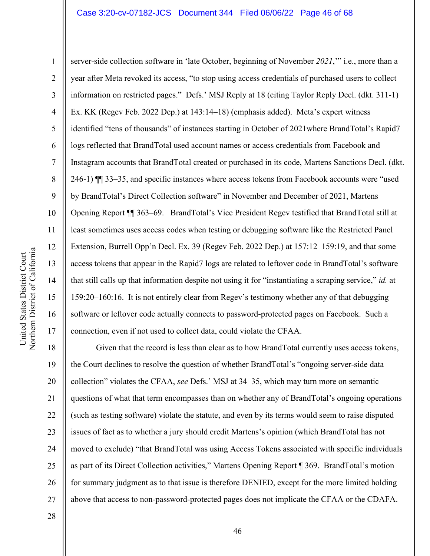## Case 3:20-cv-07182-JCS Document 344 Filed 06/06/22 Page 46 of 68

10 11 12 Northern District of California Northern District of California United States District Court United States District Court 13 14 15 16 17

1

2

3

4

5

6

7

8

9

server-side collection software in 'late October, beginning of November *2021*,'" i.e., more than a year after Meta revoked its access, "to stop using access credentials of purchased users to collect information on restricted pages." Defs.' MSJ Reply at 18 (citing Taylor Reply Decl. (dkt. 311-1) Ex. KK (Regev Feb. 2022 Dep.) at 143:14–18) (emphasis added). Meta's expert witness identified "tens of thousands" of instances starting in October of 2021where BrandTotal's Rapid7 logs reflected that BrandTotal used account names or access credentials from Facebook and Instagram accounts that BrandTotal created or purchased in its code, Martens Sanctions Decl. (dkt. 246-1) ¶¶ 33–35, and specific instances where access tokens from Facebook accounts were "used by BrandTotal's Direct Collection software" in November and December of 2021, Martens Opening Report ¶¶ 363–69. BrandTotal's Vice President Regev testified that BrandTotal still at least sometimes uses access codes when testing or debugging software like the Restricted Panel Extension, Burrell Opp'n Decl. Ex. 39 (Regev Feb. 2022 Dep.) at 157:12–159:19, and that some access tokens that appear in the Rapid7 logs are related to leftover code in BrandTotal's software that still calls up that information despite not using it for "instantiating a scraping service," *id.* at 159:20–160:16. It is not entirely clear from Regev's testimony whether any of that debugging software or leftover code actually connects to password-protected pages on Facebook. Such a connection, even if not used to collect data, could violate the CFAA.

18 19 20 21 22 23 24 25 26 27 Given that the record is less than clear as to how BrandTotal currently uses access tokens, the Court declines to resolve the question of whether BrandTotal's "ongoing server-side data collection" violates the CFAA, *see* Defs.' MSJ at 34–35, which may turn more on semantic questions of what that term encompasses than on whether any of BrandTotal's ongoing operations (such as testing software) violate the statute, and even by its terms would seem to raise disputed issues of fact as to whether a jury should credit Martens's opinion (which BrandTotal has not moved to exclude) "that BrandTotal was using Access Tokens associated with specific individuals as part of its Direct Collection activities," Martens Opening Report ¶ 369. BrandTotal's motion for summary judgment as to that issue is therefore DENIED, except for the more limited holding above that access to non-password-protected pages does not implicate the CFAA or the CDAFA.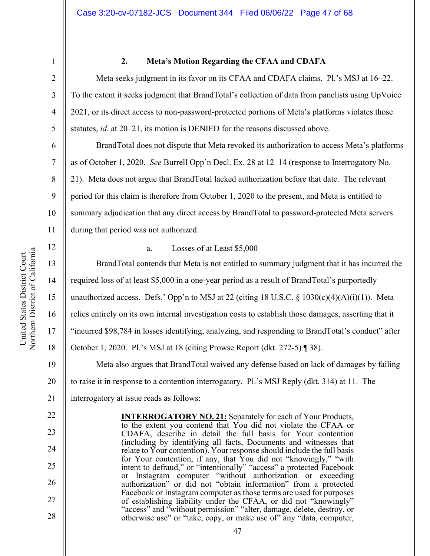8

9

10

11

12

13

14

15

16

17

18

22

23

24

25

26

27

28

1

#### **2. Meta's Motion Regarding the CFAA and CDAFA**

Meta seeks judgment in its favor on its CFAA and CDAFA claims. Pl.'s MSJ at 16–22. To the extent it seeks judgment that BrandTotal's collection of data from panelists using UpVoice 2021, or its direct access to non-password-protected portions of Meta's platforms violates those statutes, *id.* at 20–21, its motion is DENIED for the reasons discussed above.

BrandTotal does not dispute that Meta revoked its authorization to access Meta's platforms as of October 1, 2020. *See* Burrell Opp'n Decl. Ex. 28 at 12–14 (response to Interrogatory No. 21). Meta does not argue that BrandTotal lacked authorization before that date. The relevant period for this claim is therefore from October 1, 2020 to the present, and Meta is entitled to summary adjudication that any direct access by BrandTotal to password-protected Meta servers during that period was not authorized.

a. Losses of at Least \$5,000

BrandTotal contends that Meta is not entitled to summary judgment that it has incurred the required loss of at least \$5,000 in a one-year period as a result of BrandTotal's purportedly unauthorized access. Defs.' Opp'n to MSJ at 22 (citing 18 U.S.C.  $\S$  1030(c)(4)(A)(i)(1)). Meta relies entirely on its own internal investigation costs to establish those damages, asserting that it "incurred \$98,784 in losses identifying, analyzing, and responding to BrandTotal's conduct" after October 1, 2020. Pl.'s MSJ at 18 (citing Prowse Report (dkt. 272-5) ¶ 38).

19 20 21 Meta also argues that BrandTotal waived any defense based on lack of damages by failing to raise it in response to a contention interrogatory. Pl.'s MSJ Reply (dkt. 314) at 11. The interrogatory at issue reads as follows:

> **INTERROGATORY NO. 21:** Separately for each of Your Products, to the extent you contend that You did not violate the CFAA or CDAFA, describe in detail the full basis for Your contention (including by identifying all facts, Documents and witnesses that relate to Your contention). Your response should include the full basis for Your contention, if any, that You did not "knowingly," "with intent to defraud," or "intentionally" "access" a protected Facebook or Instagram computer "without authorization or exceeding authorization" or did not "obtain information" from a protected Facebook or Instagram computer as those terms are used for purposes of establishing liability under the CFAA, or did not "knowingly" "access" and "without permission" "alter, damage, delete, destroy, or otherwise use" or "take, copy, or make use of" any "data, computer,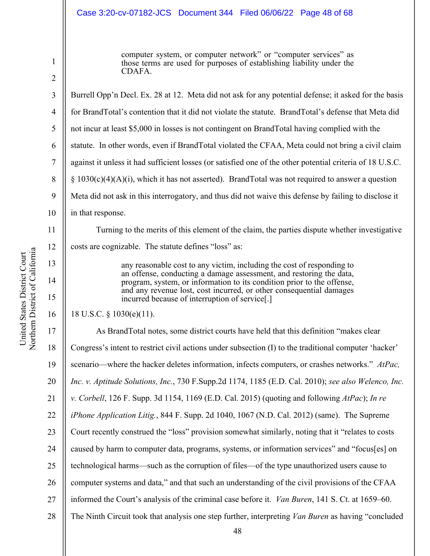# Case 3:20-cv-07182-JCS Document 344 Filed 06/06/22 Page 48 of 68

computer system, or computer network" or "computer services" as those terms are used for purposes of establishing liability under the CDAFA.

1

2

3

4

Burrell Opp'n Decl. Ex. 28 at 12. Meta did not ask for any potential defense; it asked for the basis for BrandTotal's contention that it did not violate the statute. BrandTotal's defense that Meta did not incur at least \$5,000 in losses is not contingent on BrandTotal having complied with the statute. In other words, even if BrandTotal violated the CFAA, Meta could not bring a civil claim against it unless it had sufficient losses (or satisfied one of the other potential criteria of 18 U.S.C.  $§ 1030(c)(4)(A)(i)$ , which it has not asserted). BrandTotal was not required to answer a question Meta did not ask in this interrogatory, and thus did not waive this defense by failing to disclose it in that response. Turning to the merits of this element of the claim, the parties dispute whether investigative

costs are cognizable. The statute defines "loss" as:

any reasonable cost to any victim, including the cost of responding to an offense, conducting a damage assessment, and restoring the data, program, system, or information to its condition prior to the offense, and any revenue lost, cost incurred, or other consequential damages incurred because of interruption of service[.]

#### 18 U.S.C. § 1030(e)(11).

19 20 21 22 23 24 25 26 27 28 As BrandTotal notes, some district courts have held that this definition "makes clear Congress's intent to restrict civil actions under subsection (I) to the traditional computer 'hacker' scenario—where the hacker deletes information, infects computers, or crashes networks." *AtPac, Inc. v. Aptitude Solutions, Inc.*, 730 F.Supp.2d 1174, 1185 (E.D. Cal. 2010); *see also Welenco, Inc. v. Corbell*, 126 F. Supp. 3d 1154, 1169 (E.D. Cal. 2015) (quoting and following *AtPac*); *In re iPhone Application Litig.*, 844 F. Supp. 2d 1040, 1067 (N.D. Cal. 2012) (same). The Supreme Court recently construed the "loss" provision somewhat similarly, noting that it "relates to costs caused by harm to computer data, programs, systems, or information services" and "focus[es] on technological harms—such as the corruption of files—of the type unauthorized users cause to computer systems and data," and that such an understanding of the civil provisions of the CFAA informed the Court's analysis of the criminal case before it. *Van Buren*, 141 S. Ct. at 1659–60. The Ninth Circuit took that analysis one step further, interpreting *Van Buren* as having "concluded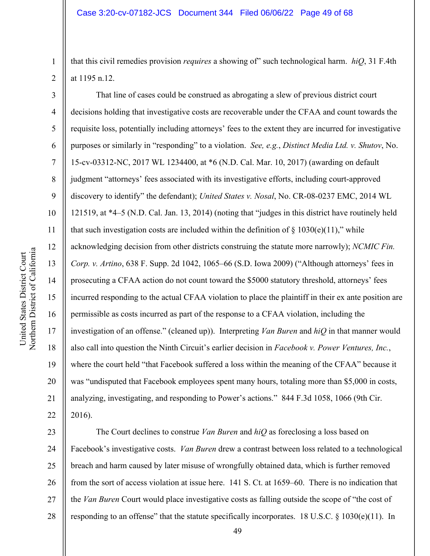that this civil remedies provision *requires* a showing of" such technological harm. *hiQ*, 31 F.4th at 1195 n.12.

That line of cases could be construed as abrogating a slew of previous district court decisions holding that investigative costs are recoverable under the CFAA and count towards the requisite loss, potentially including attorneys' fees to the extent they are incurred for investigative purposes or similarly in "responding" to a violation. *See, e.g.*, *Distinct Media Ltd. v. Shutov*, No. 15-cv-03312-NC, 2017 WL 1234400, at \*6 (N.D. Cal. Mar. 10, 2017) (awarding on default judgment "attorneys' fees associated with its investigative efforts, including court-approved discovery to identify" the defendant); *United States v. Nosal*, No. CR-08-0237 EMC, 2014 WL 121519, at \*4–5 (N.D. Cal. Jan. 13, 2014) (noting that "judges in this district have routinely held that such investigation costs are included within the definition of  $\S 1030(e)(11)$ ," while acknowledging decision from other districts construing the statute more narrowly); *NCMIC Fin. Corp. v. Artino*, 638 F. Supp. 2d 1042, 1065–66 (S.D. Iowa 2009) ("Although attorneys' fees in prosecuting a CFAA action do not count toward the \$5000 statutory threshold, attorneys' fees incurred responding to the actual CFAA violation to place the plaintiff in their ex ante position are permissible as costs incurred as part of the response to a CFAA violation, including the investigation of an offense." (cleaned up)). Interpreting *Van Buren* and *hiQ* in that manner would also call into question the Ninth Circuit's earlier decision in *Facebook v. Power Ventures, Inc.*, where the court held "that Facebook suffered a loss within the meaning of the CFAA" because it was "undisputed that Facebook employees spent many hours, totaling more than \$5,000 in costs, analyzing, investigating, and responding to Power's actions." 844 F.3d 1058, 1066 (9th Cir. 2016).

23 24 25 26 27 28 The Court declines to construe *Van Buren* and *hiQ* as foreclosing a loss based on Facebook's investigative costs. *Van Buren* drew a contrast between loss related to a technological breach and harm caused by later misuse of wrongfully obtained data, which is further removed from the sort of access violation at issue here. 141 S. Ct. at 1659–60. There is no indication that the *Van Buren* Court would place investigative costs as falling outside the scope of "the cost of responding to an offense" that the statute specifically incorporates. 18 U.S.C. § 1030(e)(11). In

1

2

3

4

5

6

7

8

9

10

11

12

13

14

15

16

17

18

19

20

21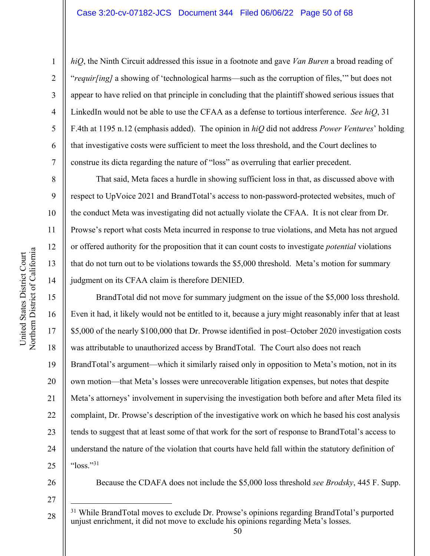*hiQ*, the Ninth Circuit addressed this issue in a footnote and gave *Van Buren* a broad reading of "*requir[ing]* a showing of 'technological harms—such as the corruption of files,'" but does not appear to have relied on that principle in concluding that the plaintiff showed serious issues that LinkedIn would not be able to use the CFAA as a defense to tortious interference. *See hiQ*, 31 F.4th at 1195 n.12 (emphasis added). The opinion in *hiQ* did not address *Power Ventures*' holding that investigative costs were sufficient to meet the loss threshold, and the Court declines to construe its dicta regarding the nature of "loss" as overruling that earlier precedent.

That said, Meta faces a hurdle in showing sufficient loss in that, as discussed above with respect to UpVoice 2021 and BrandTotal's access to non-password-protected websites, much of the conduct Meta was investigating did not actually violate the CFAA. It is not clear from Dr. Prowse's report what costs Meta incurred in response to true violations, and Meta has not argued or offered authority for the proposition that it can count costs to investigate *potential* violations that do not turn out to be violations towards the \$5,000 threshold. Meta's motion for summary judgment on its CFAA claim is therefore DENIED.

BrandTotal did not move for summary judgment on the issue of the \$5,000 loss threshold. Even it had, it likely would not be entitled to it, because a jury might reasonably infer that at least \$5,000 of the nearly \$100,000 that Dr. Prowse identified in post–October 2020 investigation costs was attributable to unauthorized access by BrandTotal. The Court also does not reach BrandTotal's argument—which it similarly raised only in opposition to Meta's motion, not in its own motion—that Meta's losses were unrecoverable litigation expenses, but notes that despite Meta's attorneys' involvement in supervising the investigation both before and after Meta filed its complaint, Dr. Prowse's description of the investigative work on which he based his cost analysis tends to suggest that at least some of that work for the sort of response to BrandTotal's access to understand the nature of the violation that courts have held fall within the statutory definition of " $\log s$ ."31

26

Because the CDAFA does not include the \$5,000 loss threshold *see Brodsky*, 445 F. Supp.

1

2

3

4

5

6

7

8

9

10

11

12

13

14

15

16

17

18

19

20

21

22

23

24

<sup>27</sup>

<sup>28</sup> <sup>31</sup> While BrandTotal moves to exclude Dr. Prowse's opinions regarding BrandTotal's purported unjust enrichment, it did not move to exclude his opinions regarding Meta's losses.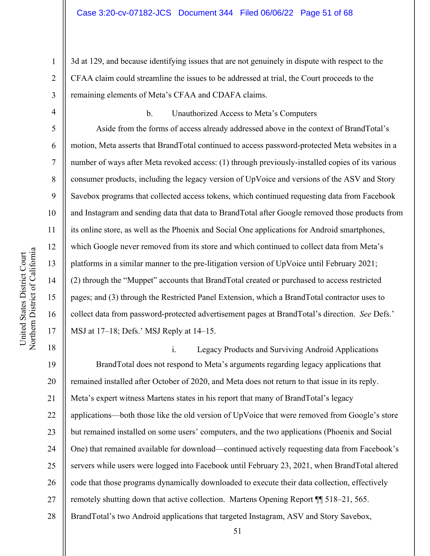3d at 129, and because identifying issues that are not genuinely in dispute with respect to the CFAA claim could streamline the issues to be addressed at trial, the Court proceeds to the remaining elements of Meta's CFAA and CDAFA claims.

1

2

3

b. Unauthorized Access to Meta's Computers

Aside from the forms of access already addressed above in the context of BrandTotal's motion, Meta asserts that BrandTotal continued to access password-protected Meta websites in a number of ways after Meta revoked access: (1) through previously-installed copies of its various consumer products, including the legacy version of UpVoice and versions of the ASV and Story Savebox programs that collected access tokens, which continued requesting data from Facebook and Instagram and sending data that data to BrandTotal after Google removed those products from its online store, as well as the Phoenix and Social One applications for Android smartphones, which Google never removed from its store and which continued to collect data from Meta's platforms in a similar manner to the pre-litigation version of UpVoice until February 2021; (2) through the "Muppet" accounts that BrandTotal created or purchased to access restricted pages; and (3) through the Restricted Panel Extension, which a BrandTotal contractor uses to collect data from password-protected advertisement pages at BrandTotal's direction. *See* Defs.' MSJ at 17–18; Defs.' MSJ Reply at 14–15.

18 19 20 21 22 23 24 25 26 27 28 i. Legacy Products and Surviving Android Applications BrandTotal does not respond to Meta's arguments regarding legacy applications that remained installed after October of 2020, and Meta does not return to that issue in its reply. Meta's expert witness Martens states in his report that many of BrandTotal's legacy applications—both those like the old version of UpVoice that were removed from Google's store but remained installed on some users' computers, and the two applications (Phoenix and Social One) that remained available for download—continued actively requesting data from Facebook's servers while users were logged into Facebook until February 23, 2021, when BrandTotal altered code that those programs dynamically downloaded to execute their data collection, effectively remotely shutting down that active collection. Martens Opening Report ¶¶ 518–21, 565. BrandTotal's two Android applications that targeted Instagram, ASV and Story Savebox,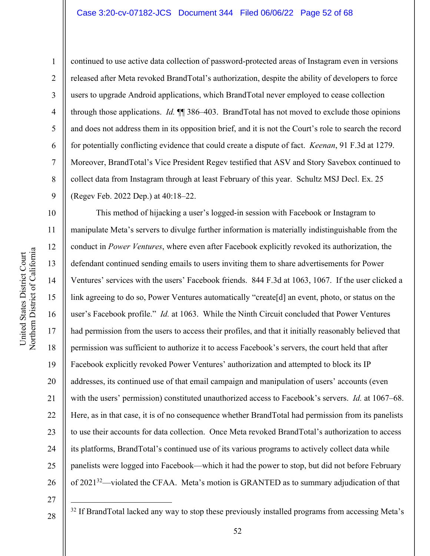## Case 3:20-cv-07182-JCS Document 344 Filed 06/06/22 Page 52 of 68

Northern District of California Northern District of California United States District Court United States District Court

1

2

3

4

5

7

8

9

10

11

12

13

14

15

16

17

18

19

20

21

22

23

24

25

26

6 continued to use active data collection of password-protected areas of Instagram even in versions released after Meta revoked BrandTotal's authorization, despite the ability of developers to force users to upgrade Android applications, which BrandTotal never employed to cease collection through those applications. *Id.* ¶¶ 386–403. BrandTotal has not moved to exclude those opinions and does not address them in its opposition brief, and it is not the Court's role to search the record for potentially conflicting evidence that could create a dispute of fact. *Keenan*, 91 F.3d at 1279. Moreover, BrandTotal's Vice President Regev testified that ASV and Story Savebox continued to collect data from Instagram through at least February of this year. Schultz MSJ Decl. Ex. 25 (Regev Feb. 2022 Dep.) at 40:18–22.

This method of hijacking a user's logged-in session with Facebook or Instagram to manipulate Meta's servers to divulge further information is materially indistinguishable from the conduct in *Power Ventures*, where even after Facebook explicitly revoked its authorization, the defendant continued sending emails to users inviting them to share advertisements for Power Ventures' services with the users' Facebook friends. 844 F.3d at 1063, 1067. If the user clicked a link agreeing to do so, Power Ventures automatically "create<sup>[d]</sup> an event, photo, or status on the user's Facebook profile." *Id.* at 1063. While the Ninth Circuit concluded that Power Ventures had permission from the users to access their profiles, and that it initially reasonably believed that permission was sufficient to authorize it to access Facebook's servers, the court held that after Facebook explicitly revoked Power Ventures' authorization and attempted to block its IP addresses, its continued use of that email campaign and manipulation of users' accounts (even with the users' permission) constituted unauthorized access to Facebook's servers. *Id.* at 1067–68. Here, as in that case, it is of no consequence whether BrandTotal had permission from its panelists to use their accounts for data collection. Once Meta revoked BrandTotal's authorization to access its platforms, BrandTotal's continued use of its various programs to actively collect data while panelists were logged into Facebook—which it had the power to stop, but did not before February of 202132—violated the CFAA. Meta's motion is GRANTED as to summary adjudication of that

27 28

<sup>32</sup> If BrandTotal lacked any way to stop these previously installed programs from accessing Meta's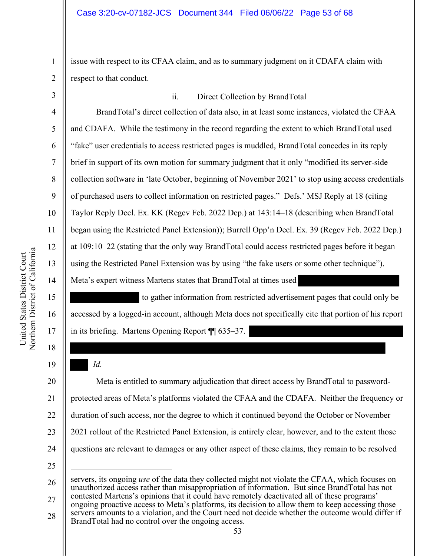issue with respect to its CFAA claim, and as to summary judgment on it CDAFA claim with respect to that conduct.

3 4 5 6 7 8 9 10 11 12 13 14 ii. Direct Collection by BrandTotal BrandTotal's direct collection of data also, in at least some instances, violated the CFAA and CDAFA. While the testimony in the record regarding the extent to which BrandTotal used "fake" user credentials to access restricted pages is muddled, BrandTotal concedes in its reply brief in support of its own motion for summary judgment that it only "modified its server-side collection software in 'late October, beginning of November 2021' to stop using access credentials of purchased users to collect information on restricted pages." Defs.' MSJ Reply at 18 (citing Taylor Reply Decl. Ex. KK (Regev Feb. 2022 Dep.) at 143:14–18 (describing when BrandTotal began using the Restricted Panel Extension)); Burrell Opp'n Decl. Ex. 39 (Regev Feb. 2022 Dep.) at 109:10–22 (stating that the only way BrandTotal could access restricted pages before it began using the Restricted Panel Extension was by using "the fake users or some other technique"). Meta's expert witness Martens states that BrandTotal at times used

 to gather information from restricted advertisement pages that could only be accessed by a logged-in account, although Meta does not specifically cite that portion of his report in its briefing. Martens Opening Report ¶¶ 635–37.

20 21 22 23 24 Meta is entitled to summary adjudication that direct access by BrandTotal to passwordprotected areas of Meta's platforms violated the CFAA and the CDAFA. Neither the frequency or duration of such access, nor the degree to which it continued beyond the October or November 2021 rollout of the Restricted Panel Extension, is entirely clear, however, and to the extent those questions are relevant to damages or any other aspect of these claims, they remain to be resolved

15

16

17

18

19

1

*Id.* 

<sup>25</sup>

<sup>26</sup> 27 servers, its ongoing *use* of the data they collected might not violate the CFAA, which focuses on unauthorized access rather than misappropriation of information. But since BrandTotal has not contested Martens's opinions that it could have remotely deactivated all of these programs'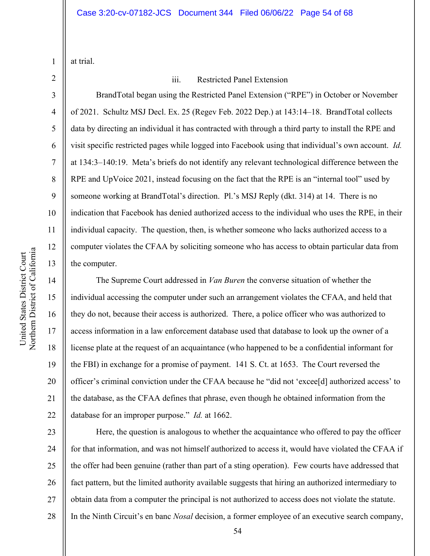at trial.

2 3

4

5

6

7

8

9

10

11

12

13

14

15

16

17

18

19

20

21

22

1

# iii. Restricted Panel Extension

BrandTotal began using the Restricted Panel Extension ("RPE") in October or November of 2021. Schultz MSJ Decl. Ex. 25 (Regev Feb. 2022 Dep.) at 143:14–18. BrandTotal collects data by directing an individual it has contracted with through a third party to install the RPE and visit specific restricted pages while logged into Facebook using that individual's own account. *Id.* at 134:3–140:19. Meta's briefs do not identify any relevant technological difference between the RPE and UpVoice 2021, instead focusing on the fact that the RPE is an "internal tool" used by someone working at BrandTotal's direction. Pl.'s MSJ Reply (dkt. 314) at 14. There is no indication that Facebook has denied authorized access to the individual who uses the RPE, in their individual capacity. The question, then, is whether someone who lacks authorized access to a computer violates the CFAA by soliciting someone who has access to obtain particular data from the computer.

The Supreme Court addressed in *Van Buren* the converse situation of whether the individual accessing the computer under such an arrangement violates the CFAA, and held that they do not, because their access is authorized. There, a police officer who was authorized to access information in a law enforcement database used that database to look up the owner of a license plate at the request of an acquaintance (who happened to be a confidential informant for the FBI) in exchange for a promise of payment. 141 S. Ct. at 1653. The Court reversed the officer's criminal conviction under the CFAA because he "did not 'excee[d] authorized access' to the database, as the CFAA defines that phrase, even though he obtained information from the database for an improper purpose." *Id.* at 1662.

23 24 25 26 27 28 Here, the question is analogous to whether the acquaintance who offered to pay the officer for that information, and was not himself authorized to access it, would have violated the CFAA if the offer had been genuine (rather than part of a sting operation). Few courts have addressed that fact pattern, but the limited authority available suggests that hiring an authorized intermediary to obtain data from a computer the principal is not authorized to access does not violate the statute. In the Ninth Circuit's en banc *Nosal* decision, a former employee of an executive search company,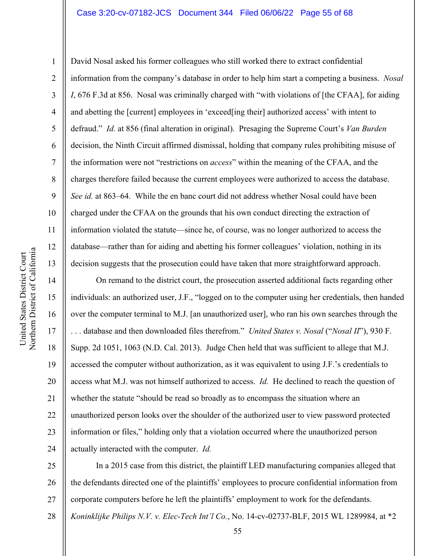#### Case 3:20-cv-07182-JCS Document 344 Filed 06/06/22 Page 55 of 68

10 11 12 Northern District of California Northern District of California 13 14 15 16 17

United States District Court

United States District Court

1

2

3

4

5

6

7

8

9

18

19

21

23

David Nosal asked his former colleagues who still worked there to extract confidential information from the company's database in order to help him start a competing a business. *Nosal I*, 676 F.3d at 856. Nosal was criminally charged with "with violations of [the CFAA], for aiding and abetting the [current] employees in 'exceed[ing their] authorized access' with intent to defraud." *Id.* at 856 (final alteration in original). Presaging the Supreme Court's *Van Burden*  decision, the Ninth Circuit affirmed dismissal, holding that company rules prohibiting misuse of the information were not "restrictions on *access*" within the meaning of the CFAA, and the charges therefore failed because the current employees were authorized to access the database. *See id.* at 863–64. While the en banc court did not address whether Nosal could have been charged under the CFAA on the grounds that his own conduct directing the extraction of information violated the statute—since he, of course, was no longer authorized to access the database—rather than for aiding and abetting his former colleagues' violation, nothing in its decision suggests that the prosecution could have taken that more straightforward approach.

20 22 24 On remand to the district court, the prosecution asserted additional facts regarding other individuals: an authorized user, J.F., "logged on to the computer using her credentials, then handed over the computer terminal to M.J. [an unauthorized user], who ran his own searches through the . . . database and then downloaded files therefrom." *United States v. Nosal* ("*Nosal II*"), 930 F. Supp. 2d 1051, 1063 (N.D. Cal. 2013). Judge Chen held that was sufficient to allege that M.J. accessed the computer without authorization, as it was equivalent to using J.F.'s credentials to access what M.J. was not himself authorized to access. *Id.* He declined to reach the question of whether the statute "should be read so broadly as to encompass the situation where an unauthorized person looks over the shoulder of the authorized user to view password protected information or files," holding only that a violation occurred where the unauthorized person actually interacted with the computer. *Id.*

25 26 27 In a 2015 case from this district, the plaintiff LED manufacturing companies alleged that the defendants directed one of the plaintiffs' employees to procure confidential information from corporate computers before he left the plaintiffs' employment to work for the defendants.

28 *Koninklijke Philips N.V. v. Elec-Tech Int'l Co.*, No. 14-cv-02737-BLF, 2015 WL 1289984, at \*2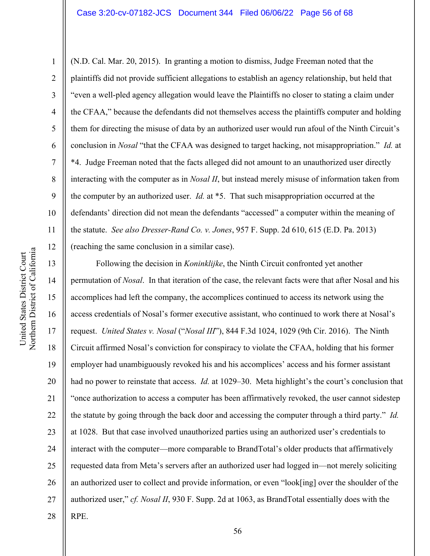1

2

3

4

5

6

7

8

9

10

11

12

(N.D. Cal. Mar. 20, 2015). In granting a motion to dismiss, Judge Freeman noted that the plaintiffs did not provide sufficient allegations to establish an agency relationship, but held that "even a well-pled agency allegation would leave the Plaintiffs no closer to stating a claim under the CFAA," because the defendants did not themselves access the plaintiffs computer and holding them for directing the misuse of data by an authorized user would run afoul of the Ninth Circuit's conclusion in *Nosal* "that the CFAA was designed to target hacking, not misappropriation." *Id.* at \*4. Judge Freeman noted that the facts alleged did not amount to an unauthorized user directly interacting with the computer as in *Nosal II*, but instead merely misuse of information taken from the computer by an authorized user. *Id.* at \*5. That such misappropriation occurred at the defendants' direction did not mean the defendants "accessed" a computer within the meaning of the statute. *See also Dresser-Rand Co. v. Jones*, 957 F. Supp. 2d 610, 615 (E.D. Pa. 2013) (reaching the same conclusion in a similar case).

13 14 15 16 17 18 19 20 21 22 23 24 25 26 27 28 Following the decision in *Koninklijke*, the Ninth Circuit confronted yet another permutation of *Nosal*. In that iteration of the case, the relevant facts were that after Nosal and his accomplices had left the company, the accomplices continued to access its network using the access credentials of Nosal's former executive assistant, who continued to work there at Nosal's request. *United States v. Nosal* ("*Nosal III*"), 844 F.3d 1024, 1029 (9th Cir. 2016). The Ninth Circuit affirmed Nosal's conviction for conspiracy to violate the CFAA, holding that his former employer had unambiguously revoked his and his accomplices' access and his former assistant had no power to reinstate that access. *Id.* at 1029–30. Meta highlight's the court's conclusion that "once authorization to access a computer has been affirmatively revoked, the user cannot sidestep the statute by going through the back door and accessing the computer through a third party." *Id.* at 1028. But that case involved unauthorized parties using an authorized user's credentials to interact with the computer—more comparable to BrandTotal's older products that affirmatively requested data from Meta's servers after an authorized user had logged in—not merely soliciting an authorized user to collect and provide information, or even "look[ing] over the shoulder of the authorized user," *cf. Nosal II*, 930 F. Supp. 2d at 1063, as BrandTotal essentially does with the RPE.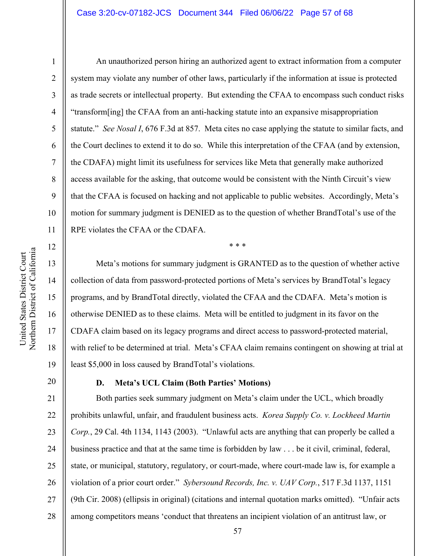#### Case 3:20-cv-07182-JCS Document 344 Filed 06/06/22 Page 57 of 68

6 7 10 An unauthorized person hiring an authorized agent to extract information from a computer system may violate any number of other laws, particularly if the information at issue is protected as trade secrets or intellectual property. But extending the CFAA to encompass such conduct risks "transform[ing] the CFAA from an anti-hacking statute into an expansive misappropriation statute." *See Nosal I*, 676 F.3d at 857. Meta cites no case applying the statute to similar facts, and the Court declines to extend it to do so. While this interpretation of the CFAA (and by extension, the CDAFA) might limit its usefulness for services like Meta that generally make authorized access available for the asking, that outcome would be consistent with the Ninth Circuit's view that the CFAA is focused on hacking and not applicable to public websites. Accordingly, Meta's motion for summary judgment is DENIED as to the question of whether BrandTotal's use of the RPE violates the CFAA or the CDAFA.

Meta's motions for summary judgment is GRANTED as to the question of whether active collection of data from password-protected portions of Meta's services by BrandTotal's legacy programs, and by BrandTotal directly, violated the CFAA and the CDAFA. Meta's motion is otherwise DENIED as to these claims. Meta will be entitled to judgment in its favor on the CDAFA claim based on its legacy programs and direct access to password-protected material, with relief to be determined at trial. Meta's CFAA claim remains contingent on showing at trial at least \$5,000 in loss caused by BrandTotal's violations.

\* \* \*

20

1

2

3

4

5

8

9

11

12

13

14

15

16

17

18

19

# **D. Meta's UCL Claim (Both Parties' Motions)**

21 22 23 24 25 26 27 28 Both parties seek summary judgment on Meta's claim under the UCL, which broadly prohibits unlawful, unfair, and fraudulent business acts. *Korea Supply Co. v. Lockheed Martin Corp.*, 29 Cal. 4th 1134, 1143 (2003). "Unlawful acts are anything that can properly be called a business practice and that at the same time is forbidden by law . . . be it civil, criminal, federal, state, or municipal, statutory, regulatory, or court-made, where court-made law is, for example a violation of a prior court order." *Sybersound Records, Inc. v. UAV Corp.*, 517 F.3d 1137, 1151 (9th Cir. 2008) (ellipsis in original) (citations and internal quotation marks omitted). "Unfair acts among competitors means 'conduct that threatens an incipient violation of an antitrust law, or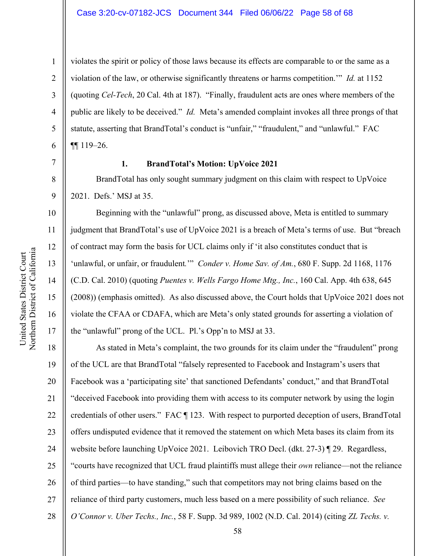14

15

United States District Court Northern District of California

Northern District of California United States District Court

16

17

violates the spirit or policy of those laws because its effects are comparable to or the same as a violation of the law, or otherwise significantly threatens or harms competition.'" *Id.* at 1152 (quoting *Cel-Tech*, 20 Cal. 4th at 187). "Finally, fraudulent acts are ones where members of the public are likely to be deceived." *Id.* Meta's amended complaint invokes all three prongs of that statute, asserting that BrandTotal's conduct is "unfair," "fraudulent," and "unlawful." FAC ¶¶ 119–26.

7

1

2

#### **1. BrandTotal's Motion: UpVoice 2021**

BrandTotal has only sought summary judgment on this claim with respect to UpVoice 2021. Defs.' MSJ at 35.

Beginning with the "unlawful" prong, as discussed above, Meta is entitled to summary judgment that BrandTotal's use of UpVoice 2021 is a breach of Meta's terms of use. But "breach of contract may form the basis for UCL claims only if 'it also constitutes conduct that is 'unlawful, or unfair, or fraudulent*.*'" *Conder v. Home Sav. of Am.*, 680 F. Supp. 2d 1168, 1176 (C.D. Cal. 2010) (quoting *Puentes v. Wells Fargo Home Mtg., Inc.*, 160 Cal. App. 4th 638, 645 (2008)) (emphasis omitted). As also discussed above, the Court holds that UpVoice 2021 does not violate the CFAA or CDAFA, which are Meta's only stated grounds for asserting a violation of the "unlawful" prong of the UCL. Pl.'s Opp'n to MSJ at 33.

18 19 20 21 22 23 24 25 26 27 28 As stated in Meta's complaint, the two grounds for its claim under the "fraudulent" prong of the UCL are that BrandTotal "falsely represented to Facebook and Instagram's users that Facebook was a 'participating site' that sanctioned Defendants' conduct," and that BrandTotal "deceived Facebook into providing them with access to its computer network by using the login credentials of other users." FAC ¶ 123. With respect to purported deception of users, BrandTotal offers undisputed evidence that it removed the statement on which Meta bases its claim from its website before launching UpVoice 2021. Leibovich TRO Decl. (dkt. 27-3) ¶ 29. Regardless, "courts have recognized that UCL fraud plaintiffs must allege their *own* reliance—not the reliance of third parties—to have standing," such that competitors may not bring claims based on the reliance of third party customers, much less based on a mere possibility of such reliance. *See O'Connor v. Uber Techs., Inc.*, 58 F. Supp. 3d 989, 1002 (N.D. Cal. 2014) (citing *ZL Techs. v.*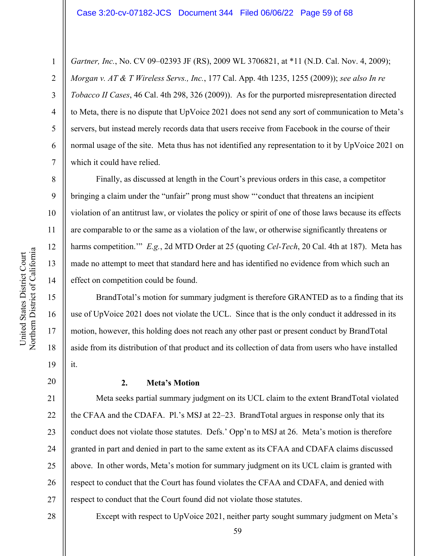*Gartner, Inc.*, No. CV 09–02393 JF (RS), 2009 WL 3706821, at \*11 (N.D. Cal. Nov. 4, 2009); *Morgan v. AT & T Wireless Servs., Inc.*, 177 Cal. App. 4th 1235, 1255 (2009)); *see also In re Tobacco II Cases*, 46 Cal. 4th 298, 326 (2009)). As for the purported misrepresentation directed to Meta, there is no dispute that UpVoice 2021 does not send any sort of communication to Meta's servers, but instead merely records data that users receive from Facebook in the course of their normal usage of the site. Meta thus has not identified any representation to it by UpVoice 2021 on which it could have relied.

Finally, as discussed at length in the Court's previous orders in this case, a competitor bringing a claim under the "unfair" prong must show "'conduct that threatens an incipient violation of an antitrust law, or violates the policy or spirit of one of those laws because its effects are comparable to or the same as a violation of the law, or otherwise significantly threatens or harms competition.'" *E.g.*, 2d MTD Order at 25 (quoting *Cel-Tech*, 20 Cal. 4th at 187). Meta has made no attempt to meet that standard here and has identified no evidence from which such an effect on competition could be found.

BrandTotal's motion for summary judgment is therefore GRANTED as to a finding that its use of UpVoice 2021 does not violate the UCL. Since that is the only conduct it addressed in its motion, however, this holding does not reach any other past or present conduct by BrandTotal aside from its distribution of that product and its collection of data from users who have installed it.

20

21

23

25

1

2

3

4

5

6

7

8

9

10

11

12

13

14

15

16

17

18

19

# **2. Meta's Motion**

22 24 26 27 Meta seeks partial summary judgment on its UCL claim to the extent BrandTotal violated the CFAA and the CDAFA. Pl.'s MSJ at 22–23. BrandTotal argues in response only that its conduct does not violate those statutes. Defs.' Opp'n to MSJ at 26. Meta's motion is therefore granted in part and denied in part to the same extent as its CFAA and CDAFA claims discussed above. In other words, Meta's motion for summary judgment on its UCL claim is granted with respect to conduct that the Court has found violates the CFAA and CDAFA, and denied with respect to conduct that the Court found did not violate those statutes.

Except with respect to UpVoice 2021, neither party sought summary judgment on Meta's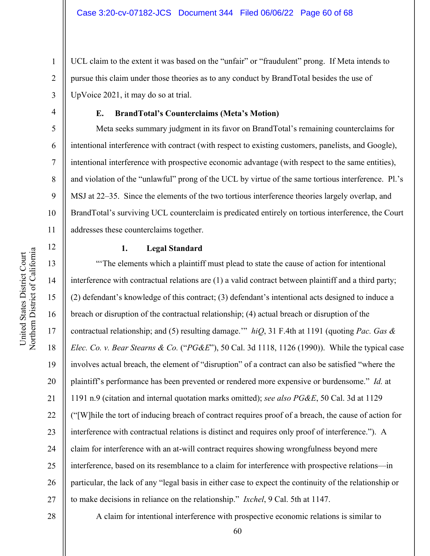UCL claim to the extent it was based on the "unfair" or "fraudulent" prong. If Meta intends to pursue this claim under those theories as to any conduct by BrandTotal besides the use of UpVoice 2021, it may do so at trial.

# **E. BrandTotal's Counterclaims (Meta's Motion)**

Meta seeks summary judgment in its favor on BrandTotal's remaining counterclaims for intentional interference with contract (with respect to existing customers, panelists, and Google), intentional interference with prospective economic advantage (with respect to the same entities), and violation of the "unlawful" prong of the UCL by virtue of the same tortious interference. Pl.'s MSJ at 22–35. Since the elements of the two tortious interference theories largely overlap, and BrandTotal's surviving UCL counterclaim is predicated entirely on tortious interference, the Court addresses these counterclaims together.

1

2

3

4

5

6

7

8

9

10

11

12

#### **1. Legal Standard**

13 14 15 16 17 18 19 20 21 22 23 24 25 26 27 "'The elements which a plaintiff must plead to state the cause of action for intentional interference with contractual relations are (1) a valid contract between plaintiff and a third party; (2) defendant's knowledge of this contract; (3) defendant's intentional acts designed to induce a breach or disruption of the contractual relationship; (4) actual breach or disruption of the contractual relationship; and (5) resulting damage.'" *hiQ*, 31 F.4th at 1191 (quoting *Pac. Gas & Elec. Co. v. Bear Stearns & Co.* ("*PG&E*"), 50 Cal. 3d 1118, 1126 (1990)). While the typical case involves actual breach, the element of "disruption" of a contract can also be satisfied "where the plaintiff's performance has been prevented or rendered more expensive or burdensome." *Id.* at 1191 n.9 (citation and internal quotation marks omitted); *see also PG&E*, 50 Cal. 3d at 1129 ("[W]hile the tort of inducing breach of contract requires proof of a breach, the cause of action for interference with contractual relations is distinct and requires only proof of interference."). A claim for interference with an at-will contract requires showing wrongfulness beyond mere interference, based on its resemblance to a claim for interference with prospective relations—in particular, the lack of any "legal basis in either case to expect the continuity of the relationship or to make decisions in reliance on the relationship." *Ixchel*, 9 Cal. 5th at 1147.

28

A claim for intentional interference with prospective economic relations is similar to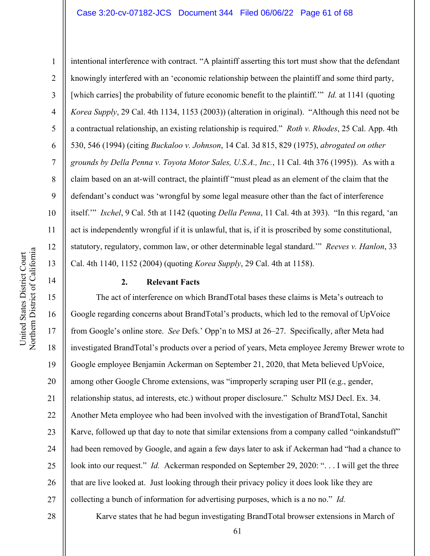## Case 3:20-cv-07182-JCS Document 344 Filed 06/06/22 Page 61 of 68

intentional interference with contract. "A plaintiff asserting this tort must show that the defendant knowingly interfered with an 'economic relationship between the plaintiff and some third party, [which carries] the probability of future economic benefit to the plaintiff.'" *Id.* at 1141 (quoting *Korea Supply*, 29 Cal. 4th 1134, 1153 (2003)) (alteration in original). "Although this need not be a contractual relationship, an existing relationship is required." *Roth v. Rhodes*, 25 Cal. App. 4th 530, 546 (1994) (citing *Buckaloo v. Johnson*, 14 Cal. 3d 815, 829 (1975), *abrogated on other grounds by Della Penna v. Toyota Motor Sales, U.S.A., Inc.*, 11 Cal. 4th 376 (1995)). As with a claim based on an at-will contract, the plaintiff "must plead as an element of the claim that the defendant's conduct was 'wrongful by some legal measure other than the fact of interference itself.'" *Ixchel*, 9 Cal. 5th at 1142 (quoting *Della Penna*, 11 Cal. 4th at 393). "In this regard, 'an act is independently wrongful if it is unlawful, that is, if it is proscribed by some constitutional, statutory, regulatory, common law, or other determinable legal standard.'" *Reeves v. Hanlon*, 33 Cal. 4th 1140, 1152 (2004) (quoting *Korea Supply*, 29 Cal. 4th at 1158).

## **2. Relevant Facts**

16 20 22 24 26 27 The act of interference on which BrandTotal bases these claims is Meta's outreach to Google regarding concerns about BrandTotal's products, which led to the removal of UpVoice from Google's online store. *See* Defs.' Opp'n to MSJ at 26–27. Specifically, after Meta had investigated BrandTotal's products over a period of years, Meta employee Jeremy Brewer wrote to Google employee Benjamin Ackerman on September 21, 2020, that Meta believed UpVoice, among other Google Chrome extensions, was "improperly scraping user PII (e.g., gender, relationship status, ad interests, etc.) without proper disclosure." Schultz MSJ Decl. Ex. 34. Another Meta employee who had been involved with the investigation of BrandTotal, Sanchit Karve, followed up that day to note that similar extensions from a company called "oinkandstuff" had been removed by Google, and again a few days later to ask if Ackerman had "had a chance to look into our request." *Id.* Ackerman responded on September 29, 2020: ". . . I will get the three that are live looked at. Just looking through their privacy policy it does look like they are collecting a bunch of information for advertising purposes, which is a no no." *Id.*

28

Northern District of California Northern District of California United States District Court United States District Court

1

2

3

4

5

6

7

8

9

10

11

12

13

14

15

17

18

19

21

23

25

Karve states that he had begun investigating BrandTotal browser extensions in March of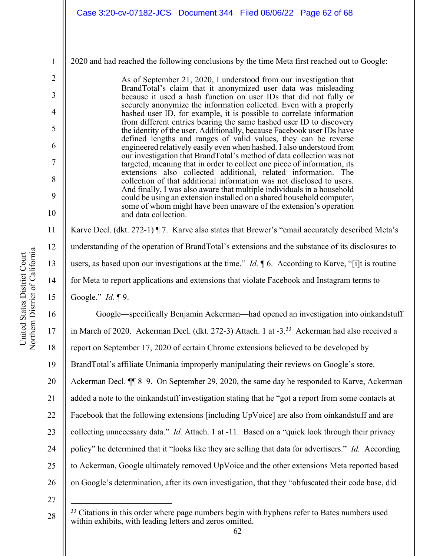#### 2020 and had reached the following conclusions by the time Meta first reached out to Google:

As of September 21, 2020, I understood from our investigation that BrandTotal's claim that it anonymized user data was misleading because it used a hash function on user IDs that did not fully or securely anonymize the information collected. Even with a properly hashed user ID, for example, it is possible to correlate information from different entries bearing the same hashed user ID to discovery the identity of the user. Additionally, because Facebook user IDs have defined lengths and ranges of valid values, they can be reverse engineered relatively easily even when hashed. I also understood from our investigation that BrandTotal's method of data collection was not targeted, meaning that in order to collect one piece of information, its extensions also collected additional, related information. The collection of that additional information was not disclosed to users. And finally, I was also aware that multiple individuals in a household could be using an extension installed on a shared household computer, some of whom might have been unaware of the extension's operation and data collection.

Karve Decl. (dkt. 272-1) ¶ 7. Karve also states that Brewer's "email accurately described Meta's understanding of the operation of BrandTotal's extensions and the substance of its disclosures to users, as based upon our investigations at the time." *Id.* ¶ 6. According to Karve, "[i]t is routine for Meta to report applications and extensions that violate Facebook and Instagram terms to Google." *Id.* ¶ 9.

16 17 18 19 20 21 22 23 24 25 26 Google—specifically Benjamin Ackerman—had opened an investigation into oinkandstuff in March of 2020. Ackerman Decl. (dkt. 272-3) Attach. 1 at -3.<sup>33</sup> Ackerman had also received a report on September 17, 2020 of certain Chrome extensions believed to be developed by BrandTotal's affiliate Unimania improperly manipulating their reviews on Google's store. Ackerman Decl. ¶¶ 8–9. On September 29, 2020, the same day he responded to Karve, Ackerman added a note to the oinkandstuff investigation stating that he "got a report from some contacts at Facebook that the following extensions [including UpVoice] are also from oinkandstuff and are collecting unnecessary data." *Id.* Attach. 1 at -11. Based on a "quick look through their privacy policy" he determined that it "looks like they are selling that data for advertisers." *Id.* According to Ackerman, Google ultimately removed UpVoice and the other extensions Meta reported based on Google's determination, after its own investigation, that they "obfuscated their code base, did

27 28

1

2

3

4

5

6

7

8

9

10

11

12

13

14

<sup>&</sup>lt;sup>33</sup> Citations in this order where page numbers begin with hyphens refer to Bates numbers used within exhibits, with leading letters and zeros omitted.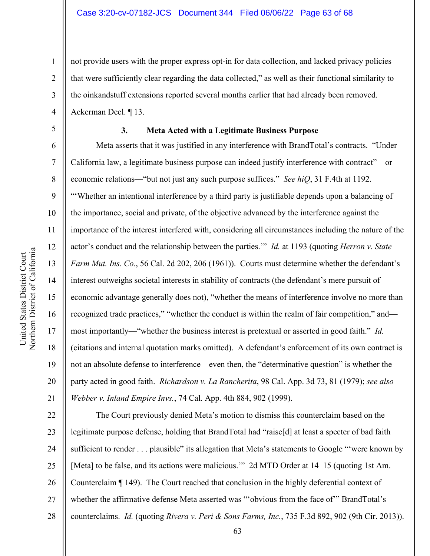1 2 3 4 not provide users with the proper express opt-in for data collection, and lacked privacy policies that were sufficiently clear regarding the data collected," as well as their functional similarity to the oinkandstuff extensions reported several months earlier that had already been removed. Ackerman Decl. ¶ 13.

5

6

7

8

9

10

11

12

13

14

15

16

17

18

19

20

21

# **3. Meta Acted with a Legitimate Business Purpose**

Meta asserts that it was justified in any interference with BrandTotal's contracts. "Under California law, a legitimate business purpose can indeed justify interference with contract"—or economic relations—"but not just any such purpose suffices." *See hiQ*, 31 F.4th at 1192. "'Whether an intentional interference by a third party is justifiable depends upon a balancing of the importance, social and private, of the objective advanced by the interference against the importance of the interest interfered with, considering all circumstances including the nature of the actor's conduct and the relationship between the parties.'" *Id.* at 1193 (quoting *Herron v. State Farm Mut. Ins. Co.*, 56 Cal. 2d 202, 206 (1961)). Courts must determine whether the defendant's interest outweighs societal interests in stability of contracts (the defendant's mere pursuit of economic advantage generally does not), "whether the means of interference involve no more than recognized trade practices," "whether the conduct is within the realm of fair competition," and most importantly—"whether the business interest is pretextual or asserted in good faith." *Id.* (citations and internal quotation marks omitted). A defendant's enforcement of its own contract is not an absolute defense to interference—even then, the "determinative question" is whether the party acted in good faith. *Richardson v. La Rancherita*, 98 Cal. App. 3d 73, 81 (1979); *see also Webber v. Inland Empire Invs.*, 74 Cal. App. 4th 884, 902 (1999).

22 23 24 25 26 27 28 The Court previously denied Meta's motion to dismiss this counterclaim based on the legitimate purpose defense, holding that BrandTotal had "raise[d] at least a specter of bad faith sufficient to render . . . plausible" its allegation that Meta's statements to Google "'were known by [Meta] to be false, and its actions were malicious.'" 2d MTD Order at 14–15 (quoting 1st Am. Counterclaim ¶ 149). The Court reached that conclusion in the highly deferential context of whether the affirmative defense Meta asserted was "'obvious from the face of'" BrandTotal's counterclaims. *Id.* (quoting *Rivera v. Peri & Sons Farms, Inc.*, 735 F.3d 892, 902 (9th Cir. 2013)).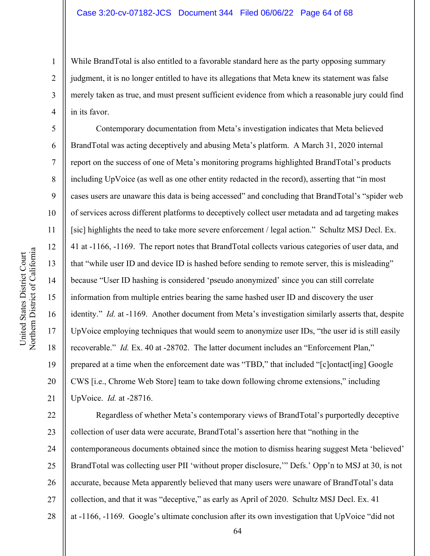While BrandTotal is also entitled to a favorable standard here as the party opposing summary judgment, it is no longer entitled to have its allegations that Meta knew its statement was false merely taken as true, and must present sufficient evidence from which a reasonable jury could find in its favor.

Contemporary documentation from Meta's investigation indicates that Meta believed BrandTotal was acting deceptively and abusing Meta's platform. A March 31, 2020 internal report on the success of one of Meta's monitoring programs highlighted BrandTotal's products including UpVoice (as well as one other entity redacted in the record), asserting that "in most cases users are unaware this data is being accessed" and concluding that BrandTotal's "spider web of services across different platforms to deceptively collect user metadata and ad targeting makes [sic] highlights the need to take more severe enforcement / legal action." Schultz MSJ Decl. Ex. 41 at -1166, -1169. The report notes that BrandTotal collects various categories of user data, and that "while user ID and device ID is hashed before sending to remote server, this is misleading" because "User ID hashing is considered 'pseudo anonymized' since you can still correlate information from multiple entries bearing the same hashed user ID and discovery the user identity." *Id.* at -1169. Another document from Meta's investigation similarly asserts that, despite UpVoice employing techniques that would seem to anonymize user IDs, "the user id is still easily recoverable." *Id.* Ex. 40 at -28702. The latter document includes an "Enforcement Plan," prepared at a time when the enforcement date was "TBD," that included "[c]ontact[ing] Google CWS [i.e., Chrome Web Store] team to take down following chrome extensions," including UpVoice. *Id.* at -28716.

22 23 24 25 26 27 28 Regardless of whether Meta's contemporary views of BrandTotal's purportedly deceptive collection of user data were accurate, BrandTotal's assertion here that "nothing in the contemporaneous documents obtained since the motion to dismiss hearing suggest Meta 'believed' BrandTotal was collecting user PII 'without proper disclosure,'" Defs.' Opp'n to MSJ at 30, is not accurate, because Meta apparently believed that many users were unaware of BrandTotal's data collection, and that it was "deceptive," as early as April of 2020. Schultz MSJ Decl. Ex. 41 at -1166, -1169. Google's ultimate conclusion after its own investigation that UpVoice "did not

1

2

3

4

5

6

7

8

9

10

11

12

13

14

15

16

17

18

19

20

21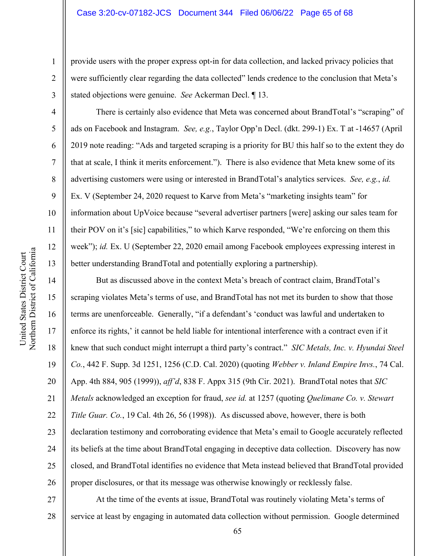provide users with the proper express opt-in for data collection, and lacked privacy policies that were sufficiently clear regarding the data collected" lends credence to the conclusion that Meta's stated objections were genuine. *See* Ackerman Decl. ¶ 13.

There is certainly also evidence that Meta was concerned about BrandTotal's "scraping" of ads on Facebook and Instagram. *See, e.g.*, Taylor Opp'n Decl. (dkt. 299-1) Ex. T at -14657 (April 2019 note reading: "Ads and targeted scraping is a priority for BU this half so to the extent they do that at scale, I think it merits enforcement."). There is also evidence that Meta knew some of its advertising customers were using or interested in BrandTotal's analytics services. *See, e.g.*, *id.* Ex. V (September 24, 2020 request to Karve from Meta's "marketing insights team" for information about UpVoice because "several advertiser partners [were] asking our sales team for their POV on it's [sic] capabilities," to which Karve responded, "We're enforcing on them this week"); *id.* Ex. U (September 22, 2020 email among Facebook employees expressing interest in better understanding BrandTotal and potentially exploring a partnership).

But as discussed above in the context Meta's breach of contract claim, BrandTotal's scraping violates Meta's terms of use, and BrandTotal has not met its burden to show that those terms are unenforceable. Generally, "if a defendant's 'conduct was lawful and undertaken to enforce its rights,' it cannot be held liable for intentional interference with a contract even if it knew that such conduct might interrupt a third party's contract." *SIC Metals, Inc. v. Hyundai Steel Co.*, 442 F. Supp. 3d 1251, 1256 (C.D. Cal. 2020) (quoting *Webber v. Inland Empire Invs.*, 74 Cal. App. 4th 884, 905 (1999)), *aff'd*, 838 F. Appx 315 (9th Cir. 2021). BrandTotal notes that *SIC Metals* acknowledged an exception for fraud, *see id.* at 1257 (quoting *Quelimane Co. v. Stewart Title Guar. Co.*, 19 Cal. 4th 26, 56 (1998)). As discussed above, however, there is both declaration testimony and corroborating evidence that Meta's email to Google accurately reflected its beliefs at the time about BrandTotal engaging in deceptive data collection. Discovery has now closed, and BrandTotal identifies no evidence that Meta instead believed that BrandTotal provided proper disclosures, or that its message was otherwise knowingly or recklessly false.

27 28 At the time of the events at issue, BrandTotal was routinely violating Meta's terms of service at least by engaging in automated data collection without permission. Google determined

1

2

3

4

5

6

7

8

9

10

11

12

13

14

15

16

17

18

19

20

21

22

23

24

25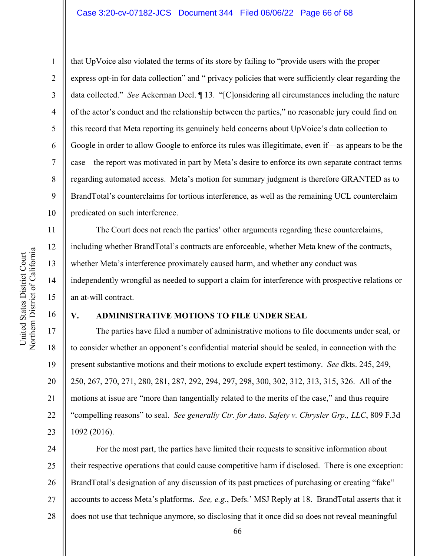## Case 3:20-cv-07182-JCS Document 344 Filed 06/06/22 Page 66 of 68

1

that UpVoice also violated the terms of its store by failing to "provide users with the proper express opt-in for data collection" and " privacy policies that were sufficiently clear regarding the data collected." *See* Ackerman Decl. ¶ 13. "[C]onsidering all circumstances including the nature of the actor's conduct and the relationship between the parties," no reasonable jury could find on this record that Meta reporting its genuinely held concerns about UpVoice's data collection to Google in order to allow Google to enforce its rules was illegitimate, even if—as appears to be the case—the report was motivated in part by Meta's desire to enforce its own separate contract terms regarding automated access. Meta's motion for summary judgment is therefore GRANTED as to BrandTotal's counterclaims for tortious interference, as well as the remaining UCL counterclaim predicated on such interference.

The Court does not reach the parties' other arguments regarding these counterclaims, including whether BrandTotal's contracts are enforceable, whether Meta knew of the contracts, whether Meta's interference proximately caused harm, and whether any conduct was independently wrongful as needed to support a claim for interference with prospective relations or an at-will contract.

#### 16

11

12

13

14

15

#### **V. ADMINISTRATIVE MOTIONS TO FILE UNDER SEAL**

17 18 19 20 21 22 23 The parties have filed a number of administrative motions to file documents under seal, or to consider whether an opponent's confidential material should be sealed, in connection with the present substantive motions and their motions to exclude expert testimony. *See* dkts. 245, 249, 250, 267, 270, 271, 280, 281, 287, 292, 294, 297, 298, 300, 302, 312, 313, 315, 326. All of the motions at issue are "more than tangentially related to the merits of the case," and thus require "compelling reasons" to seal. *See generally Ctr. for Auto. Safety v. Chrysler Grp., LLC*, 809 F.3d 1092 (2016).

24 25 26 27 28 For the most part, the parties have limited their requests to sensitive information about their respective operations that could cause competitive harm if disclosed. There is one exception: BrandTotal's designation of any discussion of its past practices of purchasing or creating "fake" accounts to access Meta's platforms. *See, e.g.*, Defs.' MSJ Reply at 18. BrandTotal asserts that it does not use that technique anymore, so disclosing that it once did so does not reveal meaningful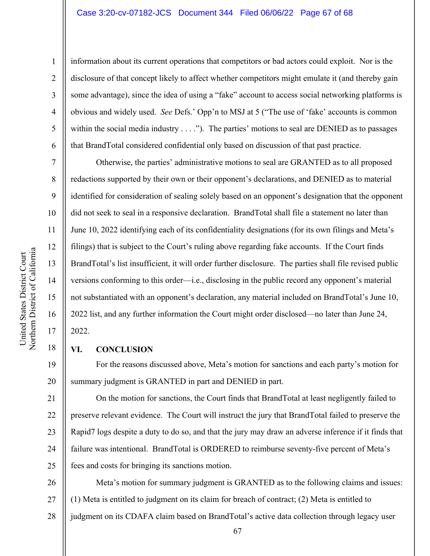## Case 3:20-cv-07182-JCS Document 344 Filed 06/06/22 Page 67 of 68

information about its current operations that competitors or bad actors could exploit. Nor is the disclosure of that concept likely to affect whether competitors might emulate it (and thereby gain some advantage), since the idea of using a "fake" account to access social networking platforms is obvious and widely used. *See* Defs.' Opp'n to MSJ at 5 ("The use of 'fake' accounts is common within the social media industry  $\dots$ ."). The parties' motions to seal are DENIED as to passages that BrandTotal considered confidential only based on discussion of that past practice.

Otherwise, the parties' administrative motions to seal are GRANTED as to all proposed redactions supported by their own or their opponent's declarations, and DENIED as to material identified for consideration of sealing solely based on an opponent's designation that the opponent did not seek to seal in a responsive declaration. BrandTotal shall file a statement no later than June 10, 2022 identifying each of its confidentiality designations (for its own filings and Meta's filings) that is subject to the Court's ruling above regarding fake accounts. If the Court finds BrandTotal's list insufficient, it will order further disclosure. The parties shall file revised public versions conforming to this order—i.e., disclosing in the public record any opponent's material not substantiated with an opponent's declaration, any material included on BrandTotal's June 10, 2022 list, and any further information the Court might order disclosed—no later than June 24, 2022.

## **VI. CONCLUSION**

For the reasons discussed above, Meta's motion for sanctions and each party's motion for summary judgment is GRANTED in part and DENIED in part.

21 22 23 24 25 On the motion for sanctions, the Court finds that BrandTotal at least negligently failed to preserve relevant evidence. The Court will instruct the jury that BrandTotal failed to preserve the Rapid7 logs despite a duty to do so, and that the jury may draw an adverse inference if it finds that failure was intentional. BrandTotal is ORDERED to reimburse seventy-five percent of Meta's fees and costs for bringing its sanctions motion.

26 27 28 Meta's motion for summary judgment is GRANTED as to the following claims and issues: (1) Meta is entitled to judgment on its claim for breach of contract; (2) Meta is entitled to judgment on its CDAFA claim based on BrandTotal's active data collection through legacy user

1

2

3

4

5

6

7

8

9

10

11

12

13

14

15

16

17

18

19

20